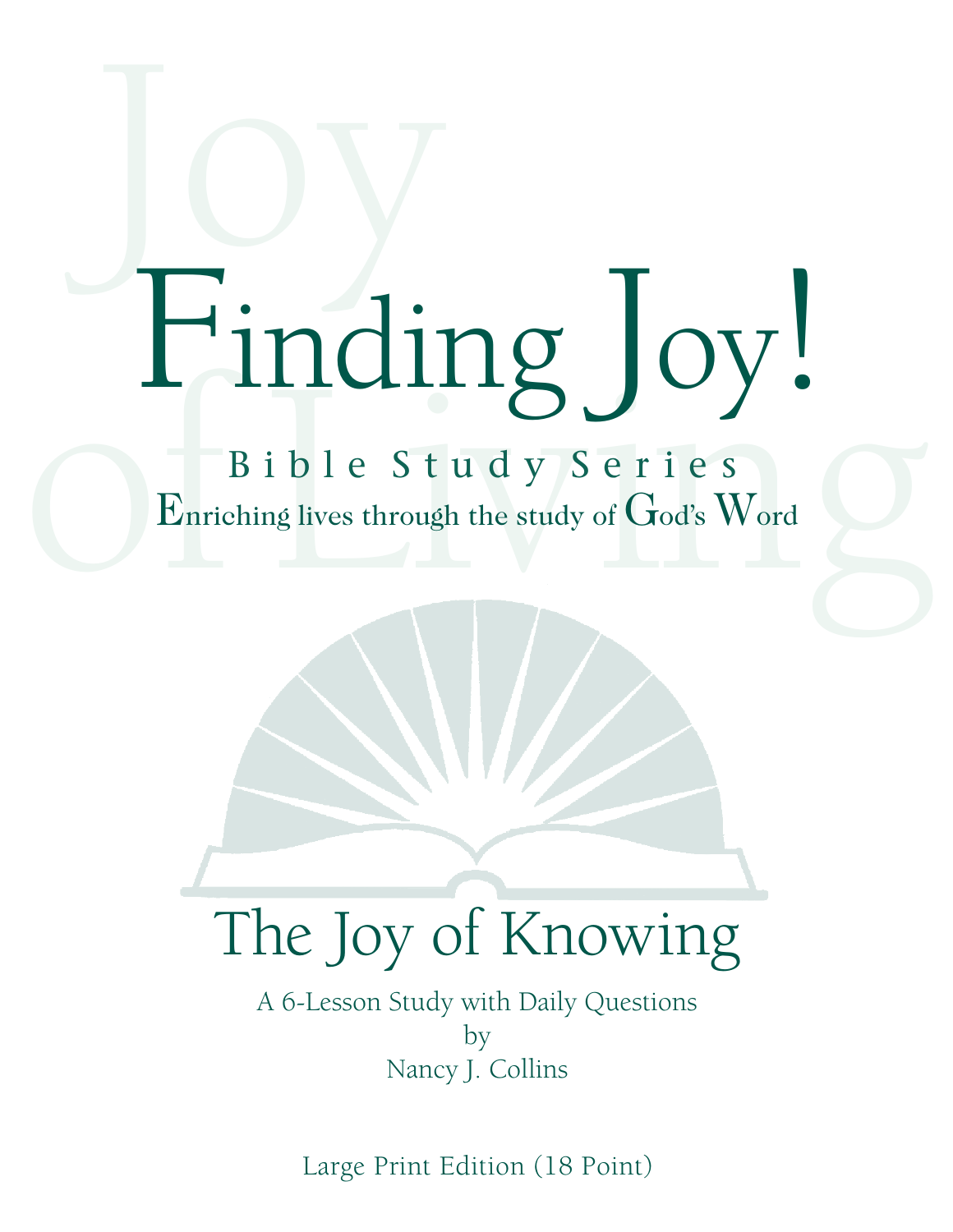# Joy of Living Finding Joy!

B i b l e S t u d y S e r i e s Enriching lives through the study of God's Word

## The Joy of Knowing

A 6-Lesson Study with Daily Questions by Nancy J. Collins

Large Print Edition (18 Point)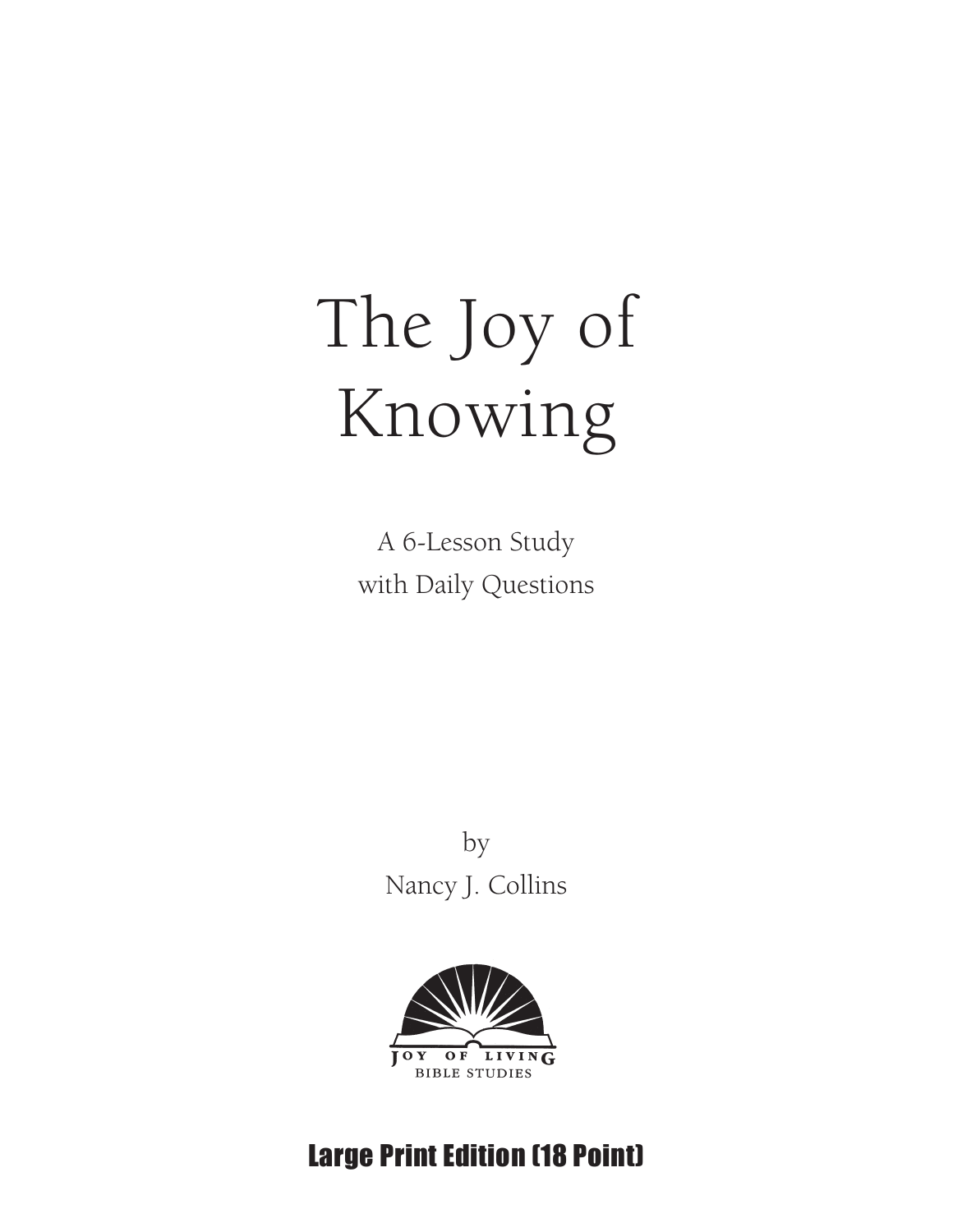## The Joy of Knowing

A 6-Lesson Study with Daily Questions

> by Nancy J. Collins



#### Large Print Edition (18 Point)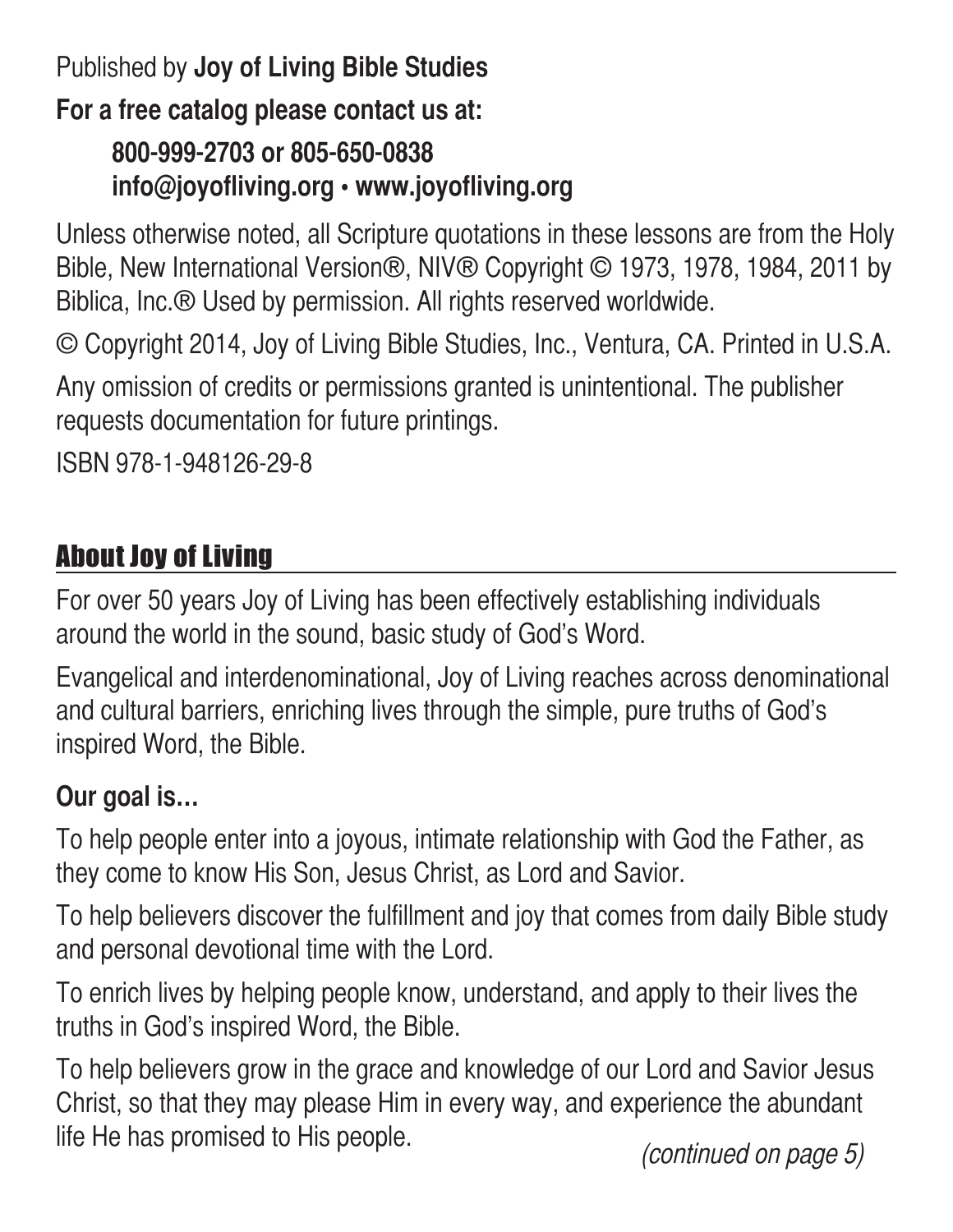#### Published by **Joy of Living Bible Studies**

#### **For a free catalog please contact us at:**

#### **800-999-2703 or 805-650-0838 info@joyofliving.org • www.joyofliving.org**

Unless otherwise noted, all Scripture quotations in these lessons are from the Holy Bible, New International Version®, NIV® Copyright © 1973, 1978, 1984, 2011 by Biblica, Inc.® Used by permission. All rights reserved worldwide.

© Copyright 2014, Joy of Living Bible Studies, Inc., Ventura, CA. Printed in U.S.A.

Any omission of credits or permissions granted is unintentional. The publisher requests documentation for future printings.

ISBN 978-1-948126-29-8

#### About Joy of Living

For over 50 years Joy of Living has been effectively establishing individuals around the world in the sound, basic study of God's Word.

Evangelical and interdenominational, Joy of Living reaches across denominational and cultural barriers, enriching lives through the simple, pure truths of God's inspired Word, the Bible.

#### **Our goal is…**

To help people enter into a joyous, intimate relationship with God the Father, as they come to know His Son, Jesus Christ, as Lord and Savior.

To help believers discover the fulfillment and joy that comes from daily Bible study and personal devotional time with the Lord.

To enrich lives by helping people know, understand, and apply to their lives the truths in God's inspired Word, the Bible.

To help believers grow in the grace and knowledge of our Lord and Savior Jesus Christ, so that they may please Him in every way, and experience the abundant life He has promised to His people.<br>(*continued on page 5*)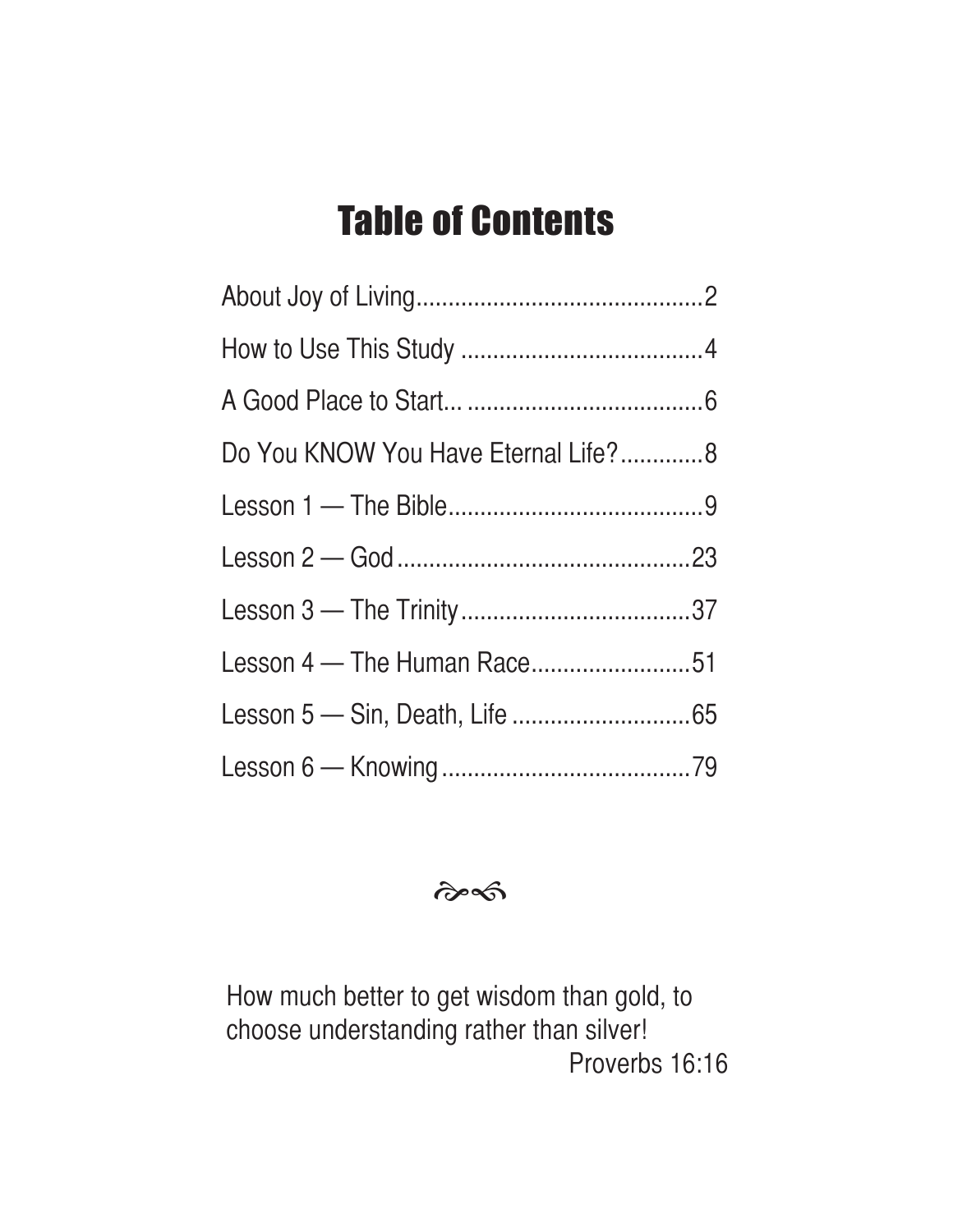### Table of Contents

| Do You KNOW You Have Eternal Life?8 |  |
|-------------------------------------|--|
|                                     |  |
|                                     |  |
|                                     |  |
| Lesson 4 - The Human Race51         |  |
|                                     |  |
|                                     |  |

 $\hat{\sigma}$ 

How much better to get wisdom than gold, to choose understanding rather than silver! Proverbs 16:16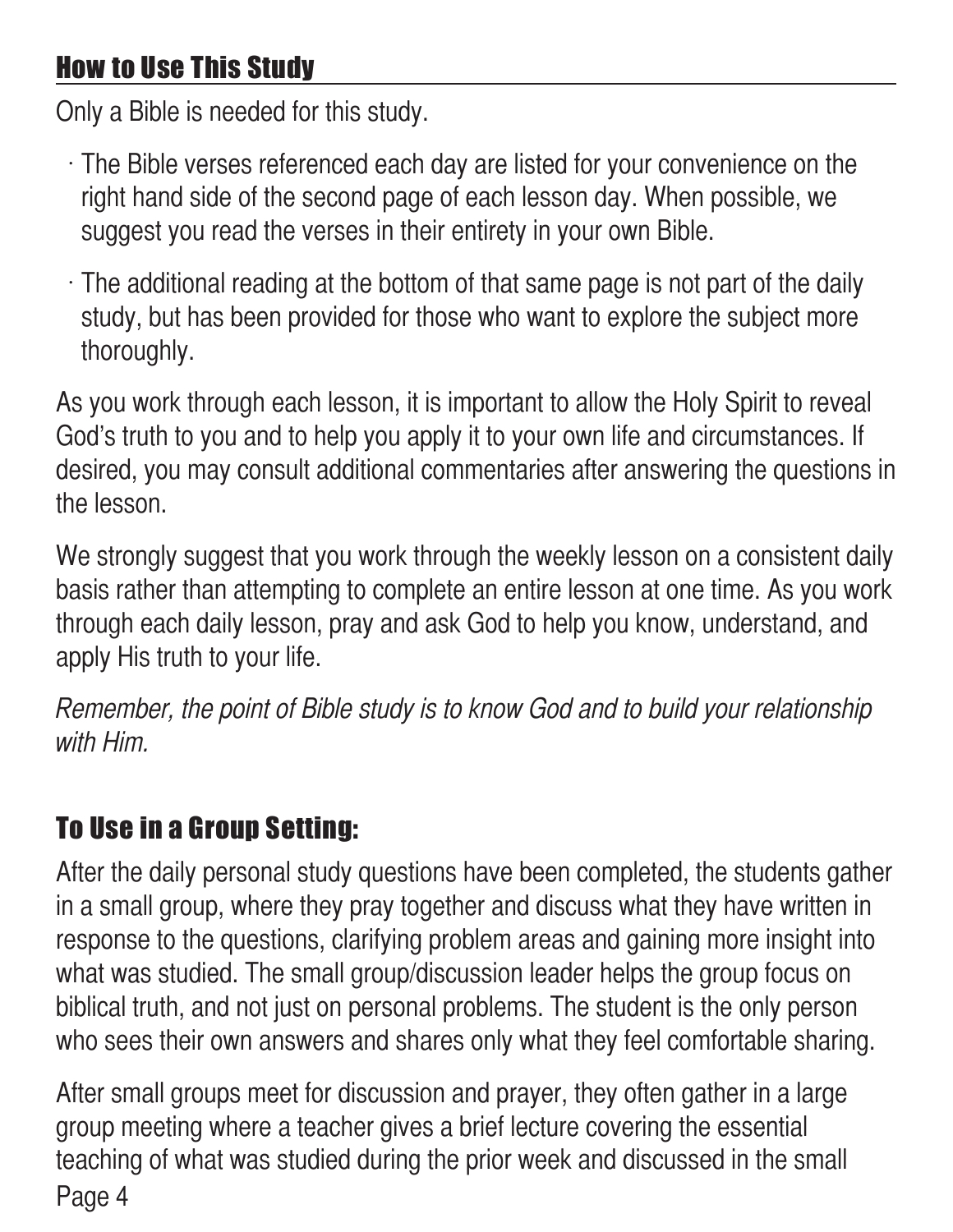#### How to Use This Study

Only a Bible is needed for this study.

- $\cdot$  The Bible verses referenced each day are listed for your convenience on the right hand side of the second page of each lesson day. When possible, we suggest you read the verses in their entirety in your own Bible.
- $\cdot$  The additional reading at the bottom of that same page is not part of the daily study, but has been provided for those who want to explore the subject more thoroughly.

As you work through each lesson, it is important to allow the Holy Spirit to reveal God's truth to you and to help you apply it to your own life and circumstances. If desired, you may consult additional commentaries after answering the questions in the lesson.

We strongly suggest that you work through the weekly lesson on a consistent daily basis rather than attempting to complete an entire lesson at one time. As you work through each daily lesson, pray and ask God to help you know, understand, and apply His truth to your life.

Remember, the point of Bible study is to know God and to build your relationship with Him.

#### To Use in a Group Setting:

After the daily personal study questions have been completed, the students gather in a small group, where they pray together and discuss what they have written in response to the questions, clarifying problem areas and gaining more insight into what was studied. The small group/discussion leader helps the group focus on biblical truth, and not just on personal problems. The student is the only person who sees their own answers and shares only what they feel comfortable sharing.

Page 4 After small groups meet for discussion and prayer, they often gather in a large group meeting where a teacher gives a brief lecture covering the essential teaching of what was studied during the prior week and discussed in the small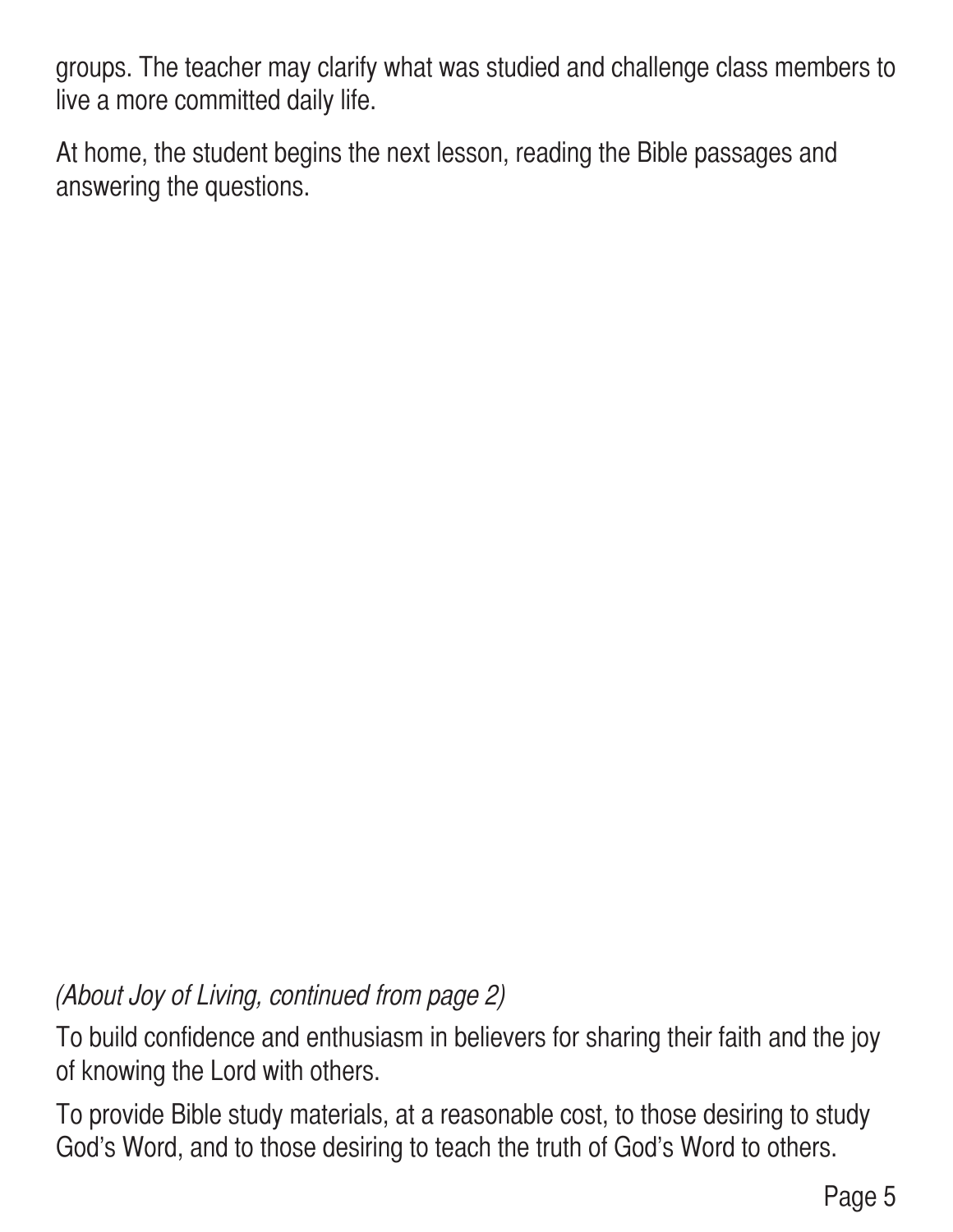groups. The teacher may clarify what was studied and challenge class members to live a more committed daily life.

At home, the student begins the next lesson, reading the Bible passages and answering the questions.

(About Joy of Living, continued from page 2)

To build confidence and enthusiasm in believers for sharing their faith and the joy of knowing the Lord with others.

To provide Bible study materials, at a reasonable cost, to those desiring to study God's Word, and to those desiring to teach the truth of God's Word to others.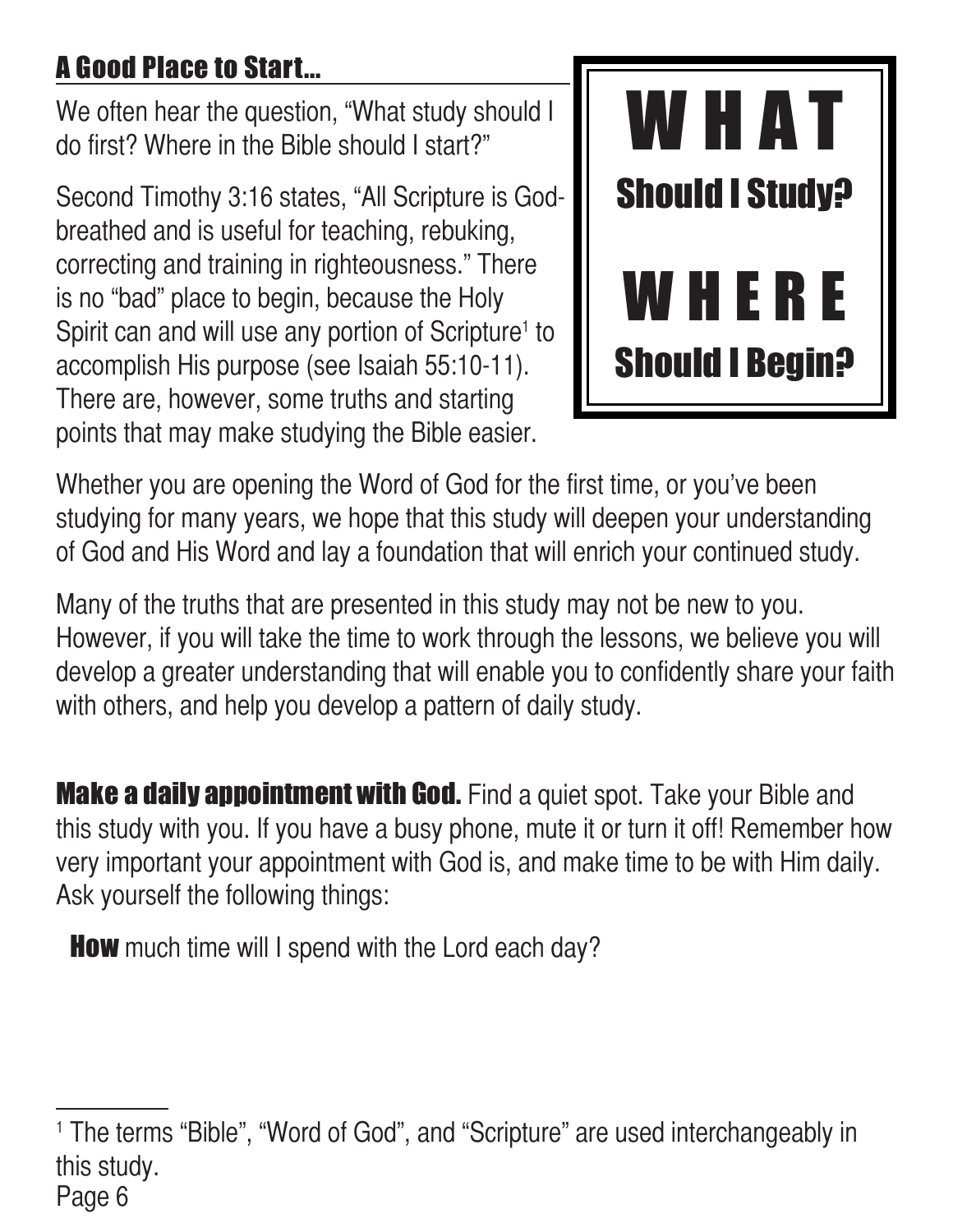#### A Good Place to Start...

We often hear the question, "What study should I do first? Where in the Bible should I start?"

Second Timothy 3:16 states, "All Scripture is Godbreathed and is useful for teaching, rebuking, correcting and training in righteousness." There is no "bad" place to begin, because the Holy Spirit can and will use any portion of Scripture<sup>1</sup> to accomplish His purpose (see Isaiah 55:10-11). There are, however, some truths and starting points that may make studying the Bible easier.



Whether you are opening the Word of God for the first time, or you've been studying for many years, we hope that this study will deepen your understanding of God and His Word and lay a foundation that will enrich your continued study.

Many of the truths that are presented in this study may not be new to you. However, if you will take the time to work through the lessons, we believe you will develop a greater understanding that will enable you to confidently share your faith with others, and help you develop a pattern of daily study.

**Make a daily appointment with God.** Find a quiet spot. Take your Bible and this study with you. If you have a busy phone, mute it or turn it off! Remember how very important your appointment with God is, and make time to be with Him daily. Ask yourself the following things:

**How** much time will I spend with the Lord each day?

Page 6 <sup>1</sup> The terms "Bible", "Word of God", and "Scripture" are used interchangeably in this study.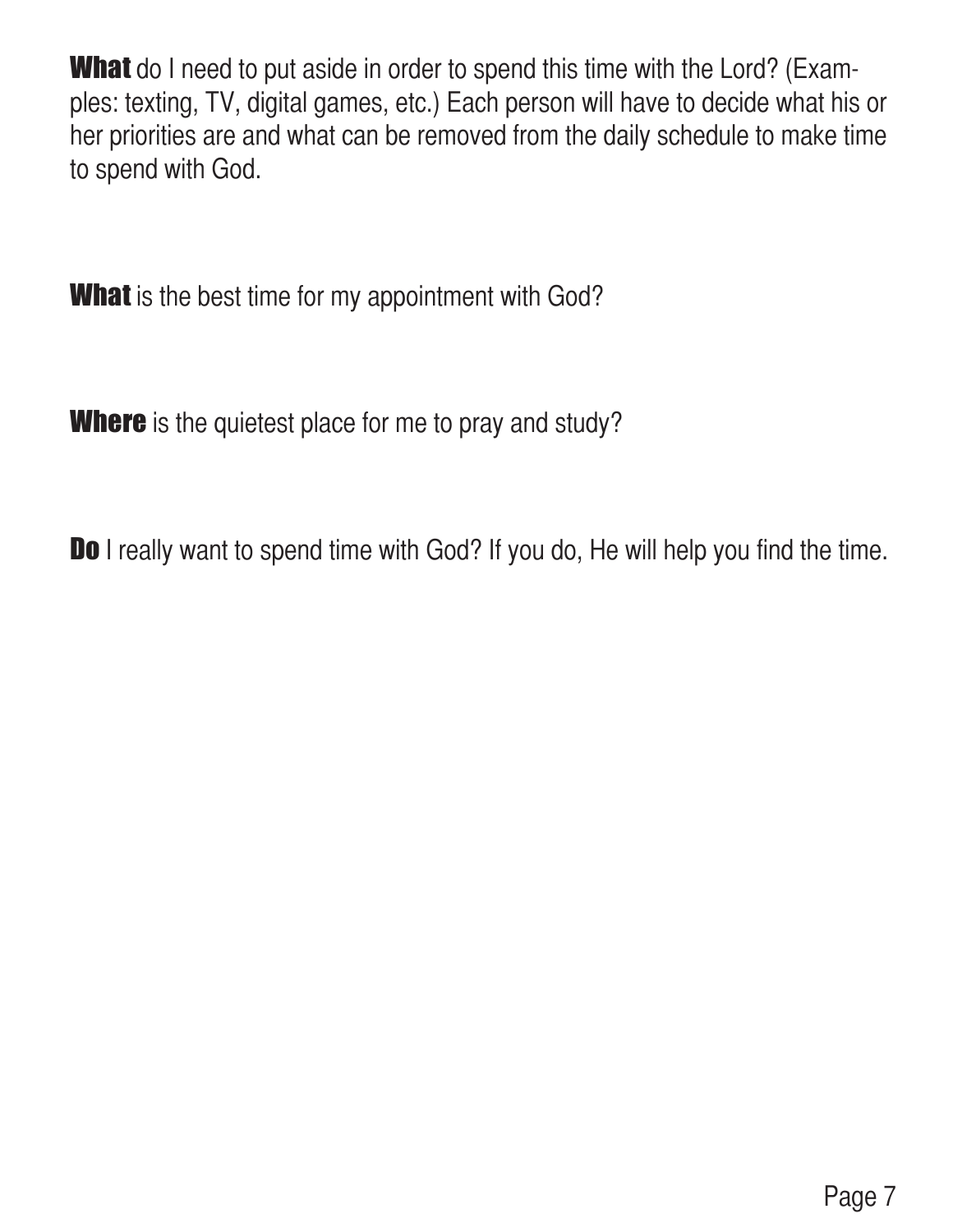**What** do I need to put aside in order to spend this time with the Lord? (Examples: texting, TV, digital games, etc.) Each person will have to decide what his or her priorities are and what can be removed from the daily schedule to make time to spend with God.

**What** is the best time for my appointment with God?

**Where** is the quietest place for me to pray and study?

Do I really want to spend time with God? If you do, He will help you find the time.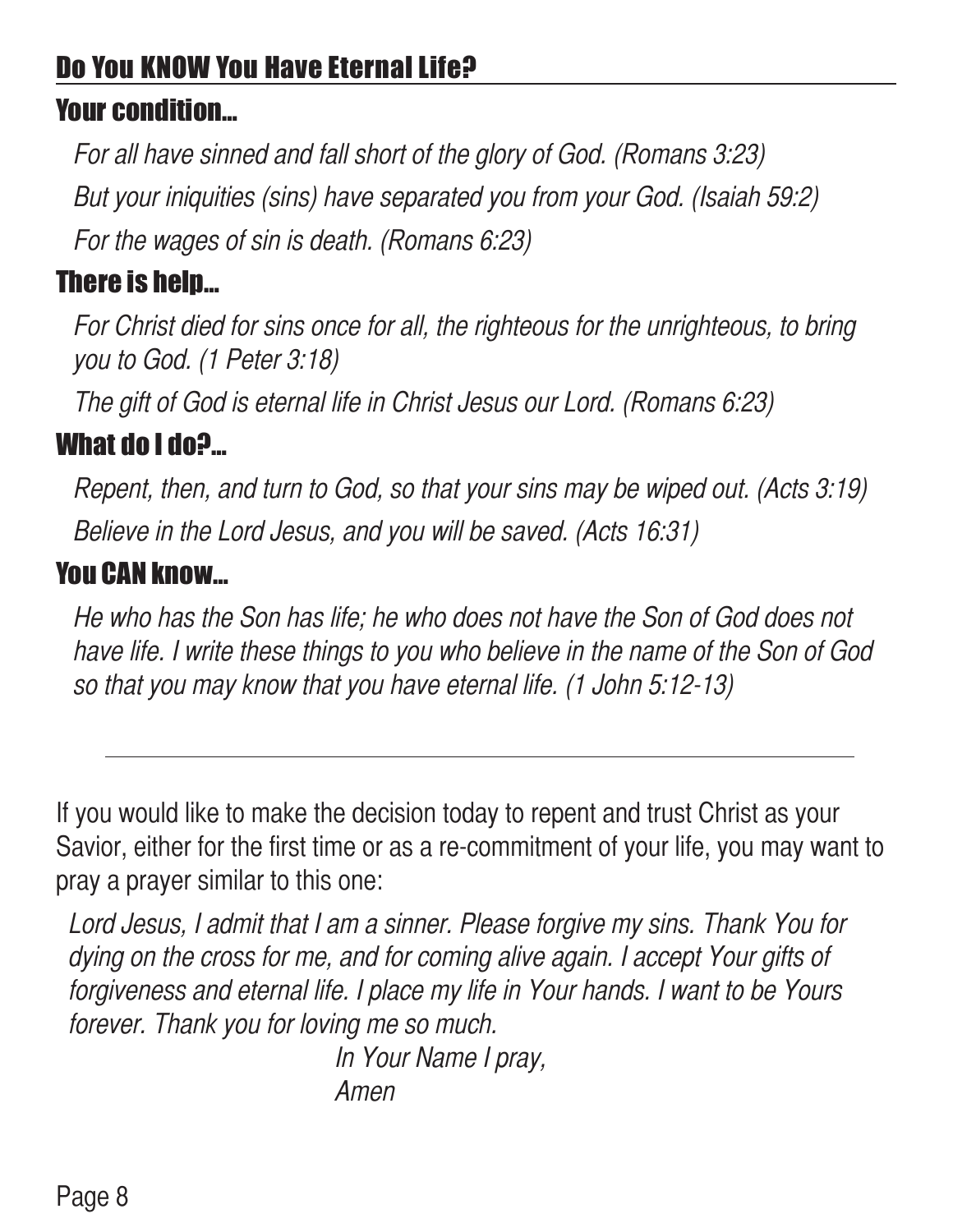#### Do You KNOW You Have Eternal Life?

#### Your condition…

For all have sinned and fall short of the glory of God. (Romans 3:23) But your iniquities (sins) have separated you from your God. (Isaiah 59:2) For the wages of sin is death. (Romans 6:23)

#### There is help…

For Christ died for sins once for all, the righteous for the unrighteous, to bring you to God. (1 Peter 3:18)

The gift of God is eternal life in Christ Jesus our Lord. (Romans 6:23)

#### What do I do?…

Repent, then, and turn to God, so that your sins may be wiped out. (Acts 3:19) Believe in the Lord Jesus, and you will be saved. (Acts 16:31)

#### You CAN know…

He who has the Son has life; he who does not have the Son of God does not have life. I write these things to you who believe in the name of the Son of God so that you may know that you have eternal life. (1 John 5:12-13)

If you would like to make the decision today to repent and trust Christ as your Savior, either for the first time or as a re-commitment of your life, you may want to pray a prayer similar to this one:

Lord Jesus, I admit that I am a sinner. Please forgive my sins. Thank You for dying on the cross for me, and for coming alive again. I accept Your gifts of forgiveness and eternal life. I place my life in Your hands. I want to be Yours forever. Thank you for loving me so much.

In Your Name I pray, Amen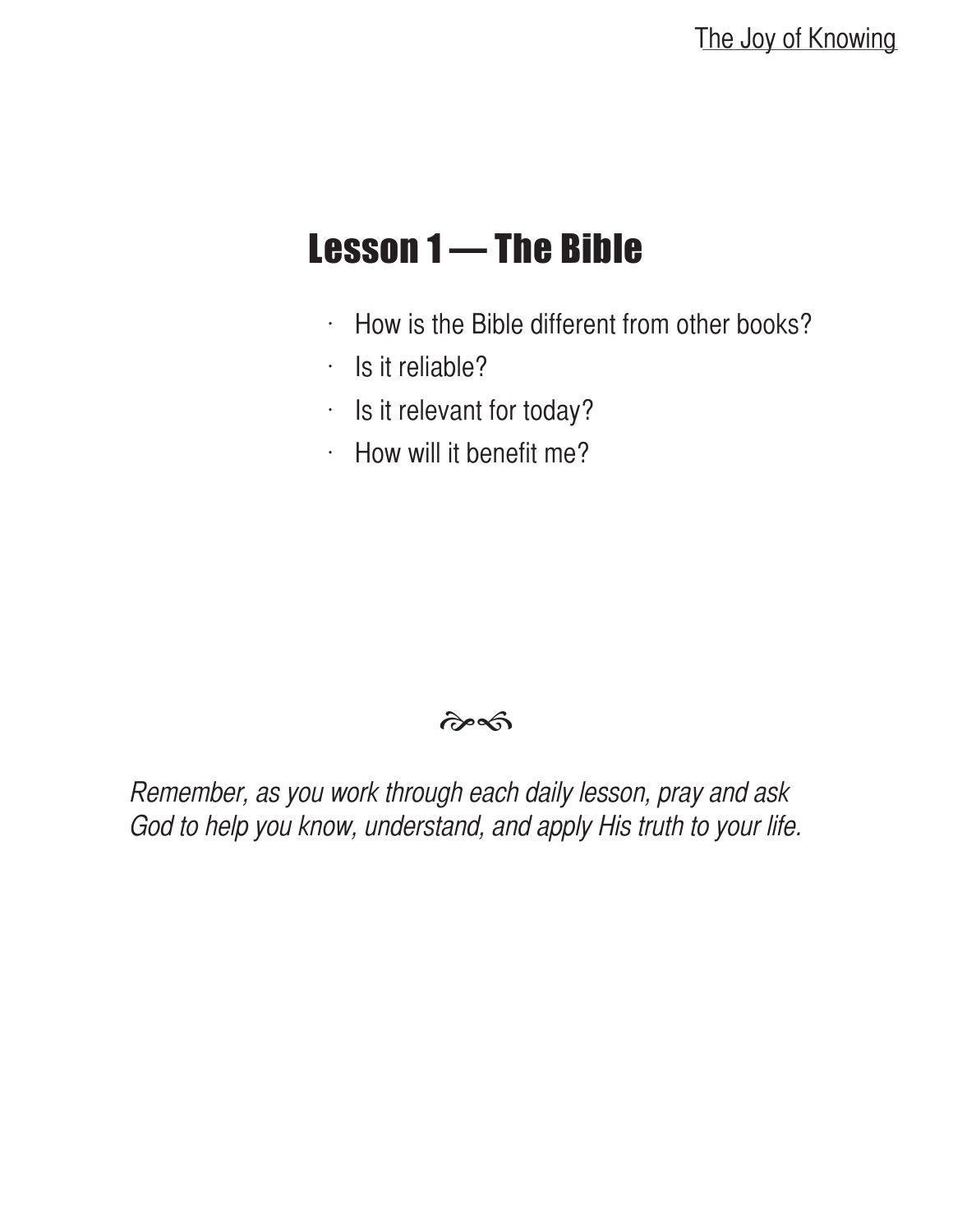#### Lesson 1 — The Bible

- $\cdot$  How is the Bible different from other books?
- $\cdot$  Is it reliable?
- $\cdot$  Is it relevant for today?
- $·$  How will it benefit me?

#### $\hat{\sigma}$

Remember, as you work through each daily lesson, pray and ask God to help you know, understand, and apply His truth to your life.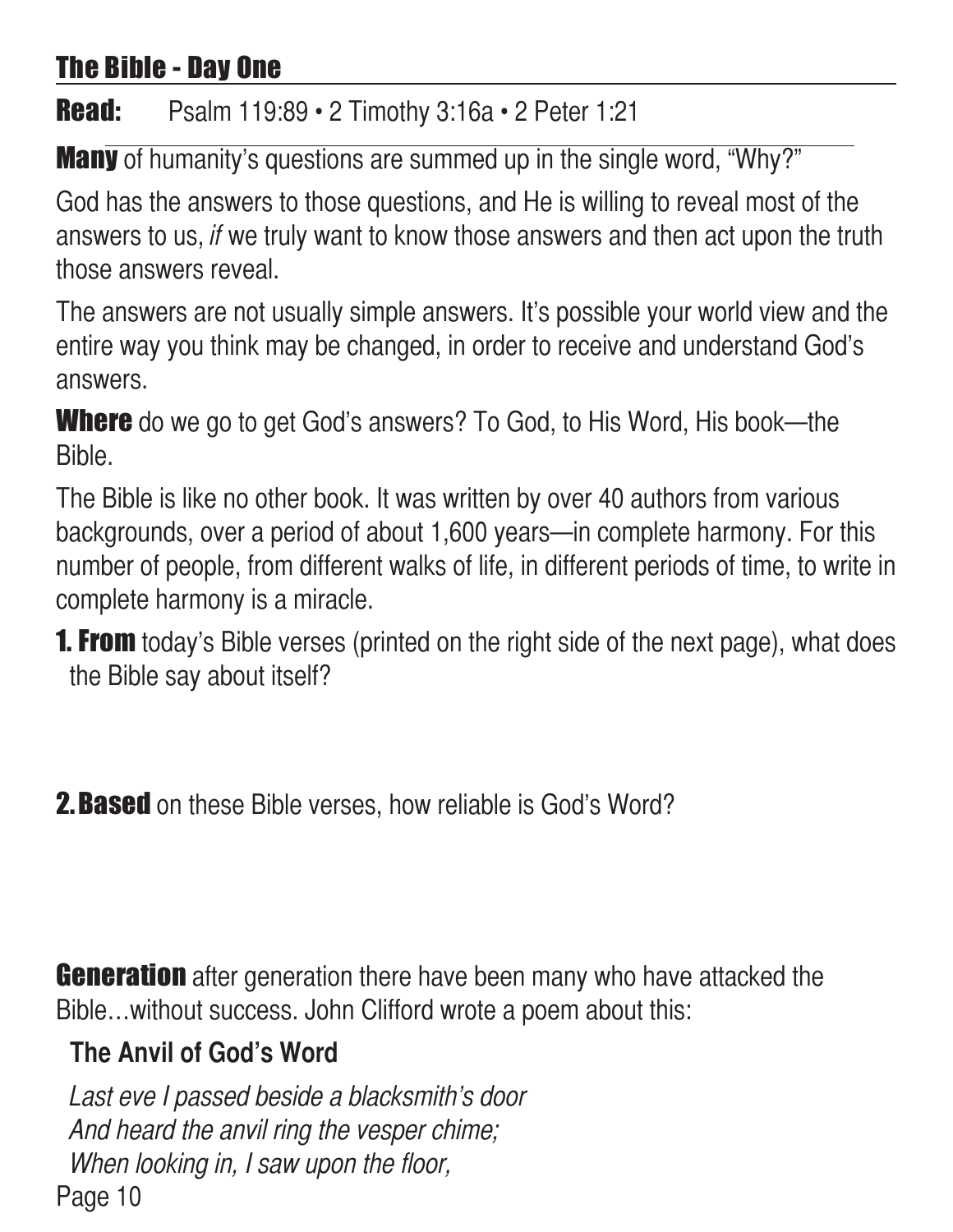#### The Bible - Day One

#### **Read:** Psalm 119:89 • 2 Timothy 3:16a • 2 Peter 1:21

Many of humanity's questions are summed up in the single word, "Why?"

God has the answers to those questions, and He is willing to reveal most of the answers to us, if we truly want to know those answers and then act upon the truth those answers reveal.

The answers are not usually simple answers. It's possible your world view and the entire way you think may be changed, in order to receive and understand God's answers.

**Where** do we go to get God's answers? To God, to His Word, His book—the Bible.

The Bible is like no other book. It was written by over 40 authors from various backgrounds, over a period of about 1,600 years—in complete harmony. For this number of people, from different walks of life, in different periods of time, to write in complete harmony is a miracle.

**1. From** today's Bible verses (printed on the right side of the next page), what does the Bible say about itself?

**2. Based** on these Bible verses, how reliable is God's Word?

**Generation** after generation there have been many who have attacked the Bible…without success. John Clifford wrote a poem about this:

#### **The Anvil of God's Word**

Page 10 Last eve I passed beside a blacksmith's door And heard the anvil ring the vesper chime; When looking in, I saw upon the floor,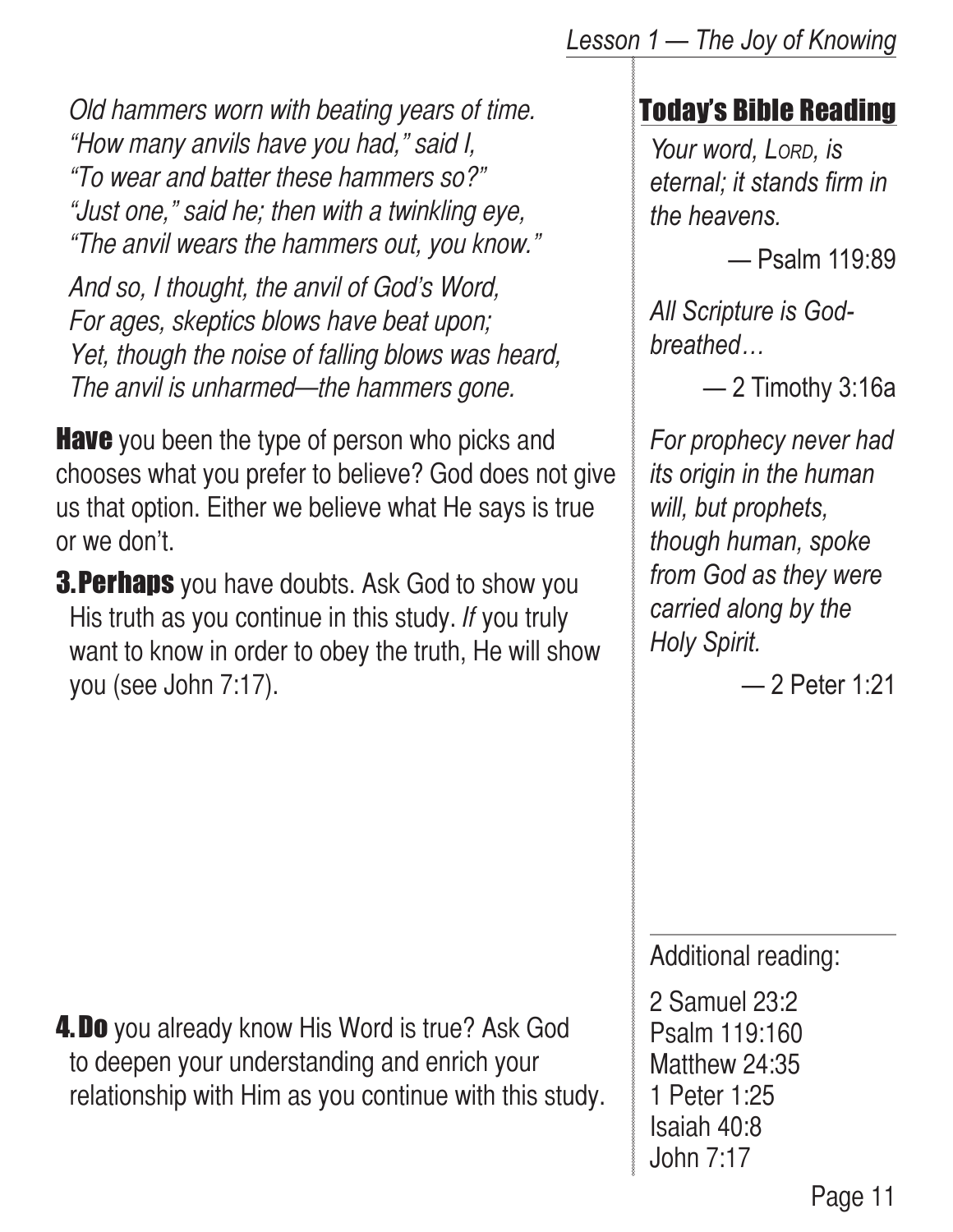*Lesson 1 — The Joy of Knowing*

Old hammers worn with beating years of time. "How many anvils have you had," said I, "To wear and batter these hammers so?" "Just one," said he; then with a twinkling eye, "The anvil wears the hammers out, you know."

And so, I thought, the anvil of God's Word, For ages, skeptics blows have beat upon; Yet, though the noise of falling blows was heard, The anvil is unharmed—the hammers gone.

**Have** you been the type of person who picks and chooses what you prefer to believe? God does not give us that option. Either we believe what He says is true or we don't.

**3. Perhaps** you have doubts. Ask God to show you His truth as you continue in this study. If you truly want to know in order to obey the truth, He will show you (see John 7:17).

#### Today's Bible Reading

*Your word, Lord, is eternal; it stands firm in the heavens.*

— Psalm 119:89

*All Scripture is Godbreathed…*

— 2 Timothy 3:16a

*For prophecy never had its origin in the human will, but prophets, though human, spoke from God as they were carried along by the Holy Spirit.*

— 2 Peter 1:21

Additional reading:

2 Samuel 23:2 Psalm 119:160 Matthew 24:35 1 Peter 1:25 Isaiah 40:8 John 7:17

**4. Do** you already know His Word is true? Ask God to deepen your understanding and enrich your relationship with Him as you continue with this study.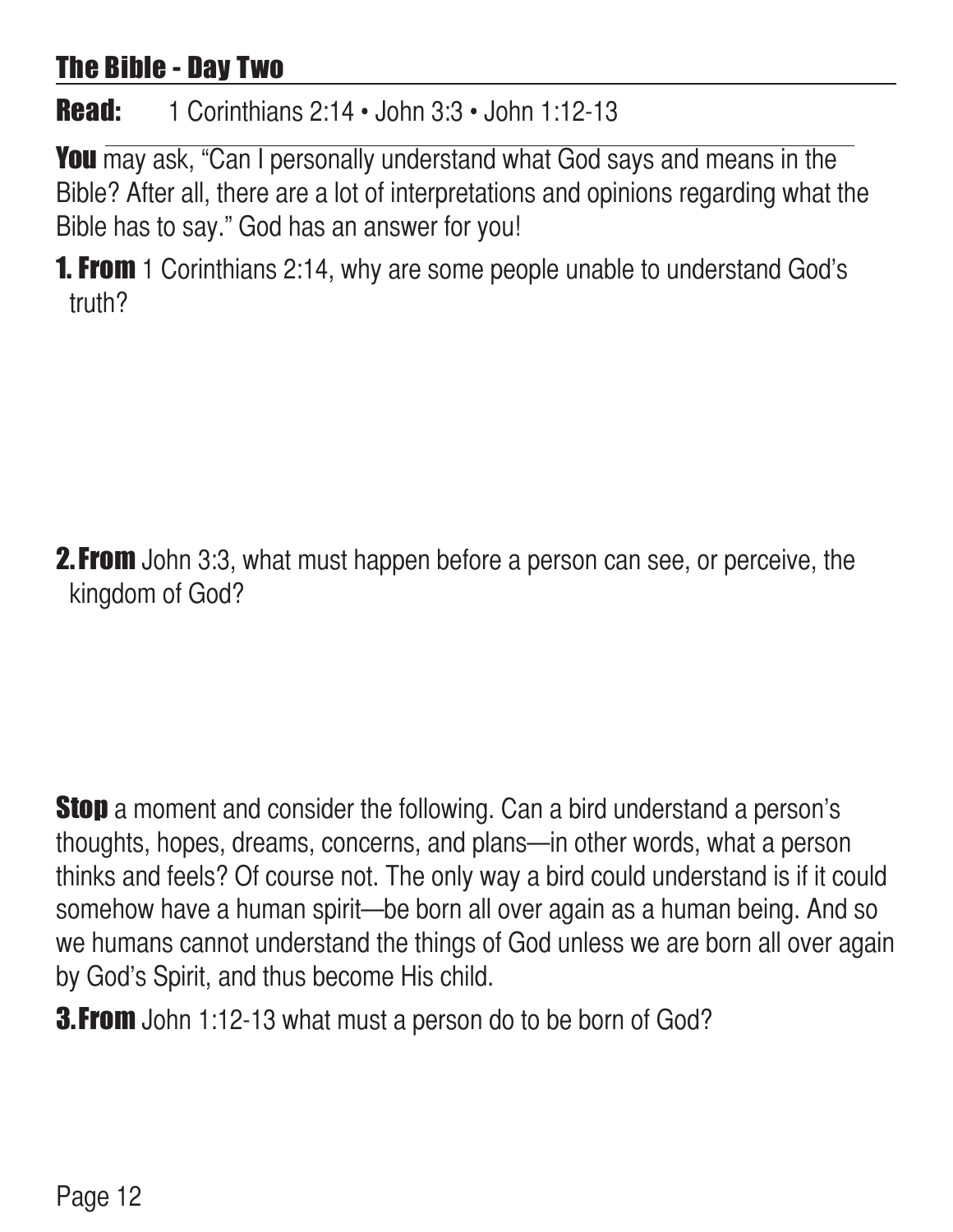#### The Bible - Day Two

#### **Read:** 1 Corinthians 2:14 • John 3:3 • John 1:12-13

You may ask, "Can I personally understand what God says and means in the Bible? After all, there are a lot of interpretations and opinions regarding what the Bible has to say." God has an answer for you!

**1. From** 1 Corinthians 2:14, why are some people unable to understand God's truth?

**2. From** John 3:3, what must happen before a person can see, or perceive, the kingdom of God?

**Stop** a moment and consider the following. Can a bird understand a person's thoughts, hopes, dreams, concerns, and plans—in other words, what a person thinks and feels? Of course not. The only way a bird could understand is if it could somehow have a human spirit—be born all over again as a human being. And so we humans cannot understand the things of God unless we are born all over again by God's Spirit, and thus become His child.

**3. From** John 1:12-13 what must a person do to be born of God?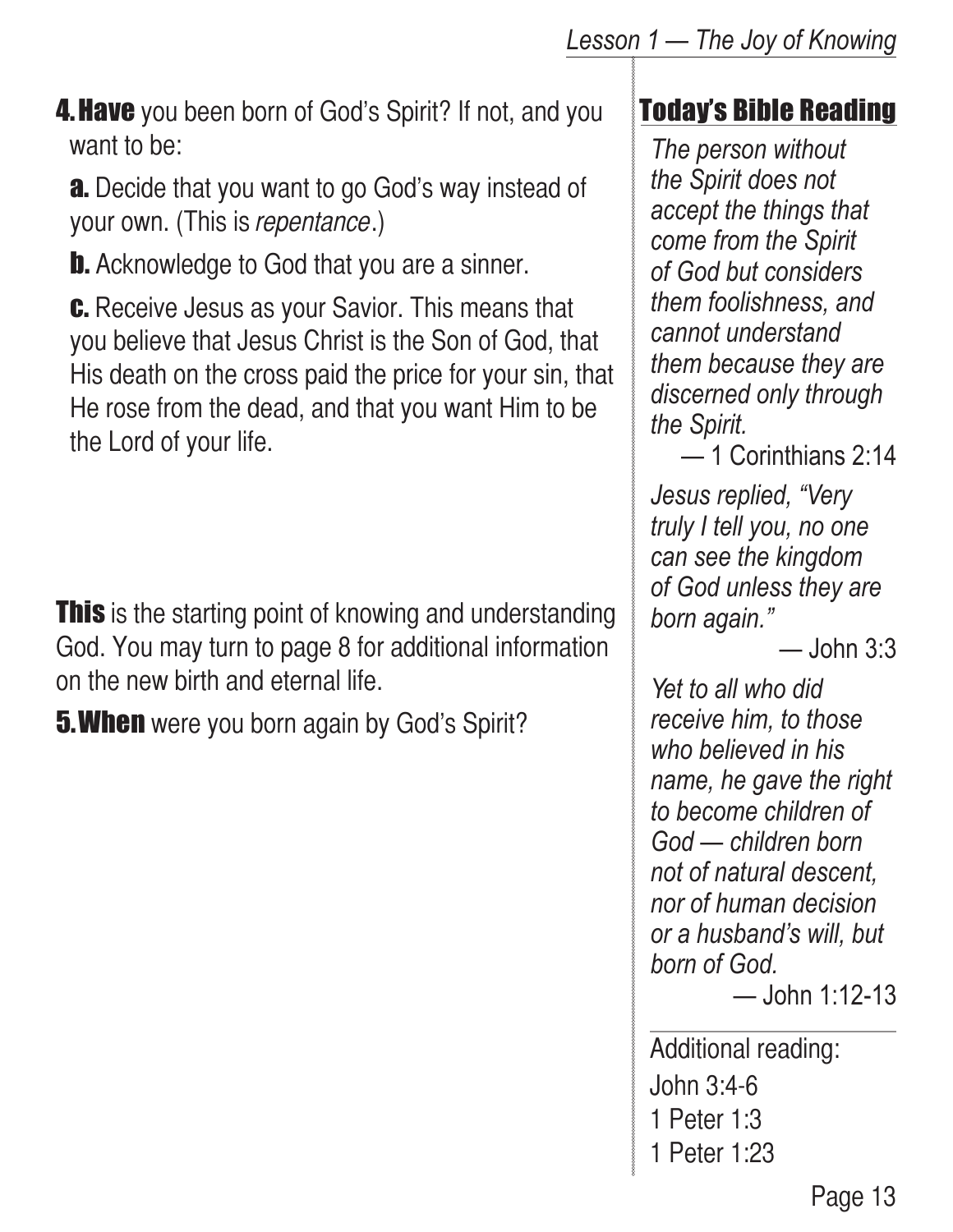**4. Have** you been born of God's Spirit? If not, and you want to be:

**a.** Decide that you want to go God's way instead of your own. (This is *repentance*.)

**b.** Acknowledge to God that you are a sinner.

**c.** Receive Jesus as your Savior. This means that you believe that Jesus Christ is the Son of God, that His death on the cross paid the price for your sin, that He rose from the dead, and that you want Him to be the Lord of your life.

**This** is the starting point of knowing and understanding God. You may turn to page 8 for additional information on the new birth and eternal life.

**5. When** were you born again by God's Spirit?

#### Today's Bible Reading

*The person without the Spirit does not accept the things that come from the Spirit of God but considers them foolishness, and cannot understand them because they are discerned only through the Spirit.*

— 1 Corinthians 2:14

*Jesus replied, "Very truly I tell you, no one can see the kingdom of God unless they are born again."* 

 $-$  John 3:3

*Yet to all who did receive him, to those who believed in his name, he gave the right to become children of God — children born not of natural descent, nor of human decision or a husband's will, but born of God.*

```
— John 1:12-13
```
Additional reading: John 3:4-6 1 Peter 1:3 1 Peter 1:23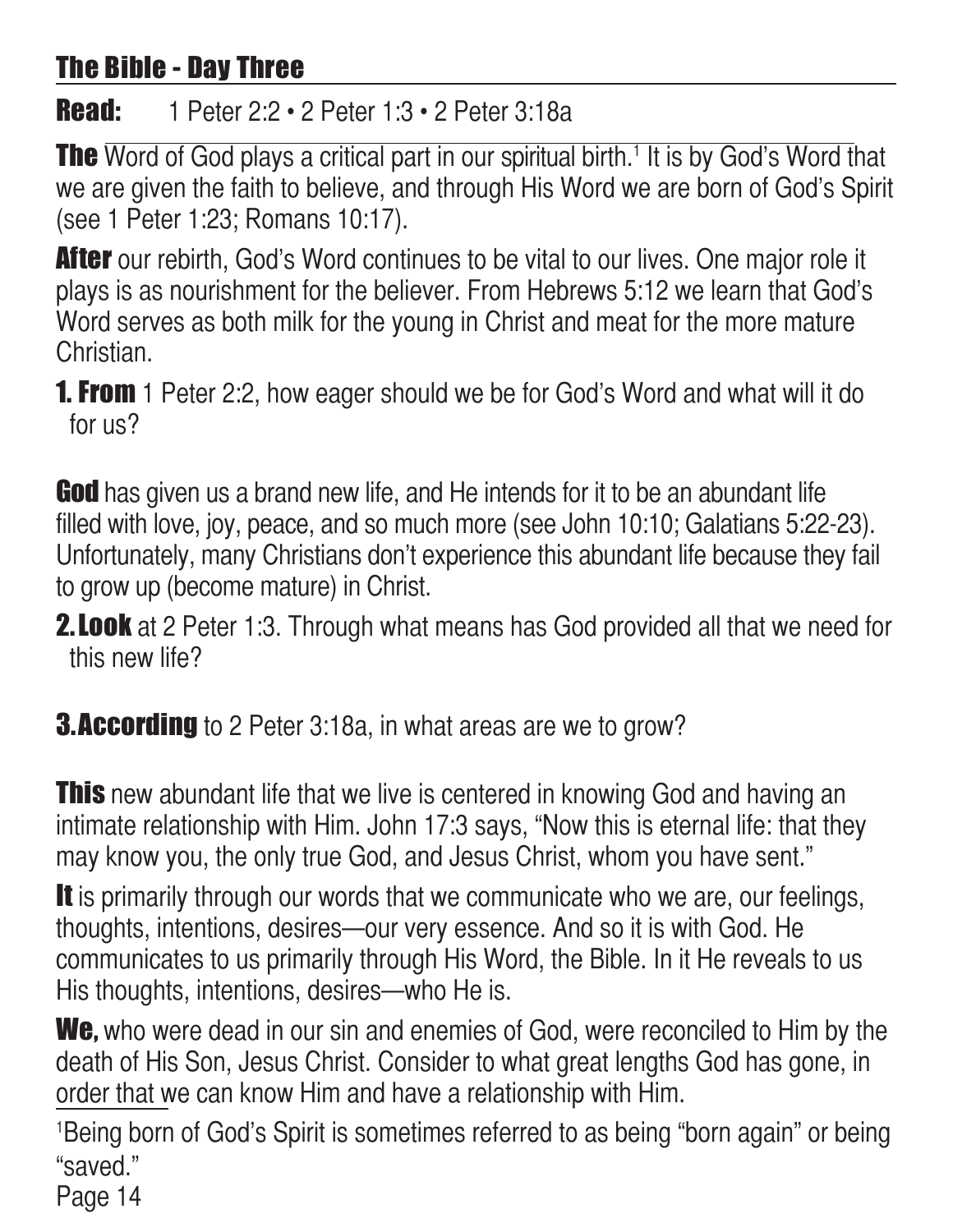#### The Bible - Day Three

#### **Read:** 1 Peter 2:2 • 2 Peter 1:3 • 2 Peter 3:18a

**The** Word of God plays a critical part in our spiritual birth.<sup>1</sup> It is by God's Word that we are given the faith to believe, and through His Word we are born of God's Spirit (see 1 Peter 1:23; Romans 10:17).

**After** our rebirth, God's Word continues to be vital to our lives. One major role it plays is as nourishment for the believer. From Hebrews 5:12 we learn that God's Word serves as both milk for the young in Christ and meat for the more mature Christian.

**1. From** 1 Peter 2:2, how eager should we be for God's Word and what will it do for us?

**God** has given us a brand new life, and He intends for it to be an abundant life filled with love, joy, peace, and so much more (see John 10:10; Galatians 5:22-23). Unfortunately, many Christians don't experience this abundant life because they fail to grow up (become mature) in Christ.

- **2. Look** at 2 Peter 1:3. Through what means has God provided all that we need for this new life?
- **3.According** to 2 Peter 3:18a, in what areas are we to grow?

**This** new abundant life that we live is centered in knowing God and having an intimate relationship with Him. John 17:3 says, "Now this is eternal life: that they may know you, the only true God, and Jesus Christ, whom you have sent."

It is primarily through our words that we communicate who we are, our feelings, thoughts, intentions, desires—our very essence. And so it is with God. He communicates to us primarily through His Word, the Bible. In it He reveals to us His thoughts, intentions, desires—who He is.

We, who were dead in our sin and enemies of God, were reconciled to Him by the death of His Son, Jesus Christ. Consider to what great lengths God has gone, in order that we can know Him and have a relationship with Him.

1 Being born of God's Spirit is sometimes referred to as being "born again" or being "saved."

Page 14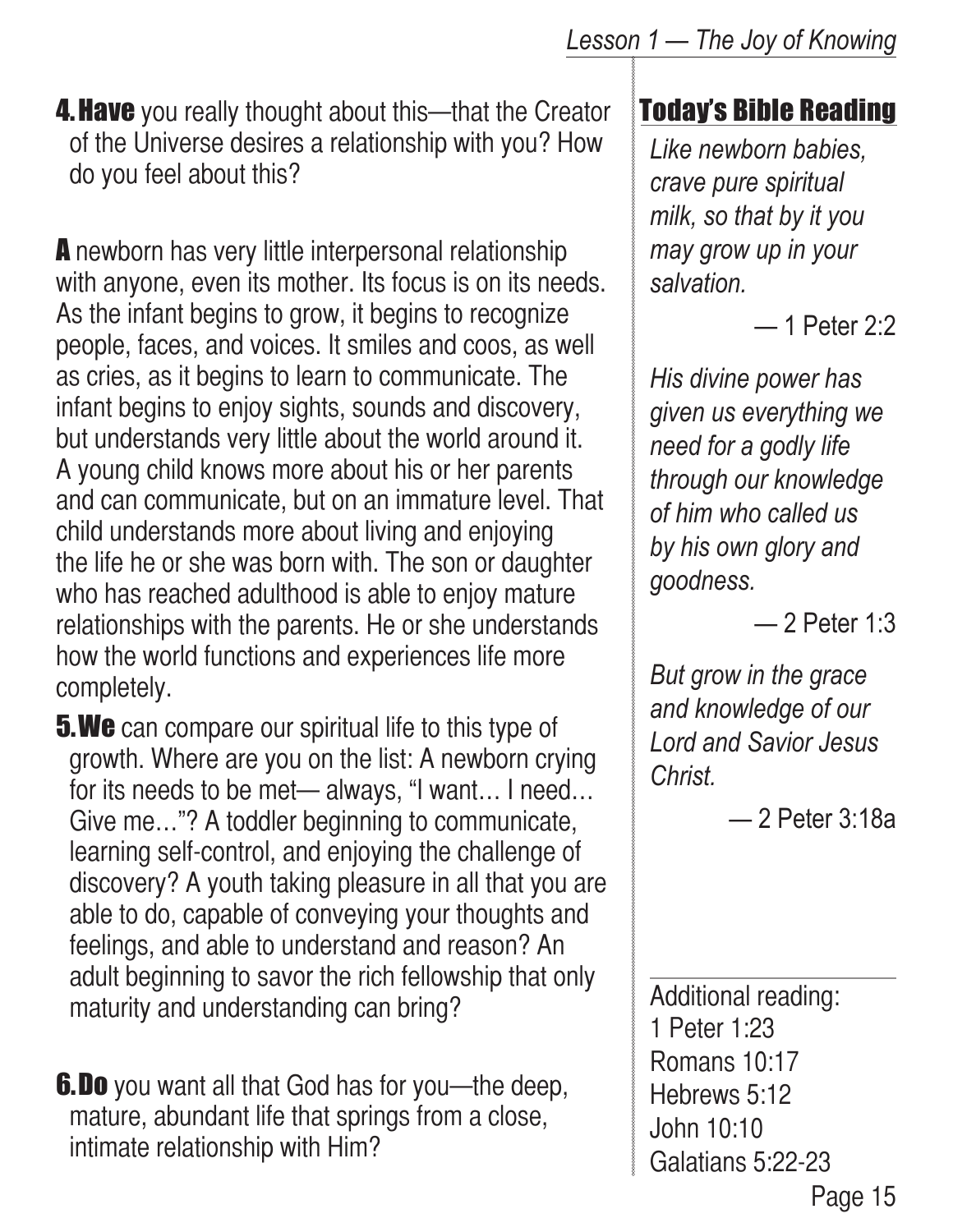**4. Have** you really thought about this—that the Creator of the Universe desires a relationship with you? How do you feel about this?

A newborn has very little interpersonal relationship with anyone, even its mother. Its focus is on its needs. As the infant begins to grow, it begins to recognize people, faces, and voices. It smiles and coos, as well as cries, as it begins to learn to communicate. The infant begins to enjoy sights, sounds and discovery, but understands very little about the world around it. A young child knows more about his or her parents and can communicate, but on an immature level. That child understands more about living and enjoying the life he or she was born with. The son or daughter who has reached adulthood is able to enjoy mature relationships with the parents. He or she understands how the world functions and experiences life more completely.

**5.We** can compare our spiritual life to this type of growth. Where are you on the list: A newborn crying for its needs to be met— always, "I want… I need… Give me…"? A toddler beginning to communicate, learning self-control, and enjoying the challenge of discovery? A youth taking pleasure in all that you are able to do, capable of conveying your thoughts and feelings, and able to understand and reason? An adult beginning to savor the rich fellowship that only maturity and understanding can bring?

**6.Do** you want all that God has for you—the deep, mature, abundant life that springs from a close, intimate relationship with Him?

#### Today's Bible Reading

*Like newborn babies, crave pure spiritual milk, so that by it you may grow up in your salvation.*

— 1 Peter 2:2

*His divine power has given us everything we need for a godly life through our knowledge of him who called us by his own glory and goodness.*

— 2 Peter 1:3

*But grow in the grace and knowledge of our Lord and Savior Jesus Christ.* 

— 2 Peter 3:18a

Page 15 Additional reading: 1 Peter 1:23 Romans 10:17 Hebrews 5:12 John 10:10 Galatians 5:22-23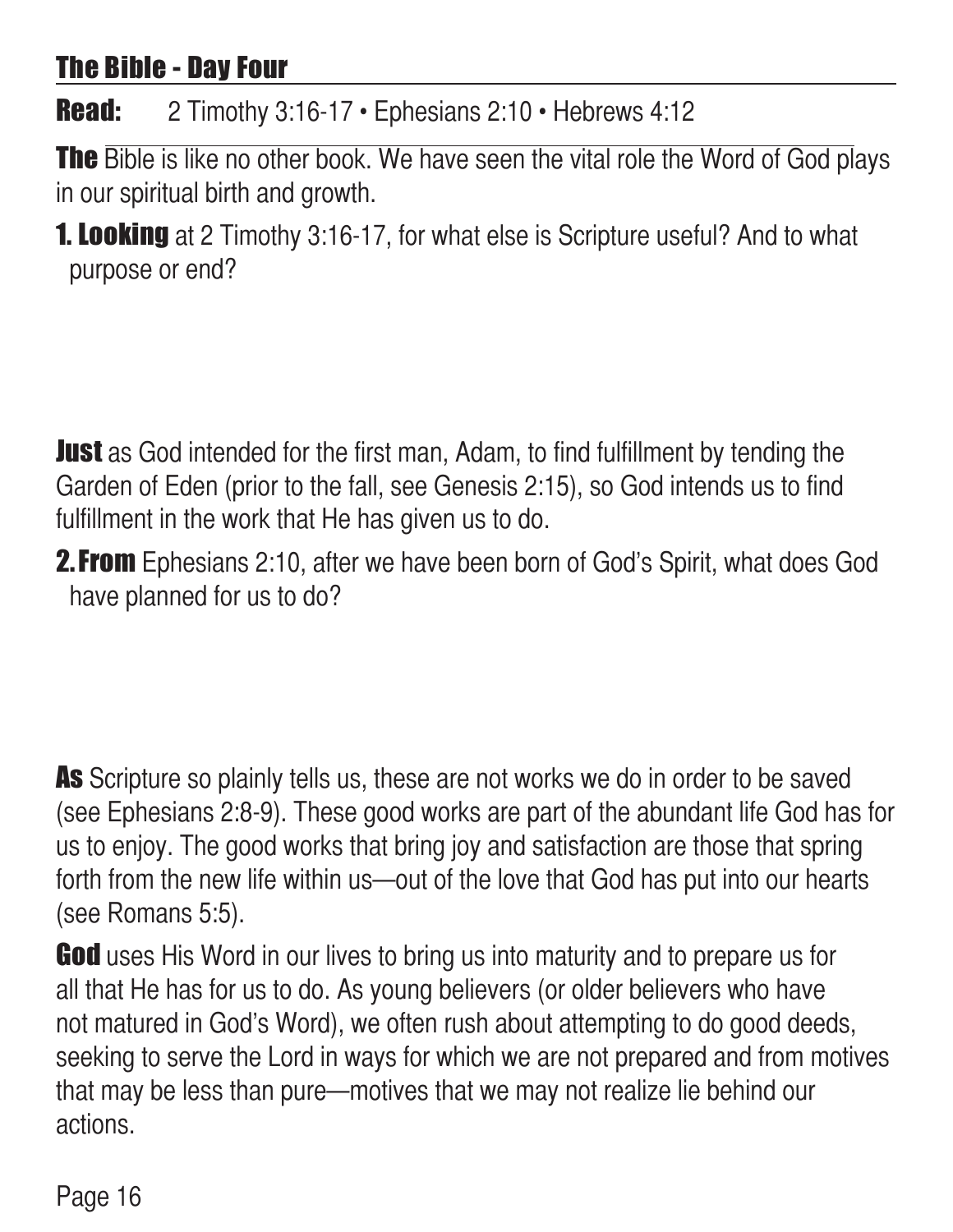#### The Bible - Day Four

Read: 2 Timothy 3:16-17 • Ephesians 2:10 • Hebrews 4:12

The Bible is like no other book. We have seen the vital role the Word of God plays in our spiritual birth and growth.

**1. Looking** at 2 Timothy 3:16-17, for what else is Scripture useful? And to what purpose or end?

**Just** as God intended for the first man, Adam, to find fulfillment by tending the Garden of Eden (prior to the fall, see Genesis 2:15), so God intends us to find fulfillment in the work that He has given us to do.

**2. From** Ephesians 2:10, after we have been born of God's Spirit, what does God have planned for us to do?

As Scripture so plainly tells us, these are not works we do in order to be saved (see Ephesians 2:8-9). These good works are part of the abundant life God has for us to enjoy. The good works that bring joy and satisfaction are those that spring forth from the new life within us—out of the love that God has put into our hearts (see Romans 5:5).

**God** uses His Word in our lives to bring us into maturity and to prepare us for all that He has for us to do. As young believers (or older believers who have not matured in God's Word), we often rush about attempting to do good deeds, seeking to serve the Lord in ways for which we are not prepared and from motives that may be less than pure—motives that we may not realize lie behind our actions.

Page 16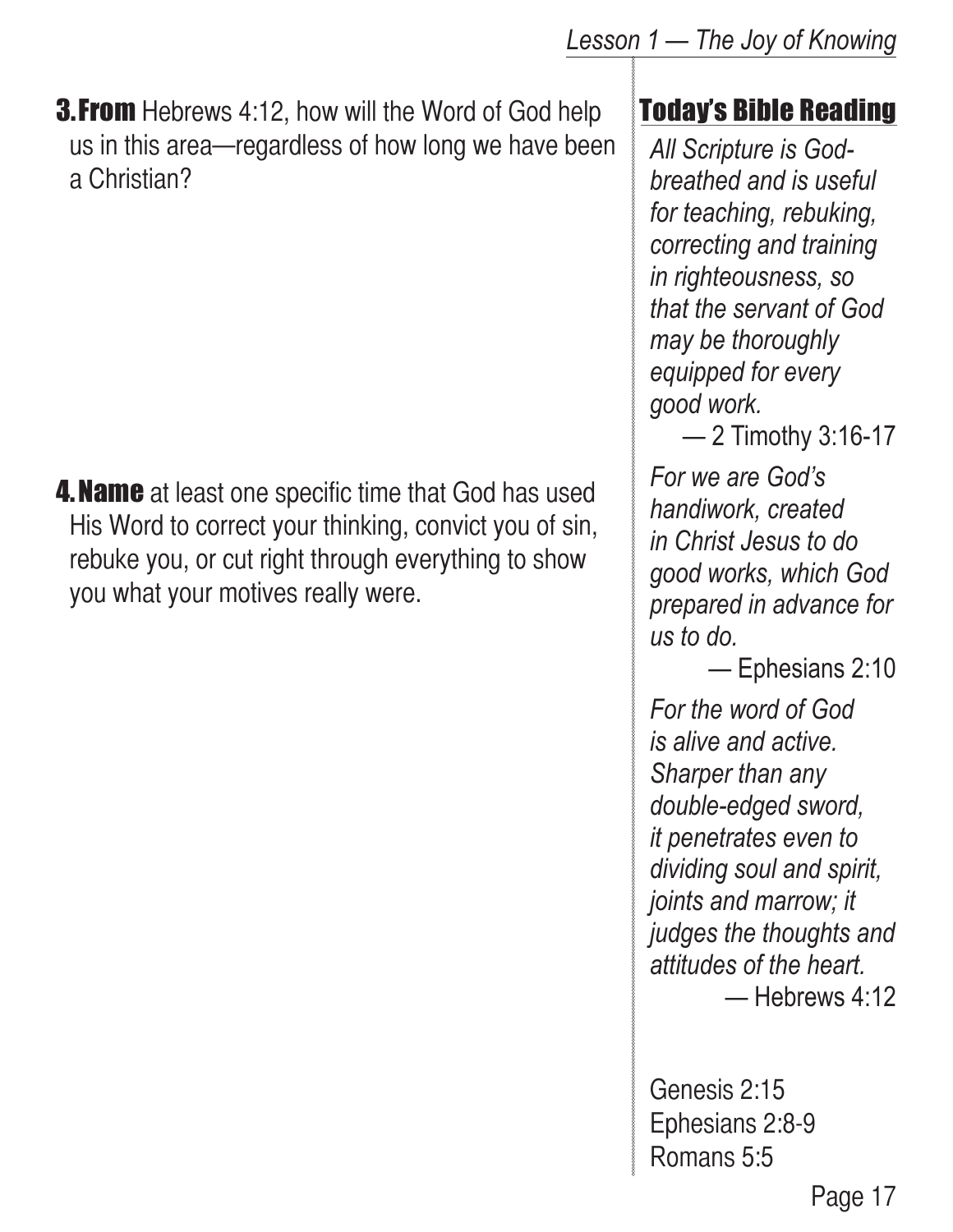**3. From** Hebrews 4:12, how will the Word of God help us in this area—regardless of how long we have been a Christian?

**4. Name** at least one specific time that God has used His Word to correct your thinking, convict you of sin, rebuke you, or cut right through everything to show you what your motives really were.

#### Today's Bible Reading

*All Scripture is Godbreathed and is useful for teaching, rebuking, correcting and training in righteousness, so that the servant of God may be thoroughly equipped for every good work.*

— 2 Timothy 3:16-17

*For we are God's handiwork, created in Christ Jesus to do good works, which God prepared in advance for us to do.*

— Ephesians 2:10

*For the word of God is alive and active. Sharper than any double-edged sword, it penetrates even to dividing soul and spirit, joints and marrow; it judges the thoughts and attitudes of the heart.* — Hebrews 4:12

Genesis 2:15 Ephesians 2:8-9 Romans 5:5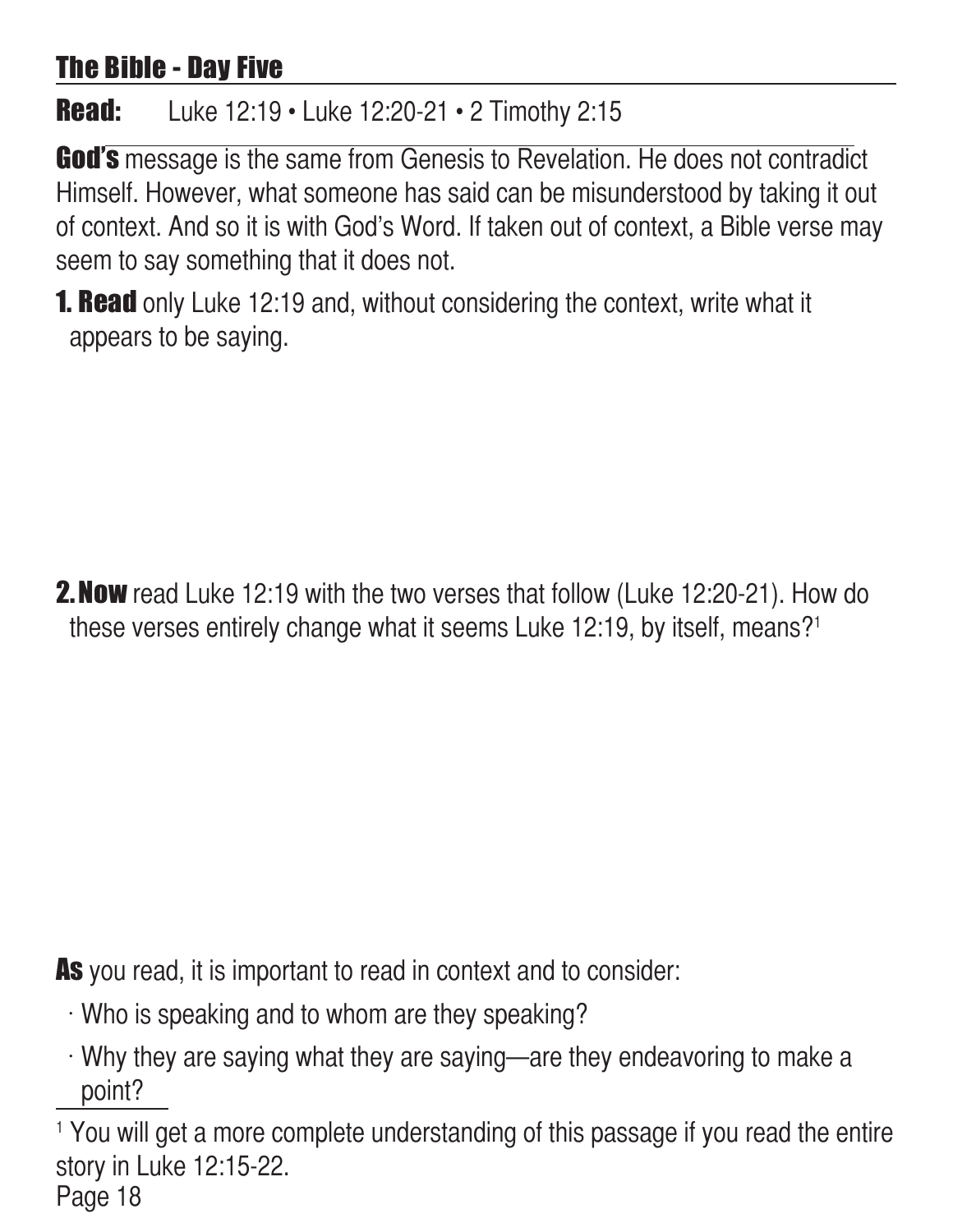#### The Bible - Day Five

#### **Read:** Luke 12:19 • Luke 12:20-21 • 2 Timothy 2:15

God's message is the same from Genesis to Revelation. He does not contradict Himself. However, what someone has said can be misunderstood by taking it out of context. And so it is with God's Word. If taken out of context, a Bible verse may seem to say something that it does not.

**1. Read** only Luke 12:19 and, without considering the context, write what it appears to be saying.

**2. Now** read Luke 12:19 with the two verses that follow (Luke 12:20-21). How do these verses entirely change what it seems Luke 12:19, by itself, means?1

As you read, it is important to read in context and to consider:

- $\cdot$  Who is speaking and to whom are they speaking?
- $\cdot$  Why they are saying what they are saying—are they endeavoring to make a point?

Page 18 <sup>1</sup> You will get a more complete understanding of this passage if you read the entire story in Luke 12:15-22.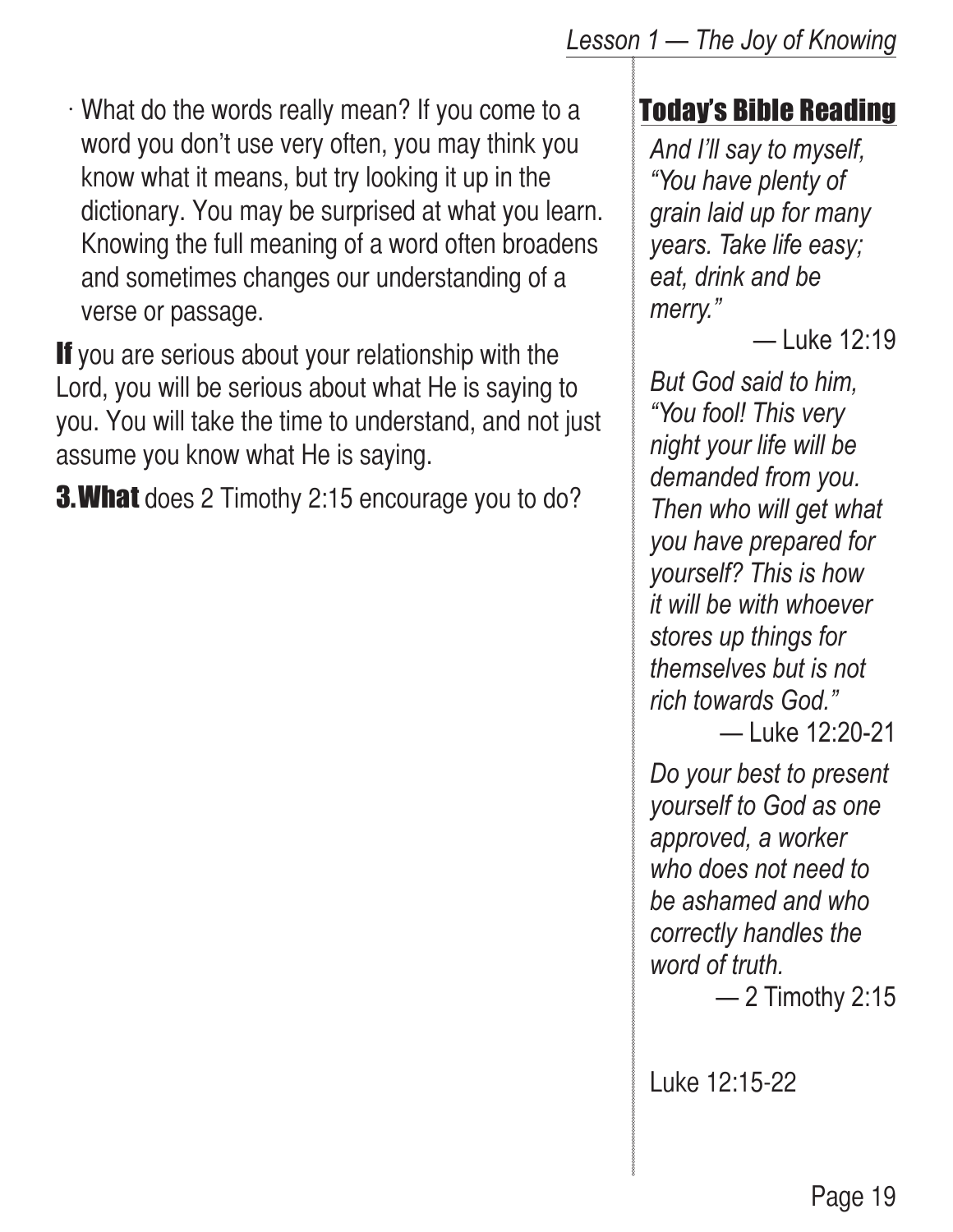#### *Lesson 1 — The Joy of Knowing*

 $\cdot$  What do the words really mean? If you come to a word you don't use very often, you may think you know what it means, but try looking it up in the dictionary. You may be surprised at what you learn. Knowing the full meaning of a word often broadens and sometimes changes our understanding of a verse or passage.

If you are serious about your relationship with the Lord, you will be serious about what He is saying to you. You will take the time to understand, and not just assume you know what He is saying.

**3. What** does 2 Timothy 2:15 encourage you to do?

#### Today's Bible Reading

*And I'll say to myself, "You have plenty of grain laid up for many years. Take life easy; eat, drink and be merry."*

— Luke 12:19

*But God said to him, "You fool! This very night your life will be demanded from you. Then who will get what you have prepared for yourself? This is how it will be with whoever stores up things for themselves but is not rich towards God."*

— Luke 12:20-21

*Do your best to present yourself to God as one approved, a worker who does not need to be ashamed and who correctly handles the word of truth.*

— 2 Timothy 2:15

Luke 12:15-22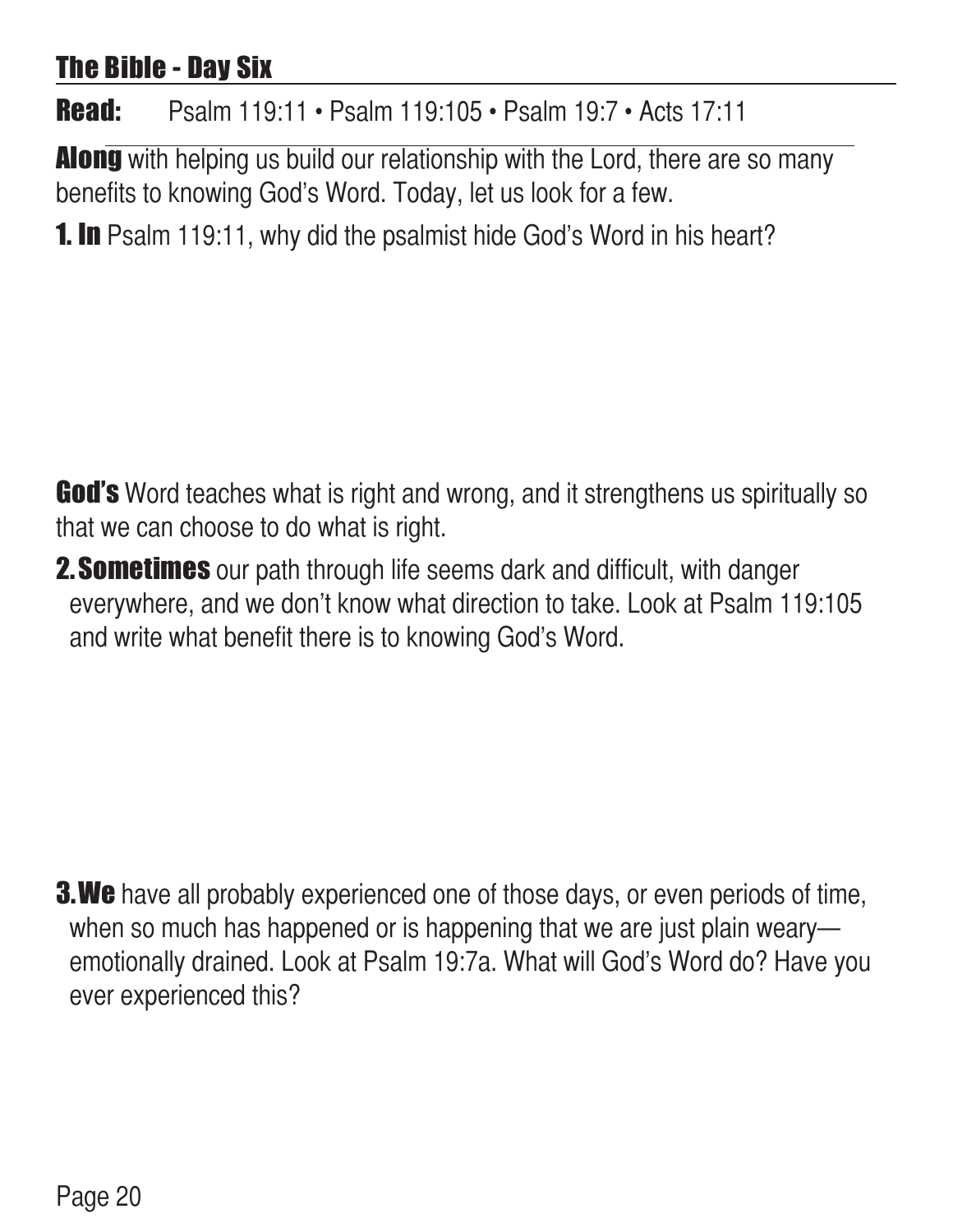#### The Bible - Day Six

Read: Psalm 119:11 • Psalm 119:105 • Psalm 19:7 • Acts 17:11

**Along** with helping us build our relationship with the Lord, there are so many benefits to knowing God's Word. Today, let us look for a few.

**1. In** Psalm 119:11, why did the psalmist hide God's Word in his heart?

God's Word teaches what is right and wrong, and it strengthens us spiritually so that we can choose to do what is right.

**2. Sometimes** our path through life seems dark and difficult, with danger everywhere, and we don't know what direction to take. Look at Psalm 119:105 and write what benefit there is to knowing God's Word.

**3. We** have all probably experienced one of those days, or even periods of time, when so much has happened or is happening that we are just plain weary emotionally drained. Look at Psalm 19:7a. What will God's Word do? Have you ever experienced this?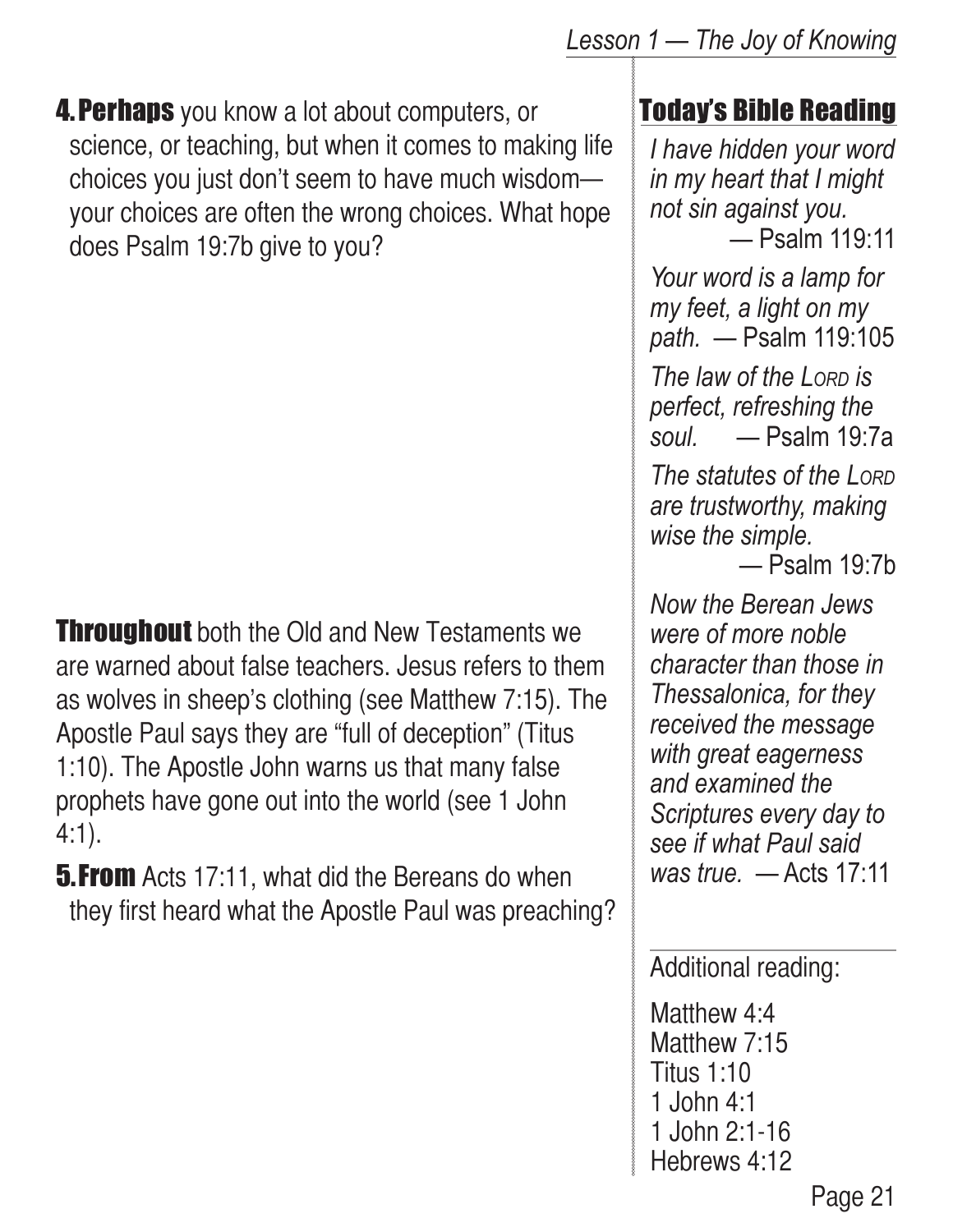**4. Perhaps** you know a lot about computers, or science, or teaching, but when it comes to making life choices you just don't seem to have much wisdom your choices are often the wrong choices. What hope does Psalm 19:7b give to you?

**Throughout** both the Old and New Testaments we are warned about false teachers. Jesus refers to them as wolves in sheep's clothing (see Matthew 7:15). The Apostle Paul says they are "full of deception" (Titus 1:10). The Apostle John warns us that many false prophets have gone out into the world (see 1 John 4:1).

**5. From** Acts 17:11, what did the Bereans do when they first heard what the Apostle Paul was preaching?

#### Today's Bible Reading

*I have hidden your word in my heart that I might not sin against you.* — Psalm 119:11

*Your word is a lamp for my feet, a light on my path.* — Psalm 119:105

*The law of the Lorp is perfect, refreshing the soul.* — Psalm 19:7a

*The statutes of the Lord are trustworthy, making wise the simple.*

— Psalm 19:7b

*Now the Berean Jews were of more noble character than those in Thessalonica, for they received the message with great eagerness and examined the Scriptures every day to see if what Paul said was true.* — Acts 17:11

Additional reading:

Matthew 4:4 Matthew 7:15 Titus 1:10 1 John 4:1 1 John 2:1-16 Hebrews 4:12

Page 21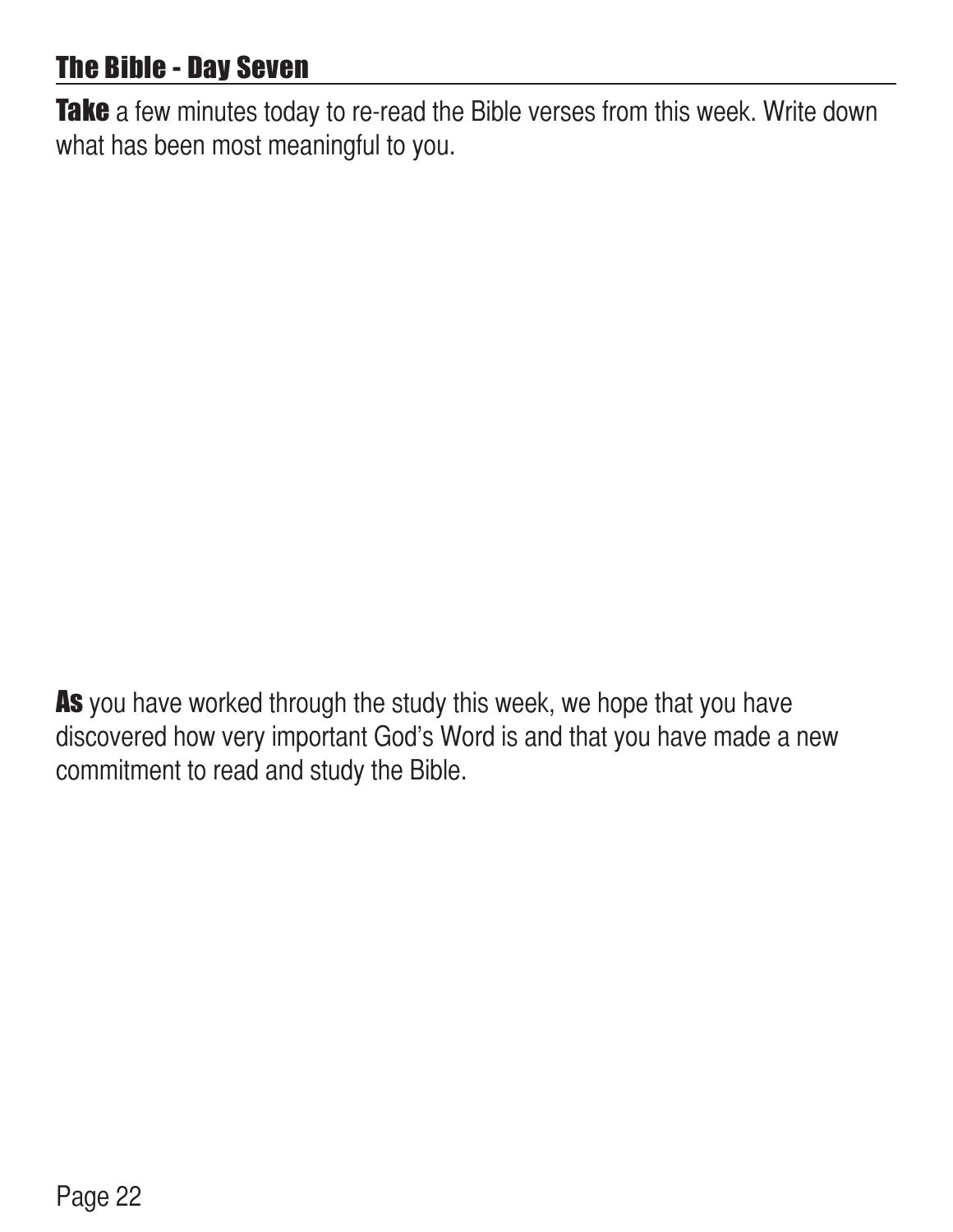#### The Bible - Day Seven

Take a few minutes today to re-read the Bible verses from this week. Write down what has been most meaningful to you.

As you have worked through the study this week, we hope that you have discovered how very important God's Word is and that you have made a new commitment to read and study the Bible.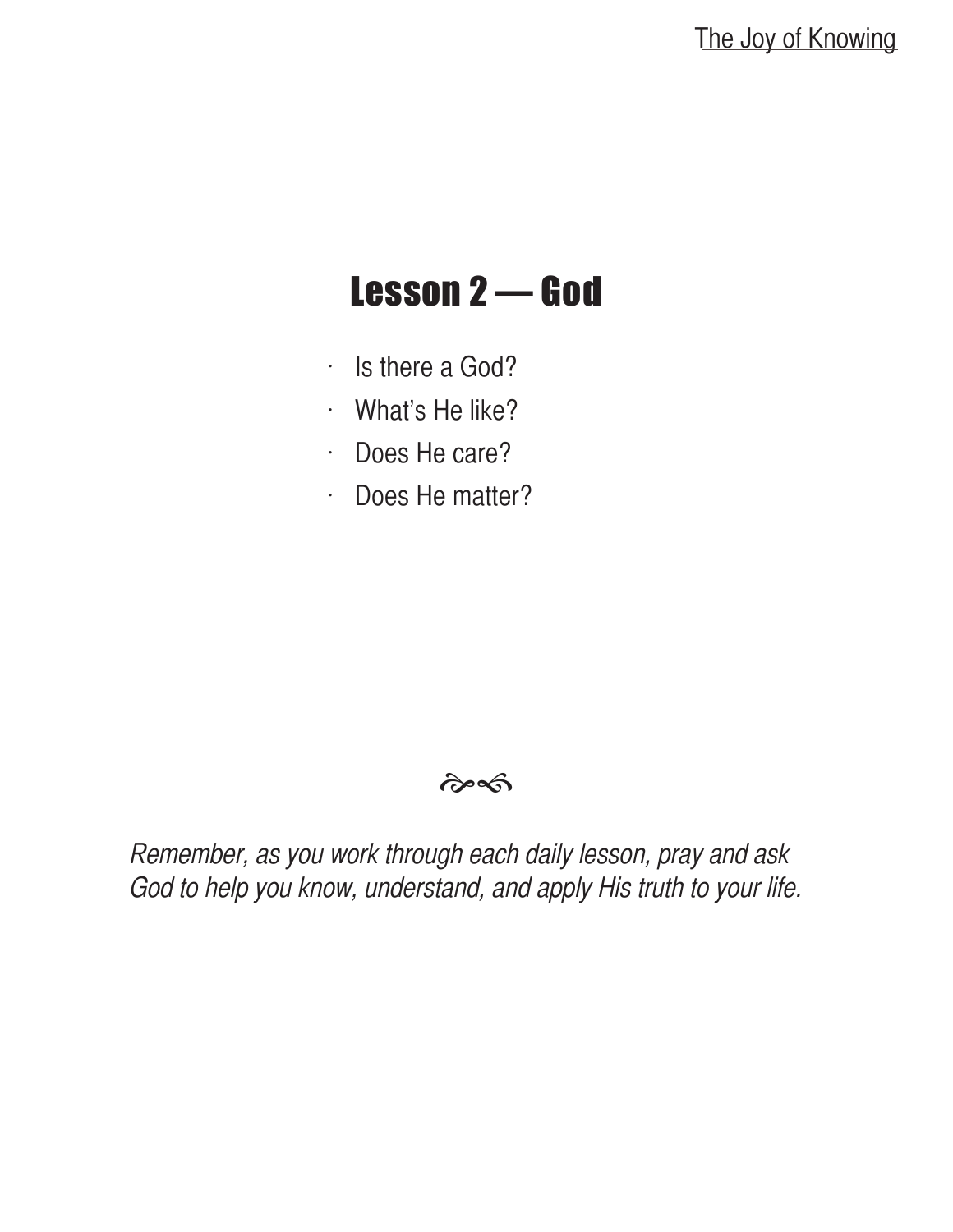### Lesson 2 — God

- $\cdot$  Is there a God?
- $\cdot$  What's He like?
- $\cdot$  Does He care?
- $\cdot$  Does He matter?

#### $\hat{\sigma}$

Remember, as you work through each daily lesson, pray and ask God to help you know, understand, and apply His truth to your life.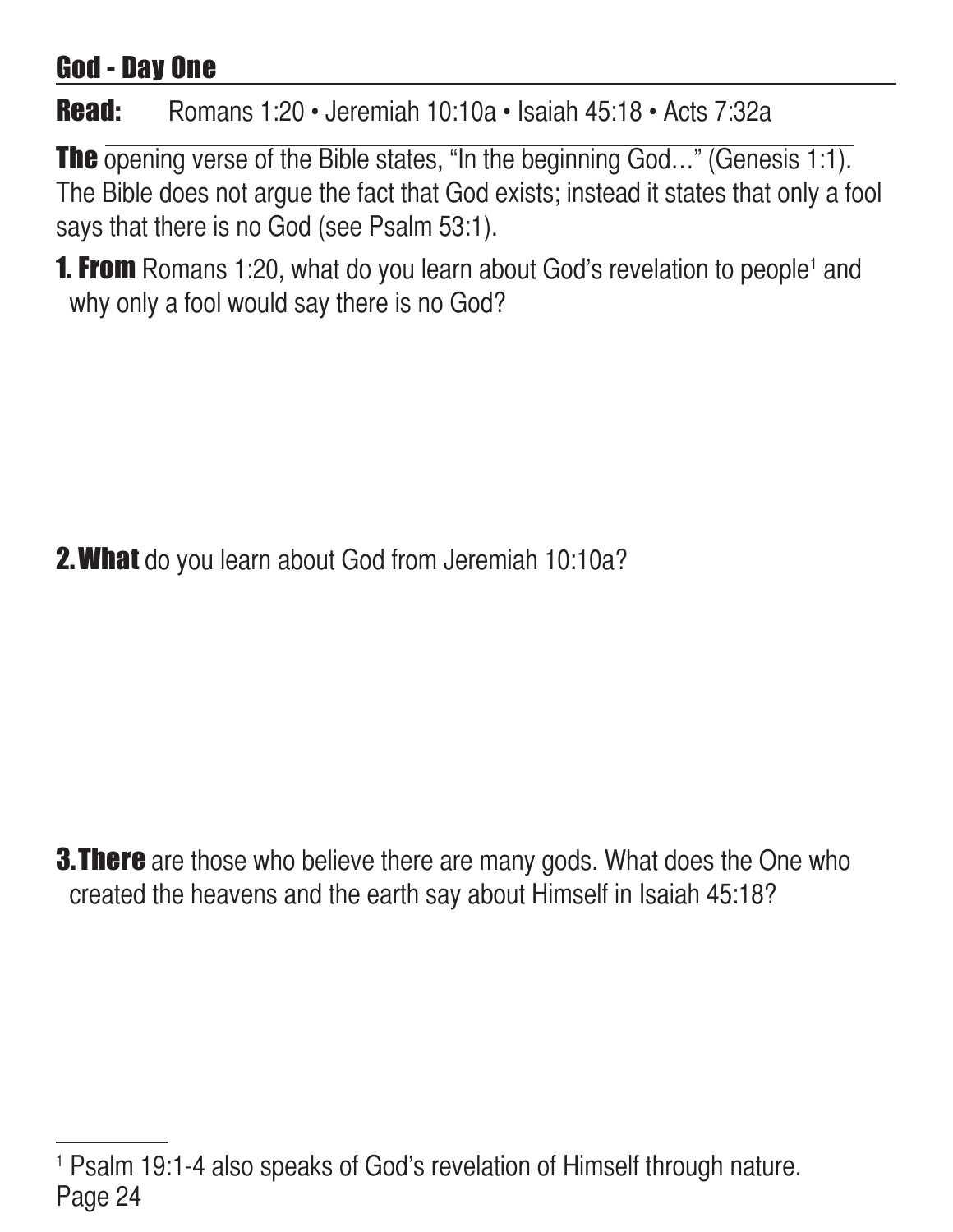#### God - Day One

#### Read: Romans 1:20 • Jeremiah 10:10a • Isaiah 45:18 • Acts 7:32a

The opening verse of the Bible states, "In the beginning God..." (Genesis 1:1). The Bible does not argue the fact that God exists; instead it states that only a fool says that there is no God (see Psalm 53:1).

**1. From** Romans 1:20, what do you learn about God's revelation to people<sup>1</sup> and why only a fool would say there is no God?

**2. What** do you learn about God from Jeremiah 10:10a?

**3. There** are those who believe there are many gods. What does the One who created the heavens and the earth say about Himself in Isaiah 45:18?

Page 24 1 Psalm 19:1-4 also speaks of God's revelation of Himself through nature.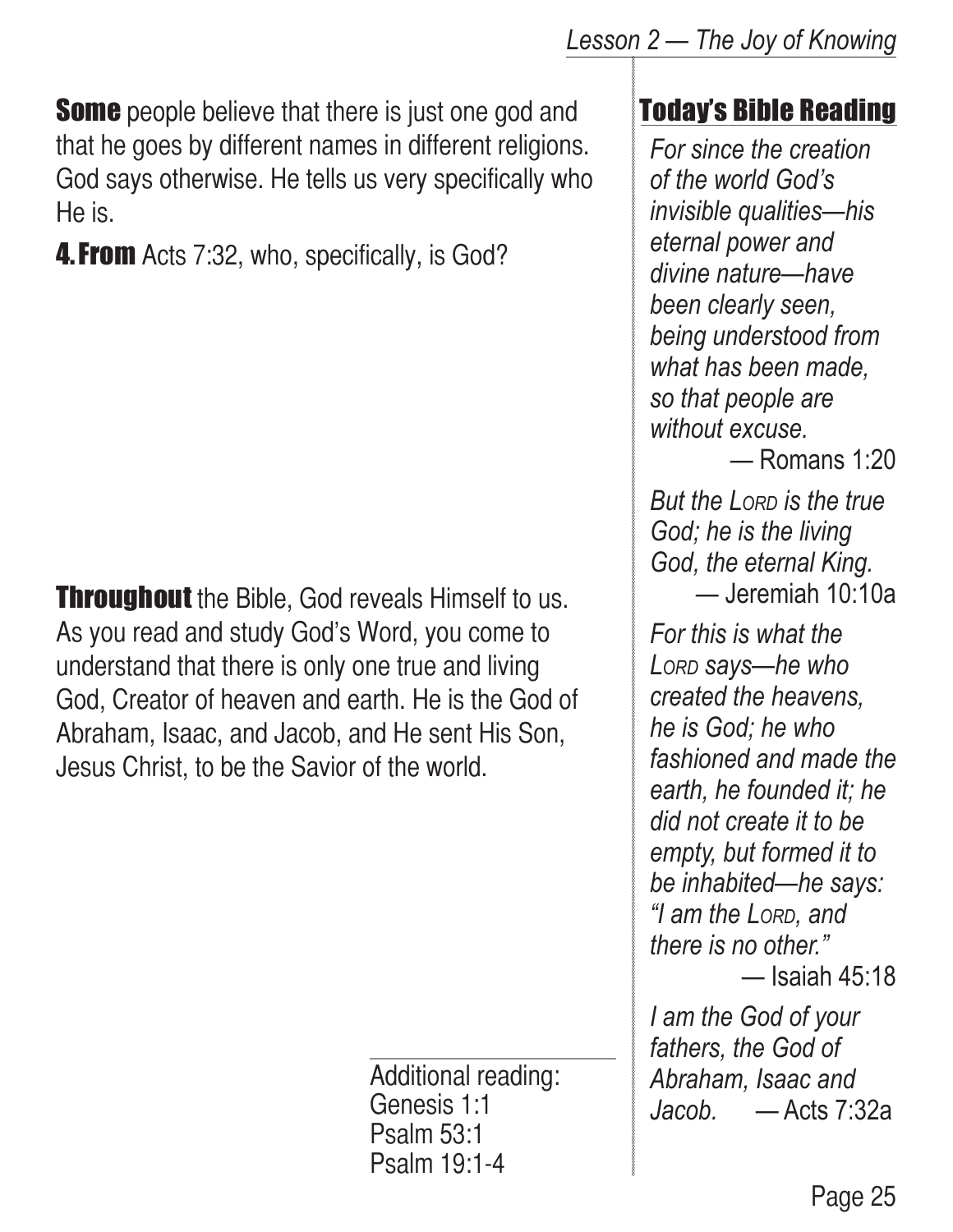**Some** people believe that there is just one god and **Today's Bible Reading** that he goes by different names in different religions. God says otherwise. He tells us very specifically who He is.

**4. From** Acts 7:32, who, specifically, is God?

**Throughout** the Bible, God reveals Himself to us. As you read and study God's Word, you come to understand that there is only one true and living God, Creator of heaven and earth. He is the God of Abraham, Isaac, and Jacob, and He sent His Son, Jesus Christ, to be the Savior of the world.

> Additional reading: Genesis 1:1 Psalm 53:1 Psalm 19:1-4

#### *Lesson 2 — The Joy of Knowing*

*For since the creation of the world God's invisible qualities—his eternal power and divine nature—have been clearly seen, being understood from what has been made, so that people are without excuse.*

— Romans 1:20

*But the LORD* is the true *God; he is the living God, the eternal King.*  — Jeremiah 10:10a

*For this is what the Lord says—he who created the heavens, he is God; he who fashioned and made the earth, he founded it; he did not create it to be empty, but formed it to be inhabited—he says: "I am the Lord, and there is no other."* — Isaiah 45:18

*I am the God of your fathers, the God of Abraham, Isaac and Jacob.* — Acts 7:32a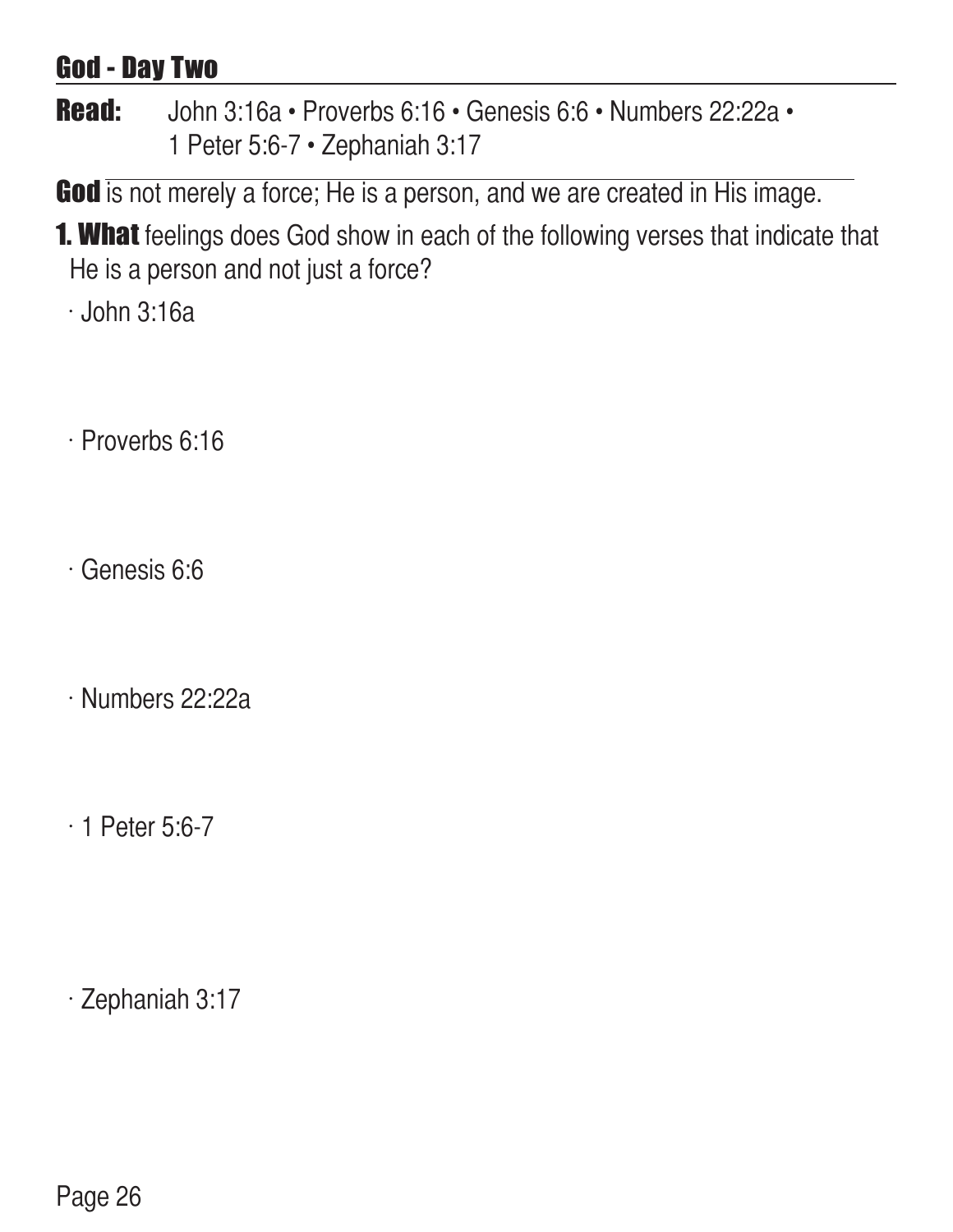#### God - Day Two

Read: John 3:16a • Proverbs 6:16 • Genesis 6:6 • Numbers 22:22a • 1 Peter 5:6-7 • Zephaniah 3:17

God is not merely a force; He is a person, and we are created in His image.

**1. What** feelings does God show in each of the following verses that indicate that He is a person and not just a force?

 $\cdot$  John 3:16a

- $\cdot$  Proverbs 6:16
- $\cdot$  Genesis 6:6
- $\cdot$  Numbers 22:22a
- $\cdot$  1 Peter 5:6-7

 $\cdot$  Zephaniah 3:17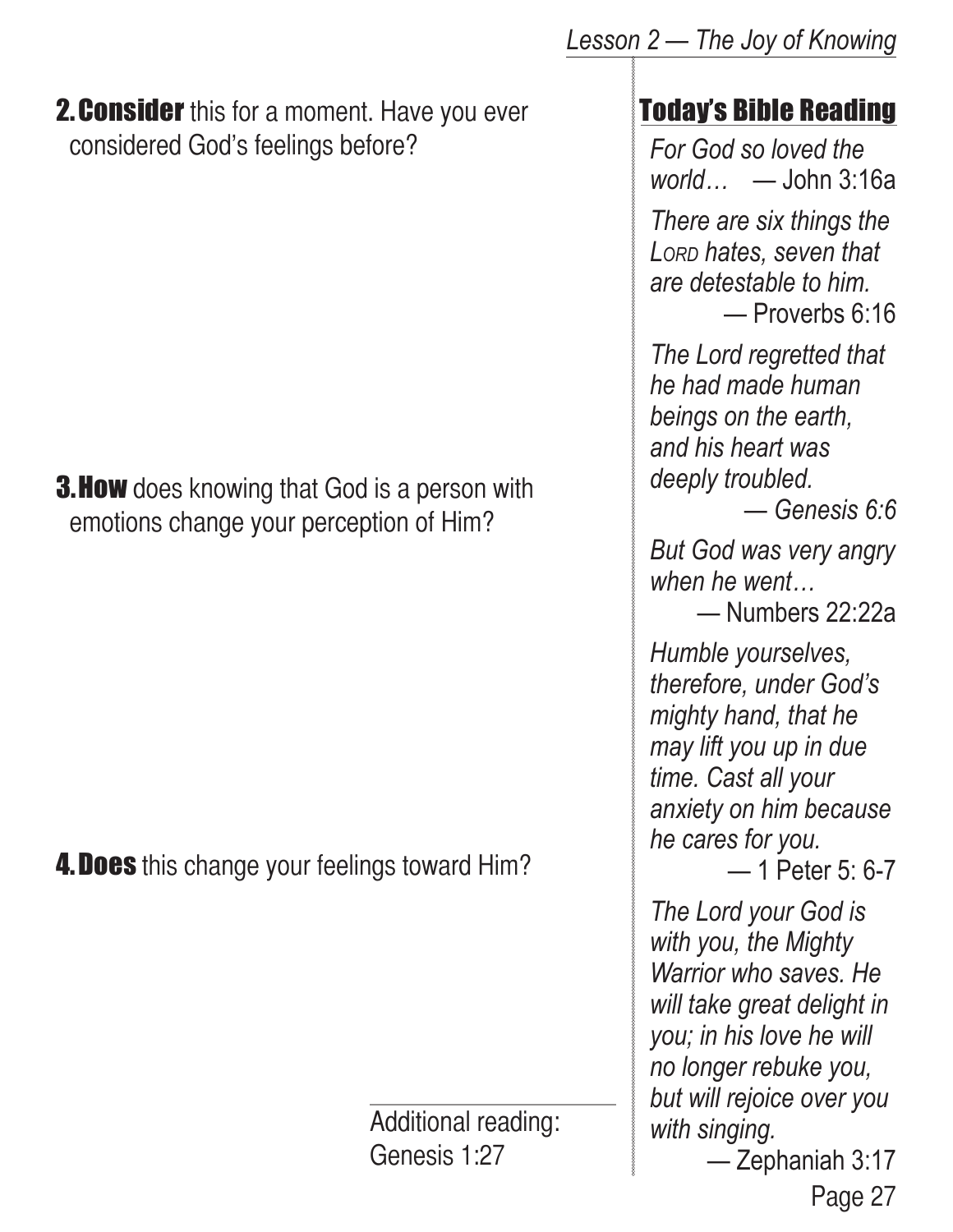**2. Consider** this for a moment. Have you ever considered God's feelings before?

**3. How** does knowing that God is a person with emotions change your perception of Him?

**4. Does** this change your feelings toward Him?

Additional reading: Genesis 1:27

#### Today's Bible Reading

*For God so loved the world…* — John 3:16a *There are six things the* 

*Lord hates, seven that are detestable to him.* — Proverbs 6:16

*The Lord regretted that he had made human beings on the earth, and his heart was deeply troubled.* 

— *Genesis 6:6*

*But God was very angry when he went…*

— Numbers 22:22a

*Humble yourselves, therefore, under God's mighty hand, that he may lift you up in due time. Cast all your anxiety on him because he cares for you.*

— 1 Peter 5: 6-7

*The Lord your God is with you, the Mighty Warrior who saves. He will take great delight in you; in his love he will no longer rebuke you, but will rejoice over you with singing.*

Page 27 — Zephaniah 3:17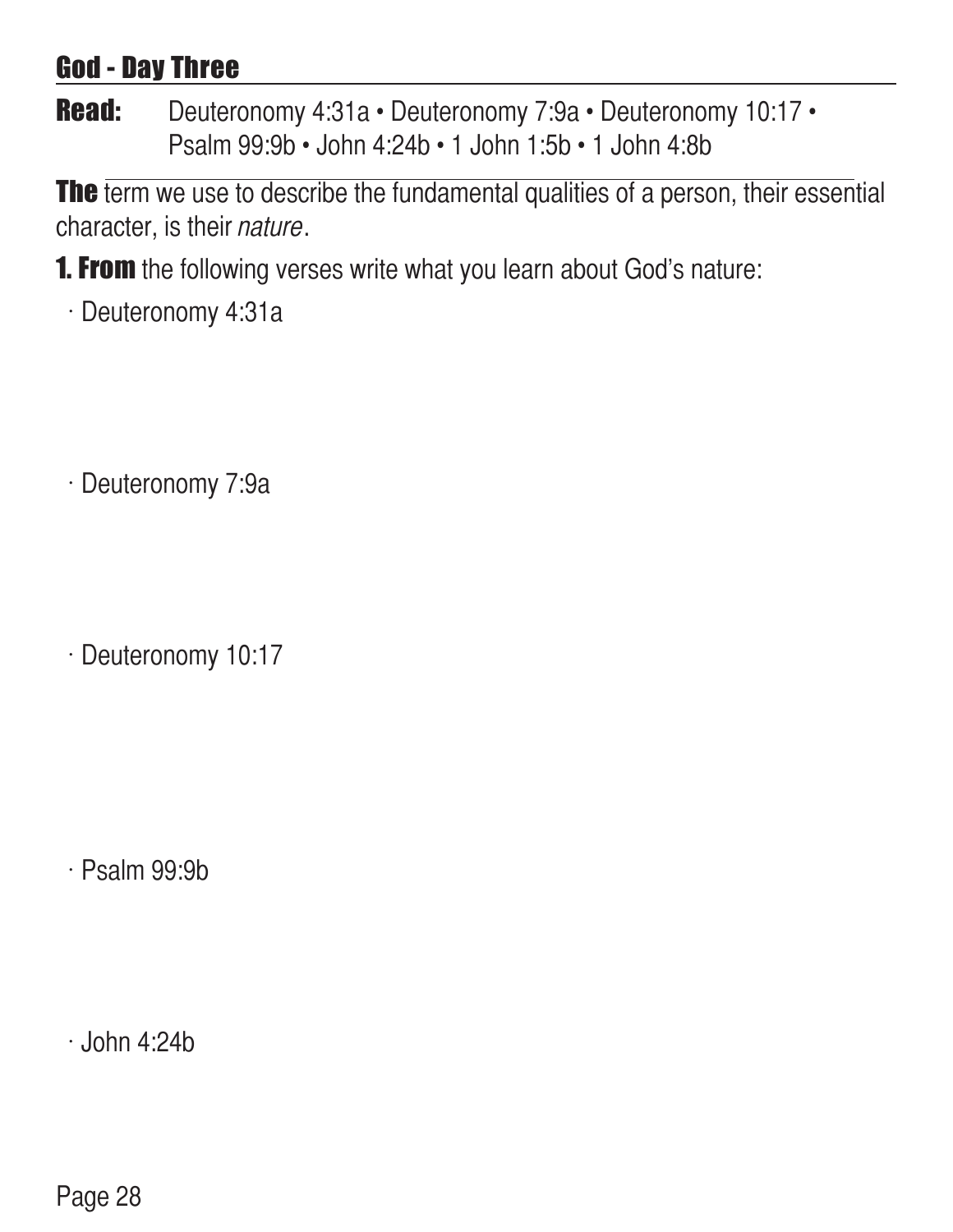#### God - Day Three

Read: Deuteronomy 4:31a • Deuteronomy 7:9a • Deuteronomy 10:17 • Psalm 99:9b • John 4:24b • 1 John 1:5b • 1 John 4:8b

The term we use to describe the fundamental qualities of a person, their essential character, is their nature.

- **1. From** the following verses write what you learn about God's nature:
	- $\cdot$  Deuteronomy 4:31a

· Deuteronomy 7:9a

 $\cdot$  Deuteronomy 10:17

 $\cdot$  Psalm 99:9b

 $\cdot$  John 4:24b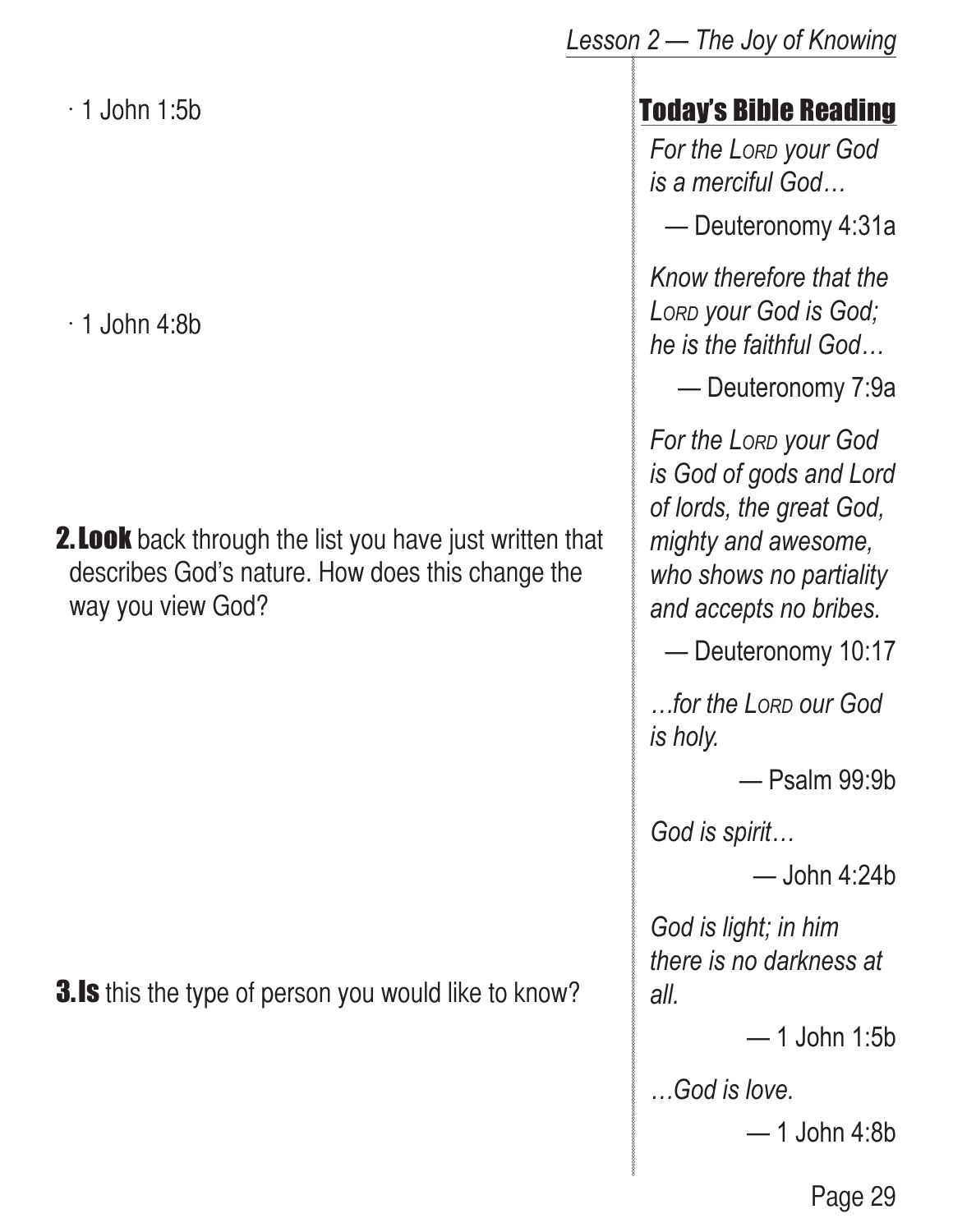$\cdot$  1 John 1:5b

 $\cdot$  1 John 4:8b

**2. Look** back through the list you have just written that describes God's nature. How does this change the way you view God?

**3.Is** this the type of person you would like to know?

#### Today's Bible Reading

*For the Lord your God is a merciful God…*

— Deuteronomy 4:31a

*Know therefore that the Lord your God is God; he is the faithful God…*

— Deuteronomy 7:9a

*For the Lord your God is God of gods and Lord of lords, the great God, mighty and awesome, who shows no partiality and accepts no bribes.*

— Deuteronomy 10:17

*…for the Lord our God is holy.*

— Psalm 99:9b

*God is spirit…*

 $-$ John 4:24b

*God is light; in him there is no darkness at all.*

— 1 John 1:5b

*…God is love.*

— 1 John 4:8b

Page 29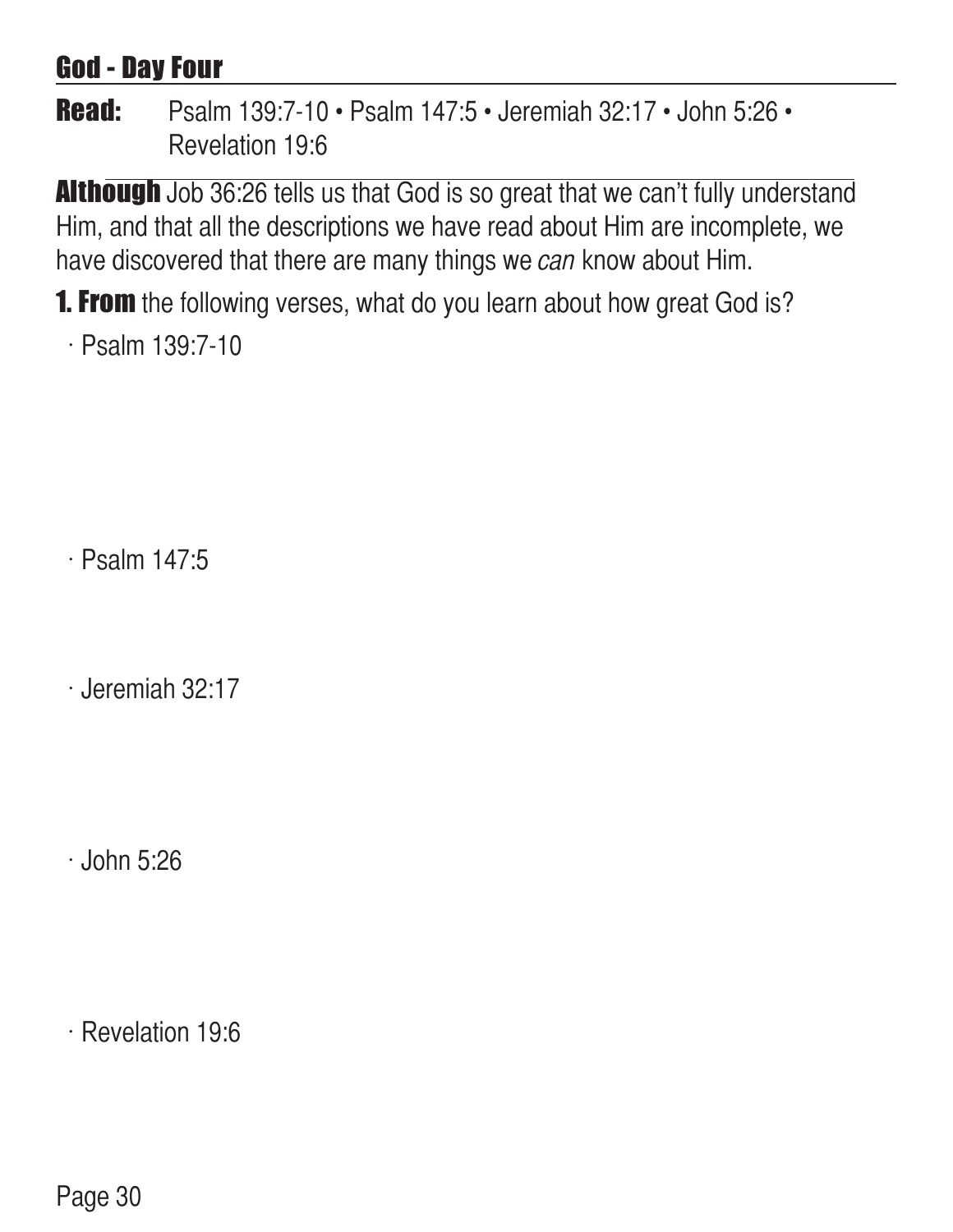#### God - Day Four

#### Read: Psalm 139:7-10 • Psalm 147:5 • Jeremiah 32:17 • John 5:26 • Revelation 19:6

**Although** Job 36:26 tells us that God is so great that we can't fully understand Him, and that all the descriptions we have read about Him are incomplete, we have discovered that there are many things we can know about Him.

**1. From** the following verses, what do you learn about how great God is?

 $\cdot$  Psalm 139:7-10

 $\cdot$  Psalm 147:5

 $\cdot$  Jeremiah 32:17

 $\cdot$  John 5:26

 $\cdot$  Revelation 19:6

Page 30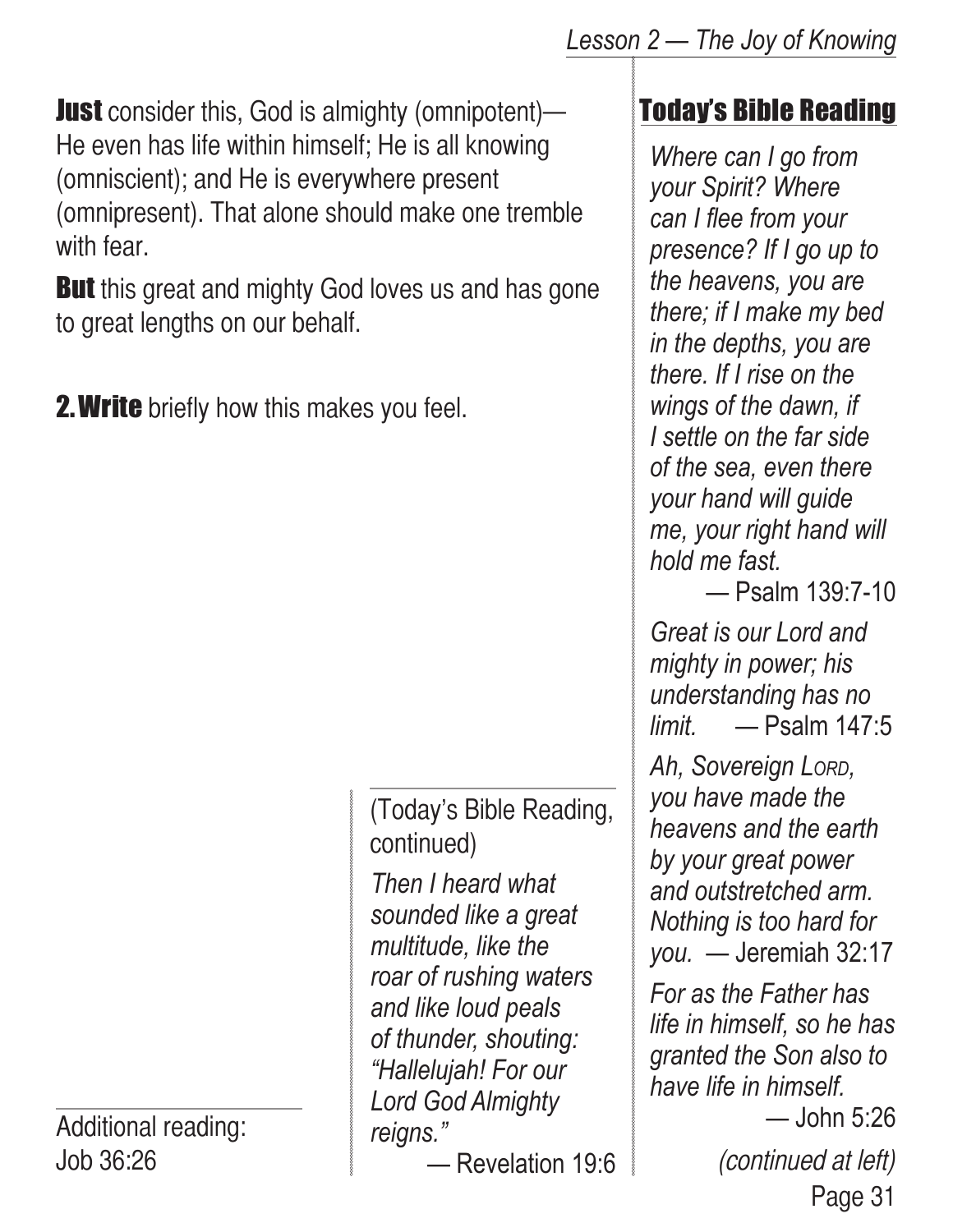**Just** consider this, God is almighty (omnipotent)— He even has life within himself; He is all knowing (omniscient); and He is everywhere present

(omnipresent). That alone should make one tremble with fear.

**But** this great and mighty God loves us and has gone to great lengths on our behalf.

**2. Write** briefly how this makes you feel.

*Then I heard what*  (Today's Bible Reading, continued)

*sounded like a great multitude, like the roar of rushing waters and like loud peals of thunder, shouting: "Hallelujah! For our Lord God Almighty reigns."*

*—* Revelation 19:6 (continued at left)

#### Today's Bible Reading

*Where can I go from your Spirit? Where can I flee from your presence? If I go up to the heavens, you are there; if I make my bed in the depths, you are there. If I rise on the wings of the dawn, if I settle on the far side of the sea, even there your hand will guide me, your right hand will hold me fast.*

— Psalm 139:7-10

*Great is our Lord and mighty in power; his understanding has no limit.* — Psalm 147:5

*Ah, Sovereign Lord, you have made the heavens and the earth by your great power and outstretched arm. Nothing is too hard for you.* — Jeremiah 32:17

*For as the Father has life in himself, so he has granted the Son also to have life in himself.*

Page 31 — John 5:26

Additional reading: Job 36:26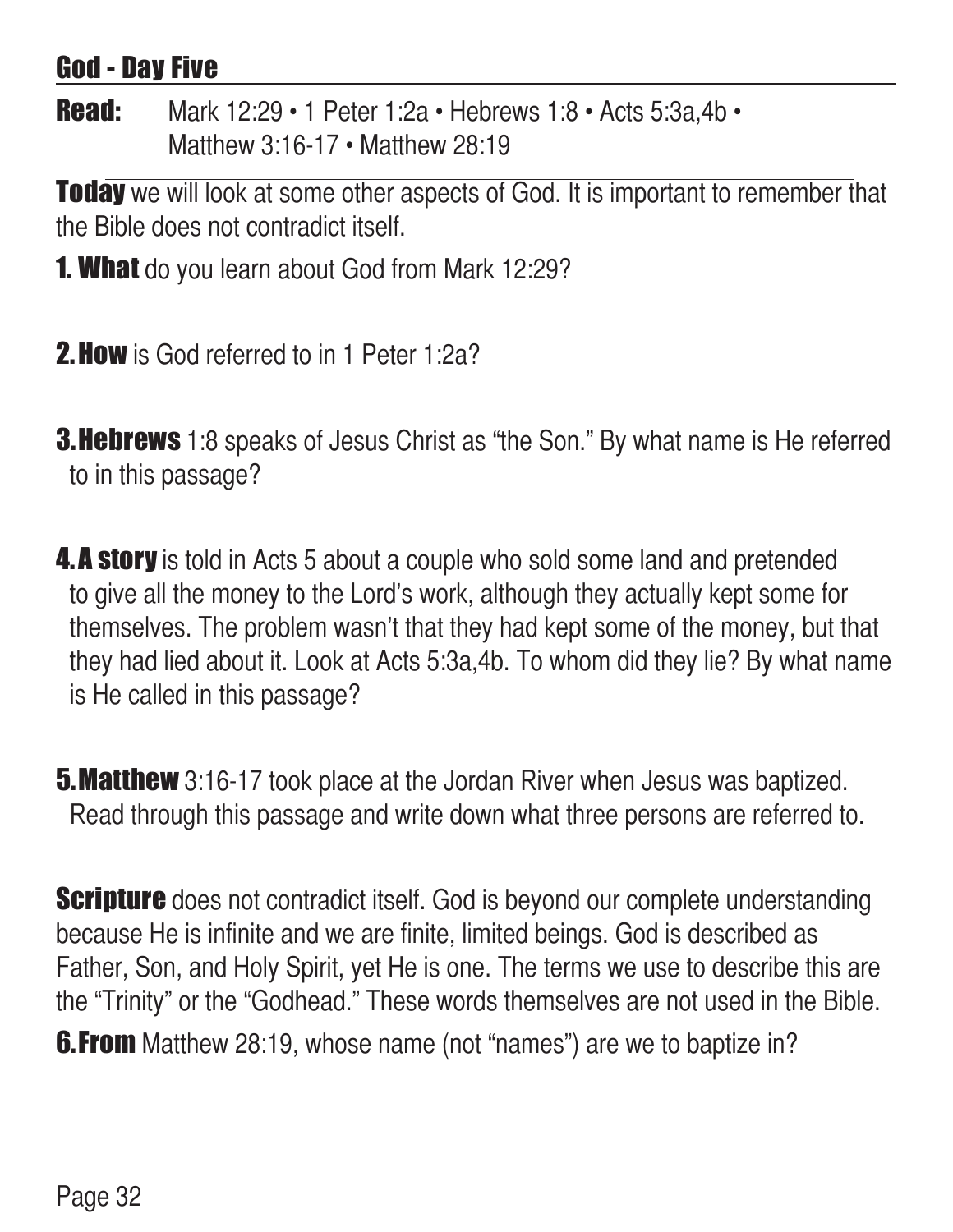#### God - Day Five

**Read:** Mark 12:29 • 1 Peter 1:2a • Hebrews 1:8 • Acts 5:3a,4b • Matthew 3:16-17 • Matthew 28:19

**Today** we will look at some other aspects of God. It is important to remember that the Bible does not contradict itself.

- **1. What** do you learn about God from Mark 12:29?
- **2. How** is God referred to in 1 Peter 1:2a?
- **3. Hebrews** 1:8 speaks of Jesus Christ as "the Son." By what name is He referred to in this passage?
- **4.A story** is told in Acts 5 about a couple who sold some land and pretended to give all the money to the Lord's work, although they actually kept some for themselves. The problem wasn't that they had kept some of the money, but that they had lied about it. Look at Acts 5:3a,4b. To whom did they lie? By what name is He called in this passage?
- **5. Matthew** 3:16-17 took place at the Jordan River when Jesus was baptized. Read through this passage and write down what three persons are referred to.

**Scripture** does not contradict itself. God is beyond our complete understanding because He is infinite and we are finite, limited beings. God is described as Father, Son, and Holy Spirit, yet He is one. The terms we use to describe this are the "Trinity" or the "Godhead." These words themselves are not used in the Bible. **6.From** Matthew 28:19, whose name (not "names") are we to baptize in?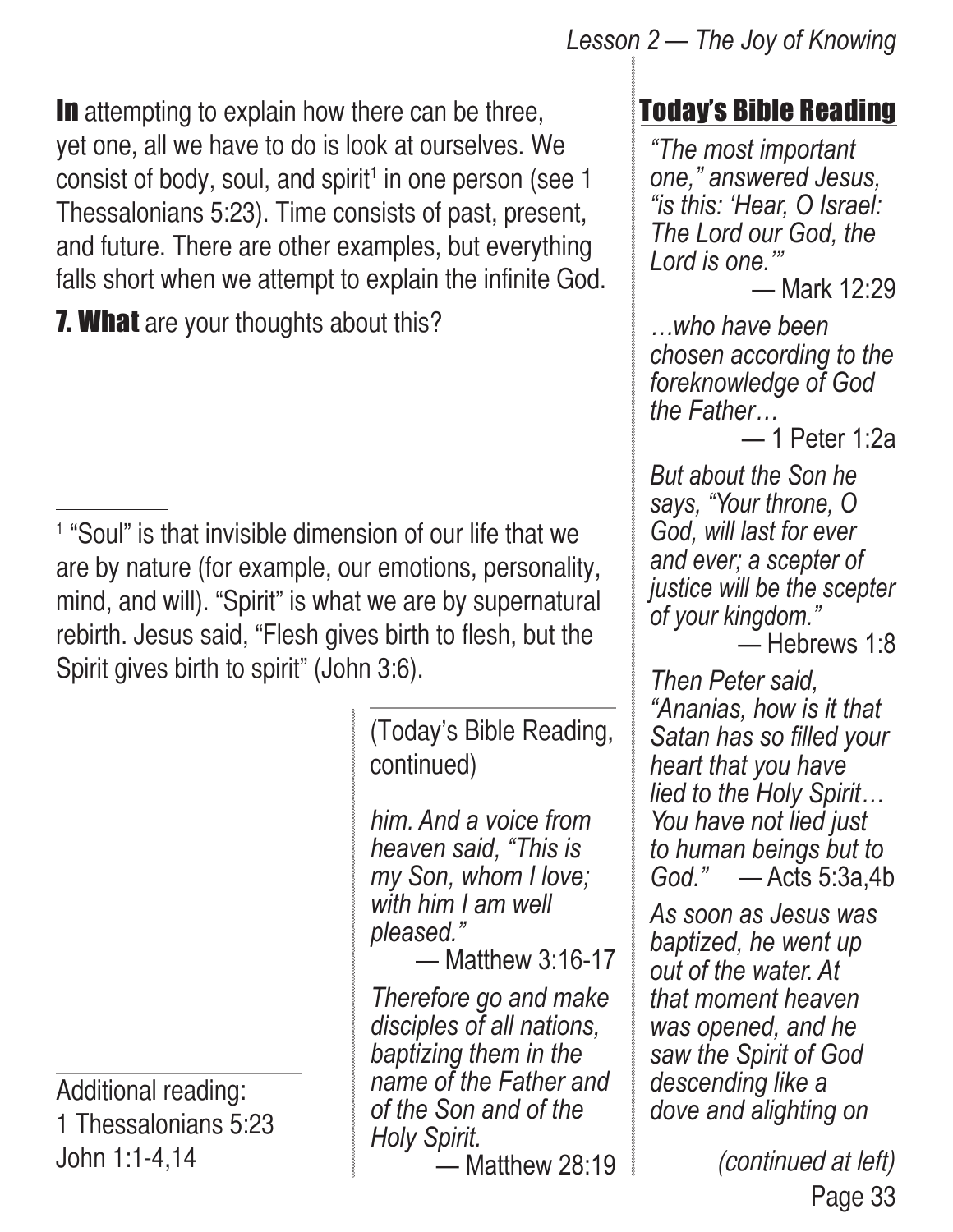In attempting to explain how there can be three, yet one, all we have to do is look at ourselves. We  $consist$  of body, soul, and spirit<sup>1</sup> in one person (see 1 Thessalonians 5:23). Time consists of past, present, and future. There are other examples, but everything falls short when we attempt to explain the infinite God.

**7. What** are your thoughts about this?

<sup>1</sup> "Soul" is that invisible dimension of our life that we are by nature (for example, our emotions, personality, mind, and will). "Spirit" is what we are by supernatural rebirth. Jesus said, "Flesh gives birth to flesh, but the Spirit gives birth to spirit" (John 3:6).

> (Today's Bible Reading, continued)

*him. And a voice from heaven said, "This is my Son, whom I love; with him I am well pleased."*

— Matthew 3:16-17

*Therefore go and make disciples of all nations, baptizing them in the name of the Father and of the Son and of the Holy Spirit.*

— Matthew 28:19

#### Today's Bible Reading

*"The most important one," answered Jesus, "is this: 'Hear, O Israel: The Lord our God, the Lord is one.'"*

— Mark 12:29

*…who have been chosen according to the foreknowledge of God the Father…*

— 1 Peter 1:2a

*But about the Son he says, "Your throne, O God, will last for ever and ever; a scepter of justice will be the scepter of your kingdom."*

— Hebrews 1:8

*Then Peter said, "Ananias, how is it that Satan has so filled your heart that you have lied to the Holy Spirit… You have not lied just to human beings but to God."* — Acts 5:3a,4b

*As soon as Jesus was baptized, he went up out of the water. At that moment heaven was opened, and he saw the Spirit of God descending like a dove and alighting on* 

> Page 33 (continued at left)

Additional reading: 1 Thessalonians 5:23 John 1:1-4,14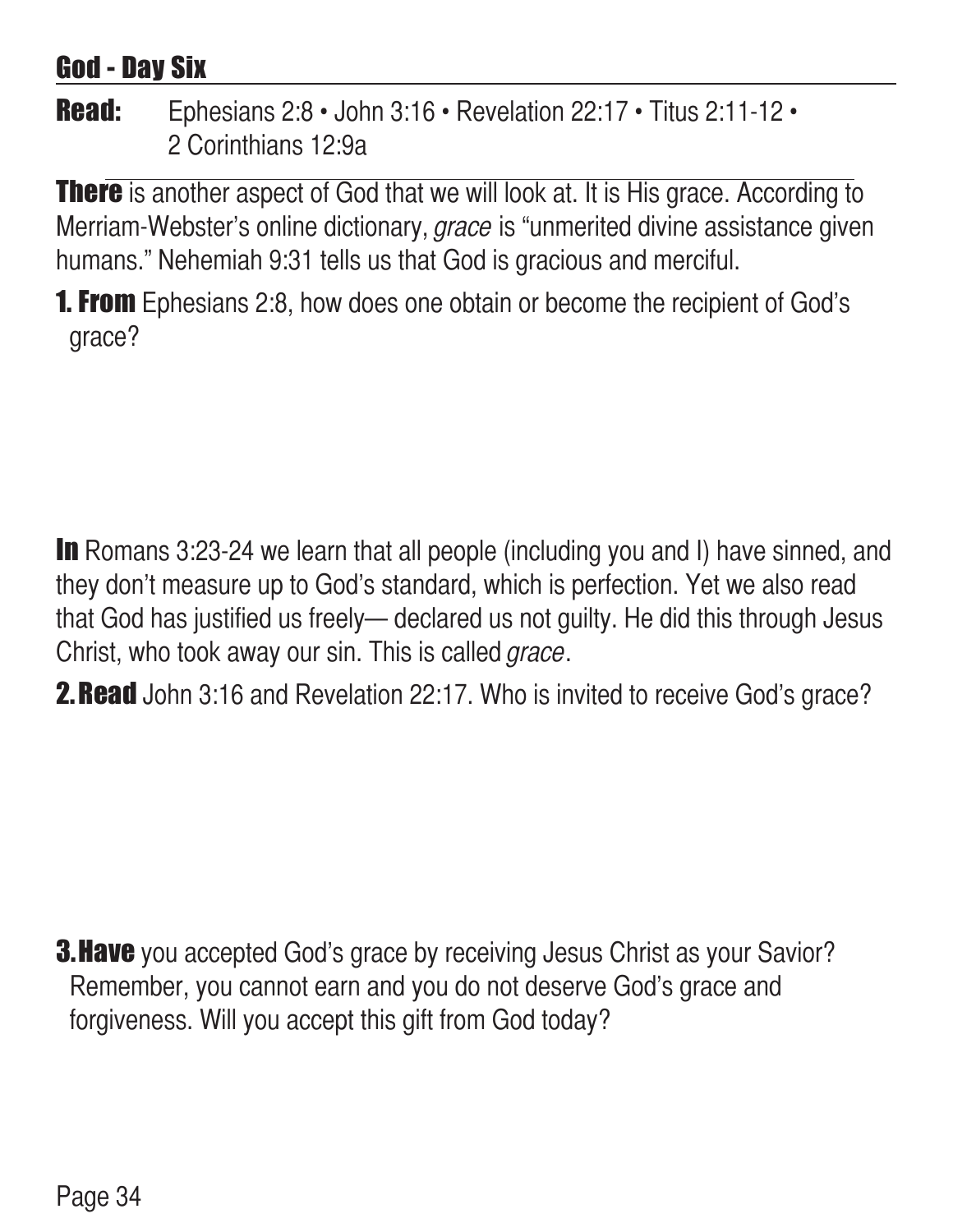#### God - Day Six

#### Read: Ephesians 2:8 · John 3:16 · Revelation 22:17 · Titus 2:11-12 · 2 Corinthians 12:9a

**There** is another aspect of God that we will look at. It is His grace. According to Merriam-Webster's online dictionary, grace is "unmerited divine assistance given humans." Nehemiah 9:31 tells us that God is gracious and merciful.

**1. From** Ephesians 2:8, how does one obtain or become the recipient of God's grace?

In Romans 3:23-24 we learn that all people (including you and I) have sinned, and they don't measure up to God's standard, which is perfection. Yet we also read that God has justified us freely— declared us not guilty. He did this through Jesus Christ, who took away our sin. This is called *grace*.

**2. Read** John 3:16 and Revelation 22:17. Who is invited to receive God's grace?

**3. Have** you accepted God's grace by receiving Jesus Christ as your Savior? Remember, you cannot earn and you do not deserve God's grace and forgiveness. Will you accept this gift from God today?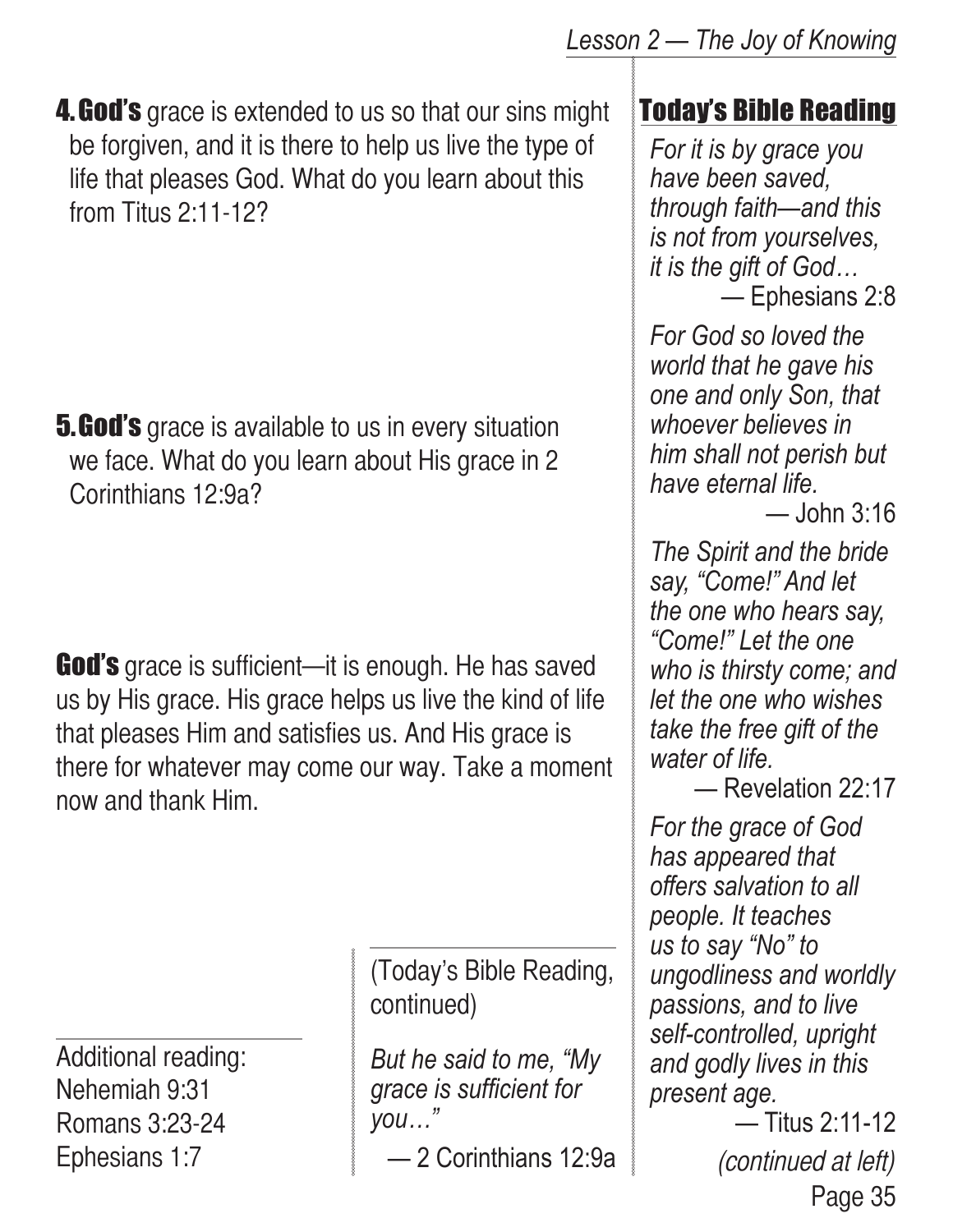**4. God's** grace is extended to us so that our sins might be forgiven, and it is there to help us live the type of life that pleases God. What do you learn about this from Titus 2:11-12?

**5. God's** grace is available to us in every situation we face. What do you learn about His grace in 2 Corinthians 12:9a?

**God's** grace is sufficient—it is enough. He has saved us by His grace. His grace helps us live the kind of life that pleases Him and satisfies us. And His grace is there for whatever may come our way. Take a moment now and thank Him.

Additional reading: Nehemiah 9:31 Romans 3:23-24 Ephesians 1:7

(Today's Bible Reading, continued)

*But he said to me, "My grace is sufficient for you…"*

— 2 Corinthians 12:9a

# Today's Bible Reading

*For it is by grace you have been saved, through faith—and this is not from yourselves, it is the gift of God…*

— Ephesians 2:8

*For God so loved the world that he gave his one and only Son, that whoever believes in him shall not perish but have eternal life.*

— John 3:16

*The Spirit and the bride say, "Come!" And let the one who hears say, "Come!" Let the one who is thirsty come; and let the one who wishes take the free gift of the water of life.*

— Revelation 22:17

*For the grace of God has appeared that offers salvation to all people. It teaches us to say "No" to ungodliness and worldly passions, and to live self-controlled, upright and godly lives in this present age.*

> Page 35 — Titus 2:11-12 (continued at left)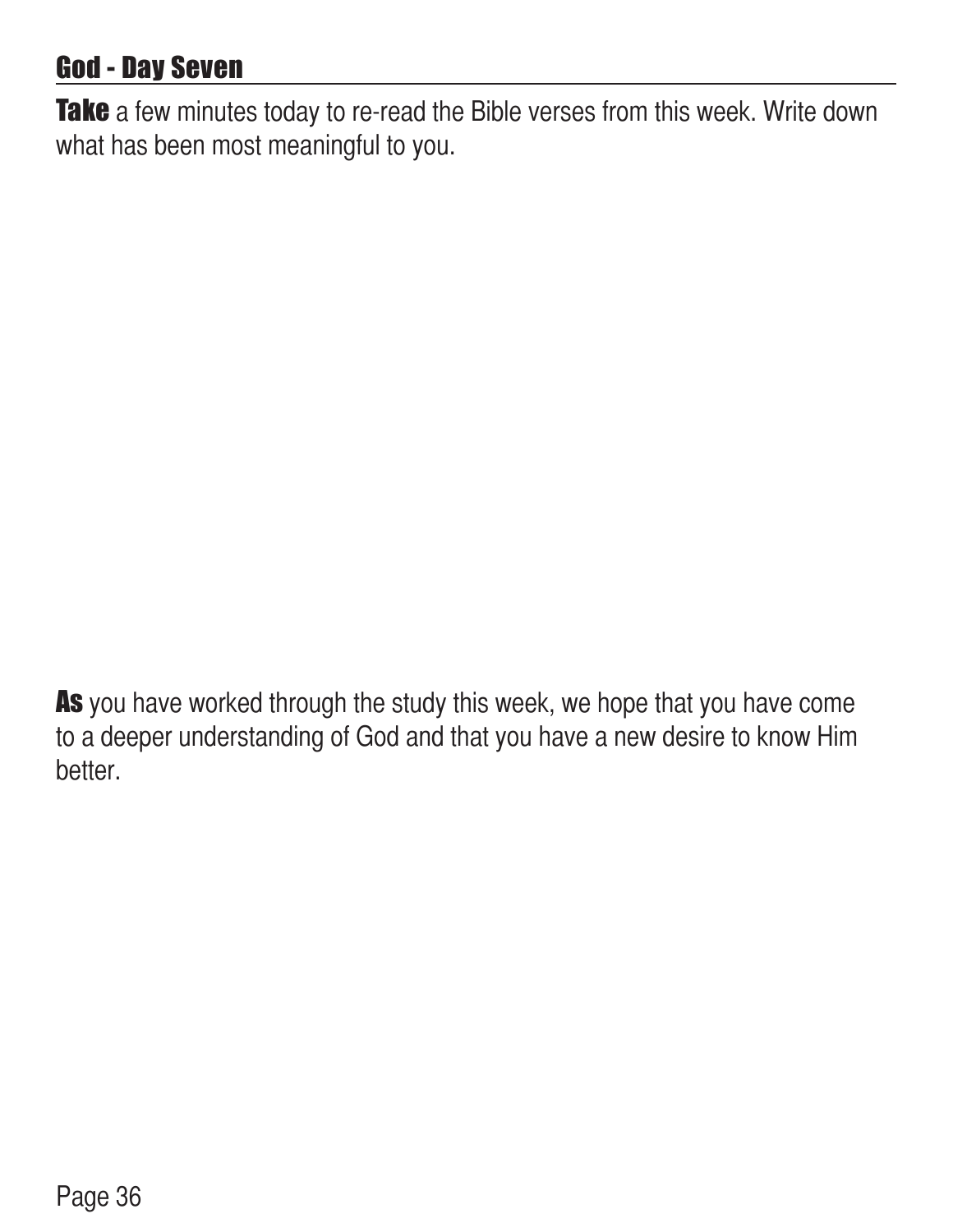# God - Day Seven

Take a few minutes today to re-read the Bible verses from this week. Write down what has been most meaningful to you.

As you have worked through the study this week, we hope that you have come to a deeper understanding of God and that you have a new desire to know Him better.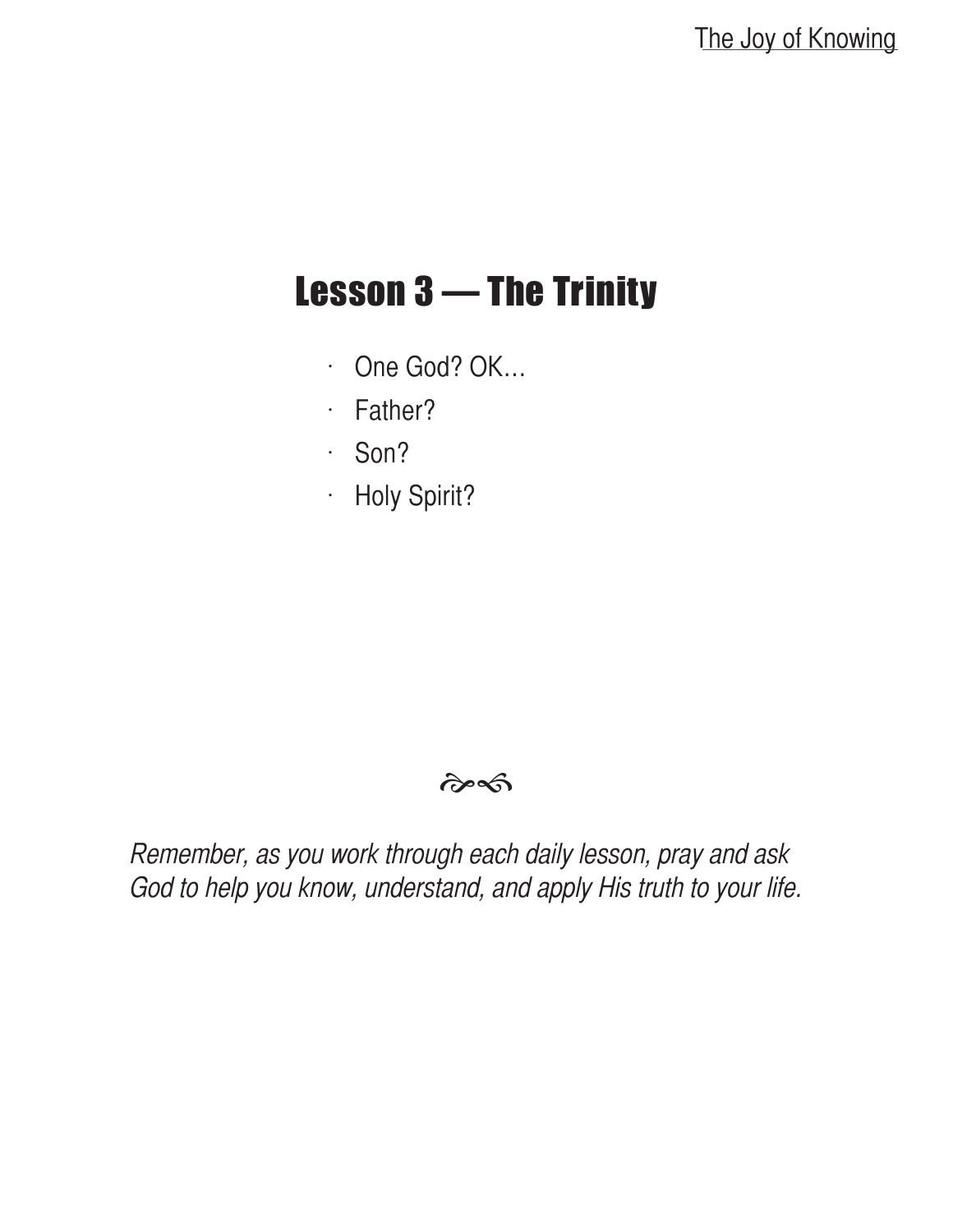# Lesson 3 — The Trinity

- $\cdot$  One God? OK...
- $·$  Father?
- $\cdot$  Son?
- $·$  Holy Spirit?

#### $\hat{\sigma}$

Remember, as you work through each daily lesson, pray and ask God to help you know, understand, and apply His truth to your life.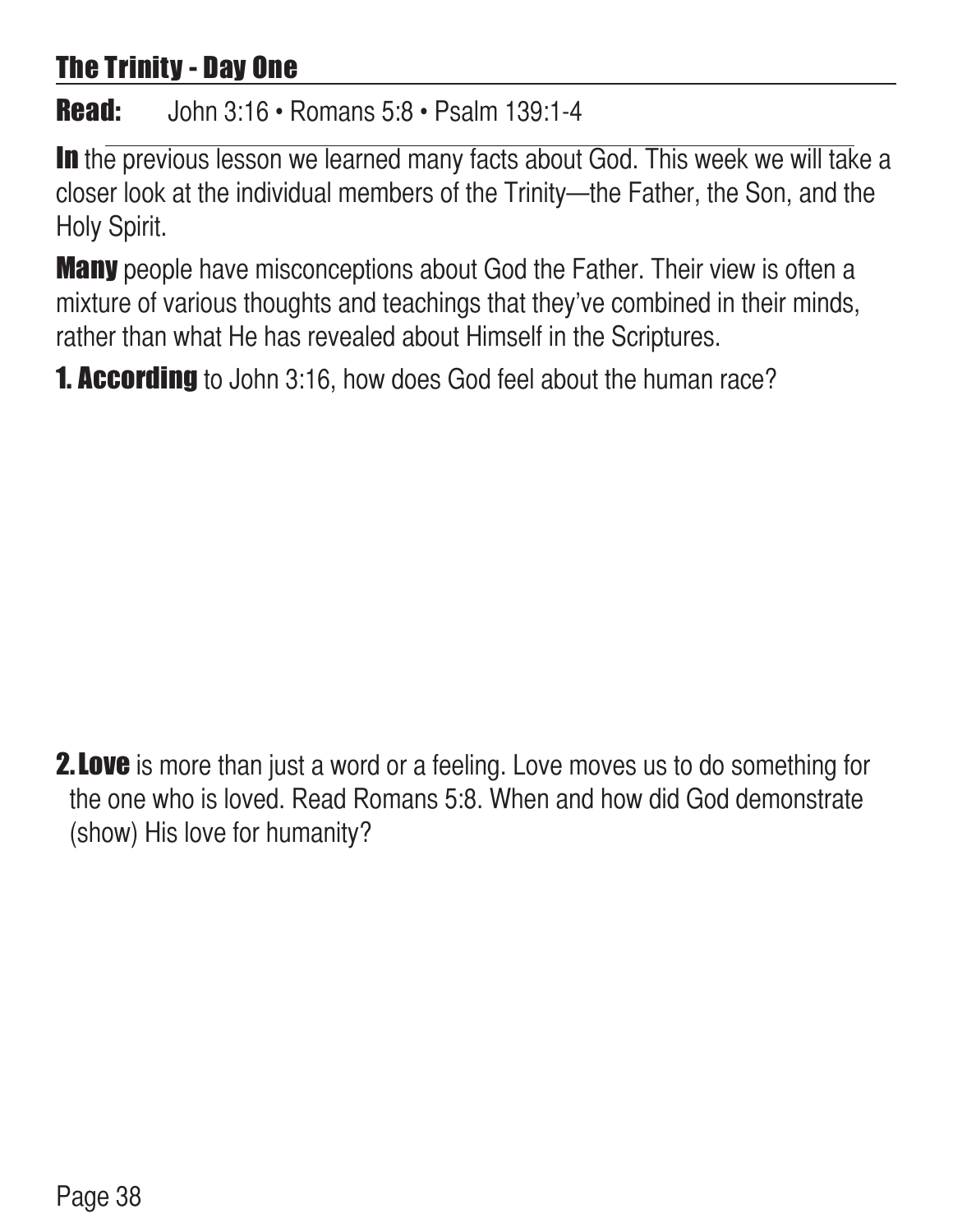# The Trinity - Day One

#### Read: John 3:16 • Romans 5:8 • Psalm 139:1-4

In the previous lesson we learned many facts about God. This week we will take a closer look at the individual members of the Trinity—the Father, the Son, and the Holy Spirit.

**Many** people have misconceptions about God the Father. Their view is often a mixture of various thoughts and teachings that they've combined in their minds, rather than what He has revealed about Himself in the Scriptures.

**1. According** to John 3:16, how does God feel about the human race?

**2. Love** is more than just a word or a feeling. Love moves us to do something for the one who is loved. Read Romans 5:8. When and how did God demonstrate (show) His love for humanity?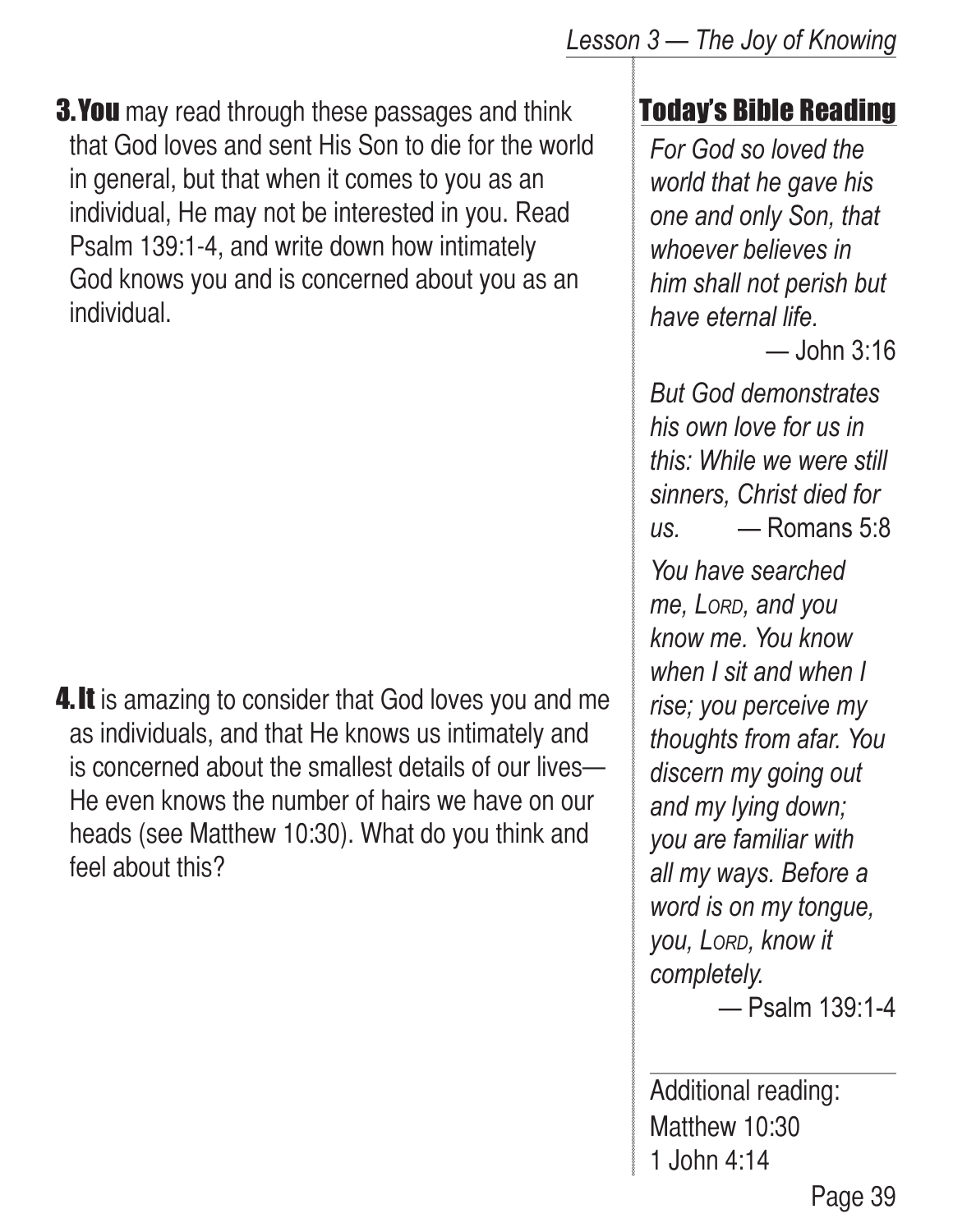#### *Lesson 3 — The Joy of Knowing*

**3. You** may read through these passages and think that God loves and sent His Son to die for the world in general, but that when it comes to you as an individual, He may not be interested in you. Read Psalm 139:1-4, and write down how intimately God knows you and is concerned about you as an individual.

**4. It** is amazing to consider that God loves you and me as individuals, and that He knows us intimately and is concerned about the smallest details of our lives— He even knows the number of hairs we have on our heads (see Matthew 10:30). What do you think and feel about this?

# Today's Bible Reading

*For God so loved the world that he gave his one and only Son, that whoever believes in him shall not perish but have eternal life.*

— John 3:16

*But God demonstrates his own love for us in this: While we were still sinners, Christ died for us.* — Romans 5:8

*You have searched me, Lord, and you know me. You know when I sit and when I rise; you perceive my thoughts from afar. You discern my going out and my lying down; you are familiar with all my ways. Before a word is on my tongue, you, Lord, know it completely.* 

— Psalm 139:1-4

Additional reading: Matthew 10:30 1 John 4:14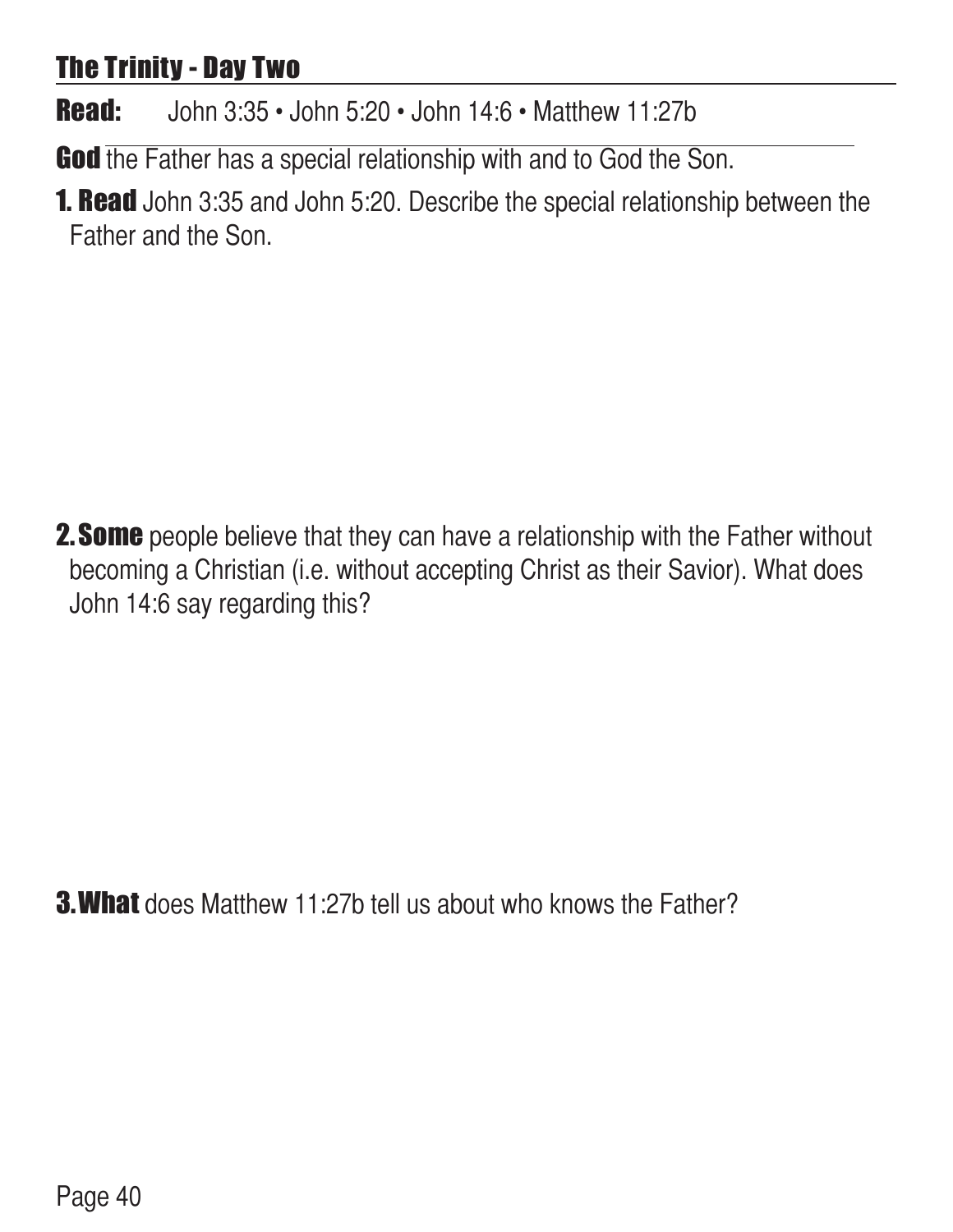# The Trinity - Day Two

Read: John 3:35 • John 5:20 • John 14:6 • Matthew 11:27b

God the Father has a special relationship with and to God the Son.

**1. Read** John 3:35 and John 5:20. Describe the special relationship between the Father and the Son.

**2. Some** people believe that they can have a relationship with the Father without becoming a Christian (i.e. without accepting Christ as their Savior). What does John 14:6 say regarding this?

**3. What** does Matthew 11:27b tell us about who knows the Father?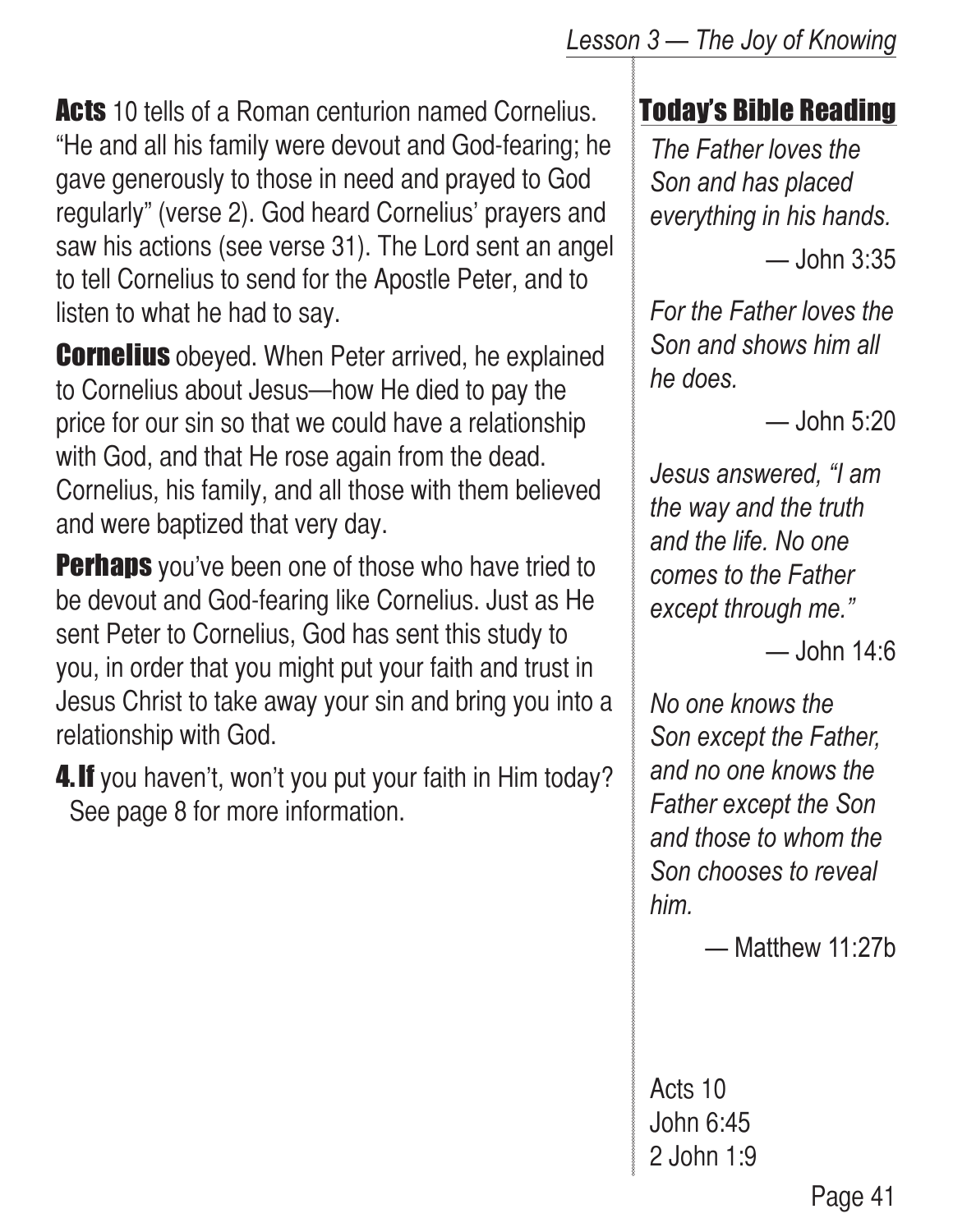**Acts** 10 tells of a Roman centurion named Cornelius. "He and all his family were devout and God-fearing; he gave generously to those in need and prayed to God regularly" (verse 2). God heard Cornelius' prayers and saw his actions (see verse 31). The Lord sent an angel to tell Cornelius to send for the Apostle Peter, and to listen to what he had to say.

**Cornelius** obeyed. When Peter arrived, he explained to Cornelius about Jesus—how He died to pay the price for our sin so that we could have a relationship with God, and that He rose again from the dead. Cornelius, his family, and all those with them believed and were baptized that very day.

**Perhaps** you've been one of those who have tried to be devout and God-fearing like Cornelius. Just as He sent Peter to Cornelius, God has sent this study to you, in order that you might put your faith and trust in Jesus Christ to take away your sin and bring you into a relationship with God.

4. If you haven't, won't you put your faith in Him today? See page 8 for more information.

# Today's Bible Reading

*The Father loves the Son and has placed everything in his hands.*

— John 3:35

*For the Father loves the Son and shows him all he does.*

— John 5:20

*Jesus answered, "I am the way and the truth and the life. No one comes to the Father except through me."*

 $-$ John 14 $·$ 6

*No one knows the Son except the Father, and no one knows the Father except the Son and those to whom the Son chooses to reveal him.*

— Matthew 11:27b

Acts 10 John 6:45 2 John 1:9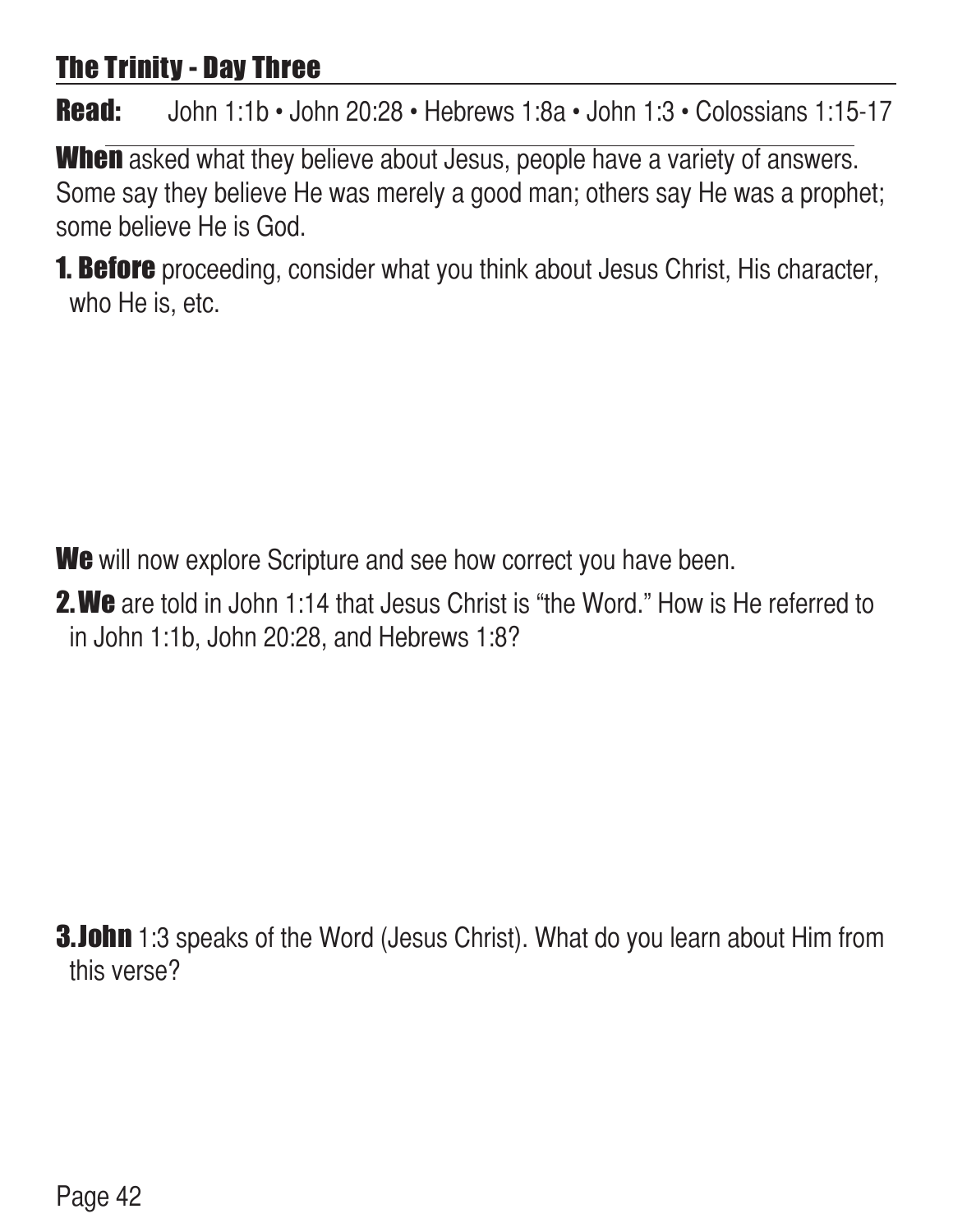# The Trinity - Day Three

Read: John 1:1b • John 20:28 • Hebrews 1:8a • John 1:3 • Colossians 1:15-17

When asked what they believe about Jesus, people have a variety of answers. Some say they believe He was merely a good man; others say He was a prophet; some believe He is God.

**1. Before** proceeding, consider what you think about Jesus Christ, His character, who He is, etc.

We will now explore Scripture and see how correct you have been.

**2. We** are told in John 1:14 that Jesus Christ is "the Word." How is He referred to in John 1:1b, John 20:28, and Hebrews 1:8?

**3.John** 1:3 speaks of the Word (Jesus Christ). What do you learn about Him from this verse?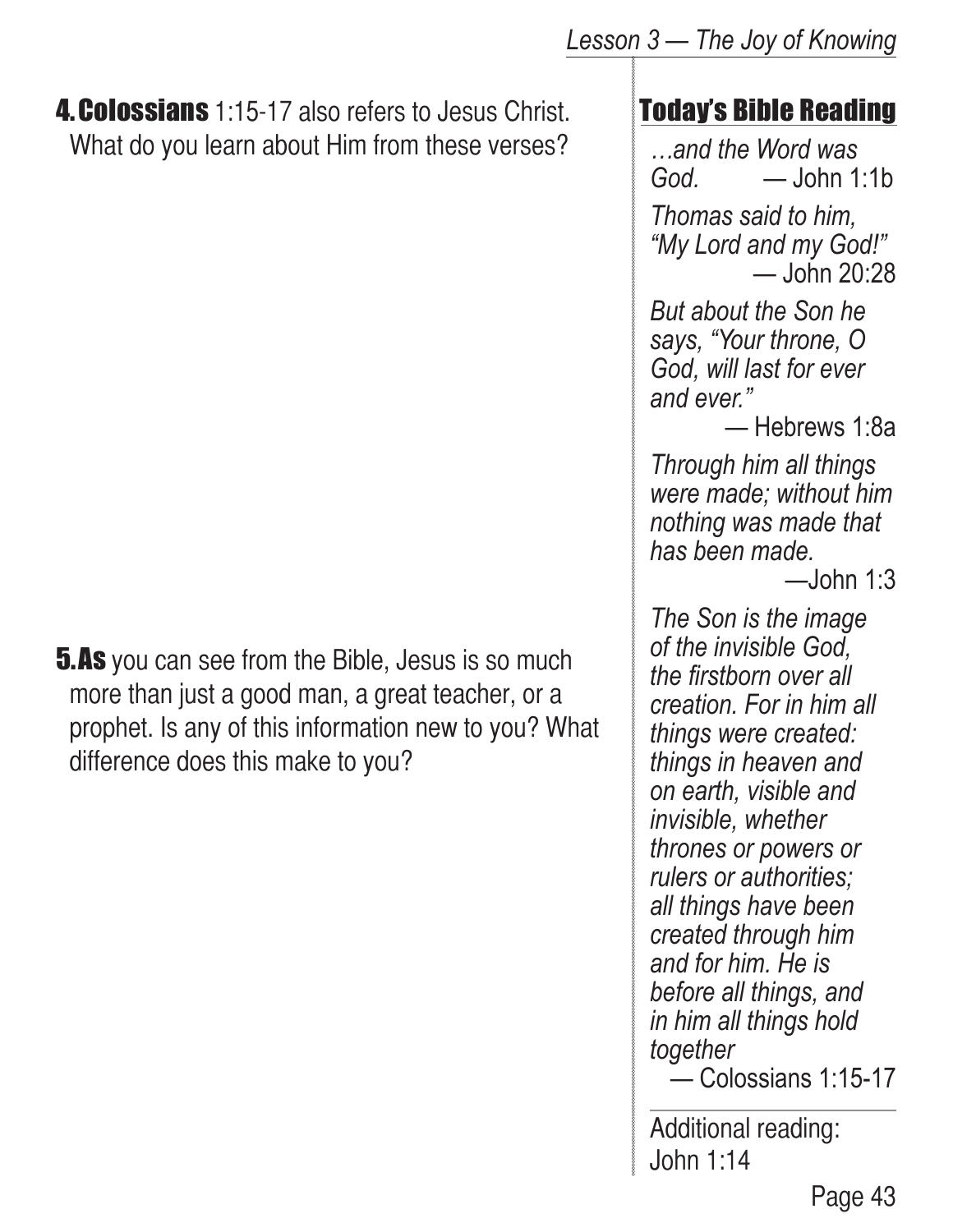#### **4. Colossians** 1:15-17 also refers to Jesus Christ. What do you learn about Him from these verses?

**5.As** you can see from the Bible, Jesus is so much more than just a good man, a great teacher, or a prophet. Is any of this information new to you? What difference does this make to you?

# Today's Bible Reading

*…and the Word was God.* — John 1:1b

*Thomas said to him, "My Lord and my God!"* — John 20:28

*But about the Son he says, "Your throne, O God, will last for ever and ever."*

— Hebrews 1:8a

*Through him all things were made; without him nothing was made that has been made.*

 $-$ John 1:3

*The Son is the image of the invisible God, the firstborn over all creation. For in him all things were created: things in heaven and on earth, visible and invisible, whether thrones or powers or rulers or authorities; all things have been created through him and for him. He is before all things, and in him all things hold together*

— Colossians 1:15-17

Additional reading: John 1:14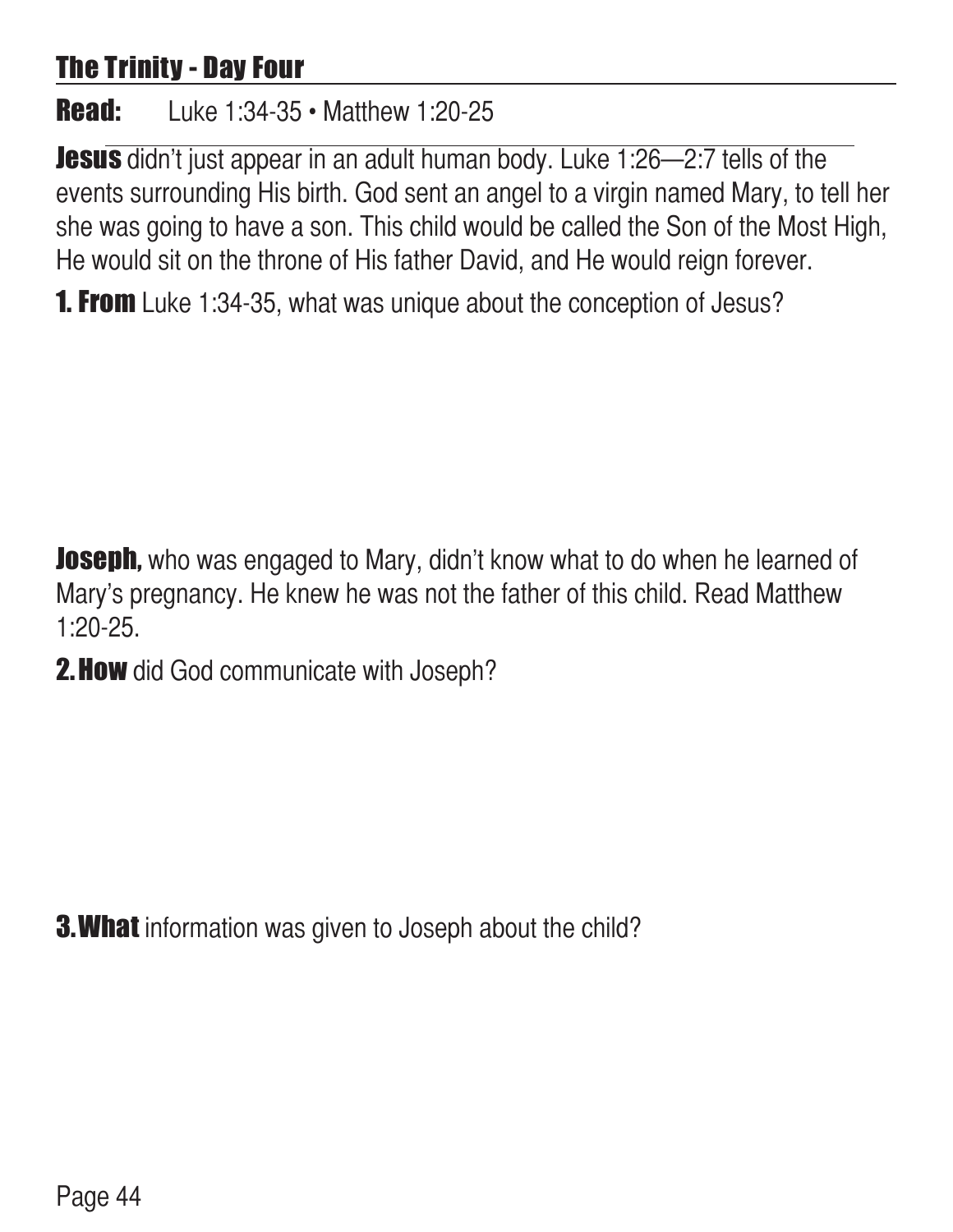# The Trinity - Day Four

**Read:** Luke 1:34-35 • Matthew 1:20-25

**Jesus** didn't just appear in an adult human body. Luke 1:26–2:7 tells of the events surrounding His birth. God sent an angel to a virgin named Mary, to tell her she was going to have a son. This child would be called the Son of the Most High, He would sit on the throne of His father David, and He would reign forever.

**1. From** Luke 1:34-35, what was unique about the conception of Jesus?

**Joseph,** who was engaged to Mary, didn't know what to do when he learned of Mary's pregnancy. He knew he was not the father of this child. Read Matthew 1:20-25.

2. How did God communicate with Joseph?

**3. What** information was given to Joseph about the child?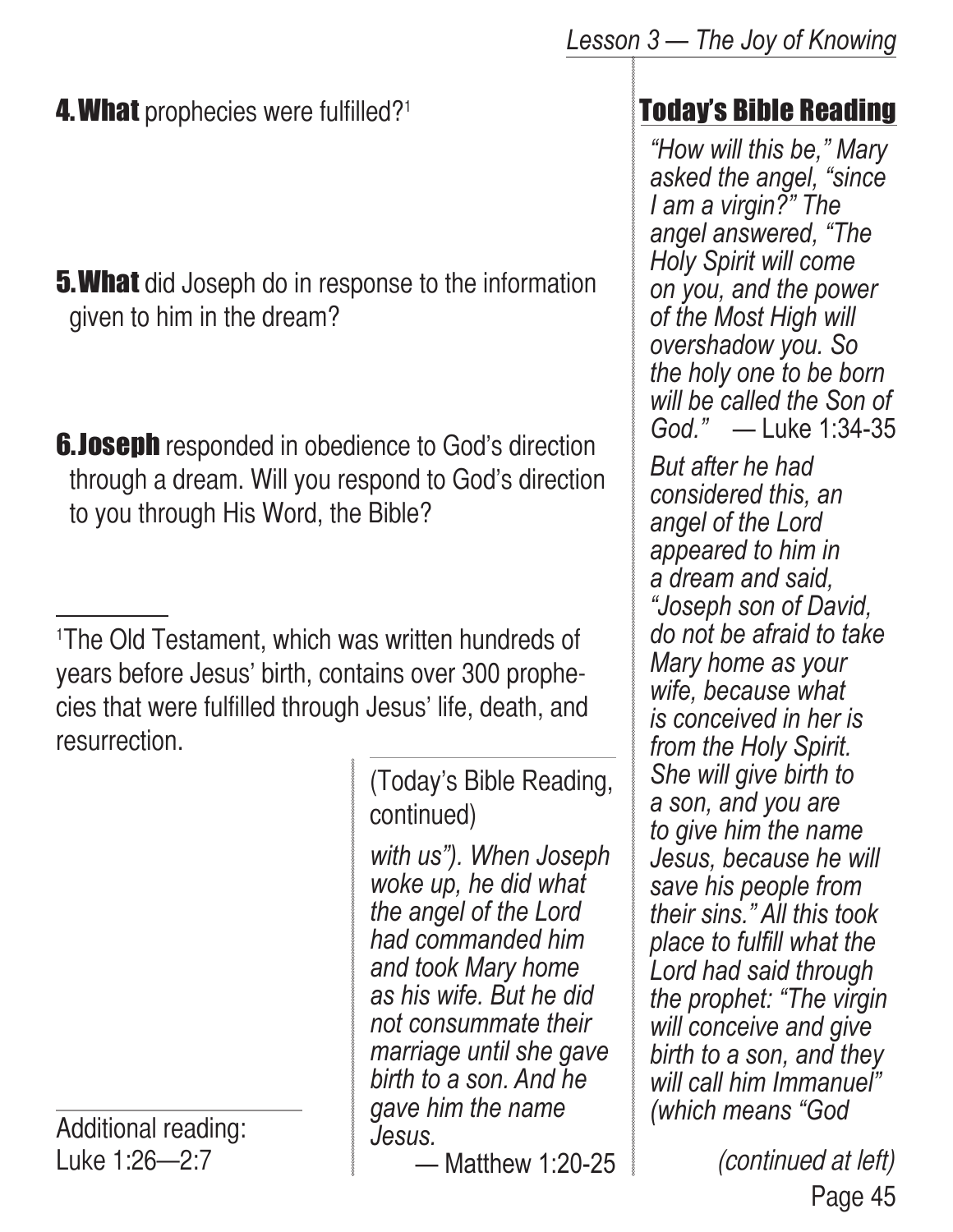- **5. What** did Joseph do in response to the information given to him in the dream?
- **6.Joseph** responded in obedience to God's direction through a dream. Will you respond to God's direction to you through His Word, the Bible?

1 The Old Testament, which was written hundreds of years before Jesus' birth, contains over 300 prophecies that were fulfilled through Jesus' life, death, and resurrection.

Additional reading: Luke 1:26—2:7

(Today's Bible Reading, continued)

*with us"). When Joseph woke up, he did what the angel of the Lord had commanded him and took Mary home as his wife. But he did not consummate their marriage until she gave birth to a son. And he gave him the name Jesus.*

— Matthew 1:20-25

# Today's Bible Reading

*"How will this be," Mary asked the angel, "since I am a virgin?" The angel answered, "The Holy Spirit will come on you, and the power of the Most High will overshadow you. So the holy one to be born will be called the Son of God."* — Luke 1:34-35

*But after he had considered this, an angel of the Lord appeared to him in a dream and said, "Joseph son of David, do not be afraid to take Mary home as your wife, because what is conceived in her is from the Holy Spirit. She will give birth to a son, and you are to give him the name Jesus, because he will save his people from their sins." All this took place to fulfill what the Lord had said through the prophet: "The virgin will conceive and give birth to a son, and they will call him Immanuel" (which means "God* 

> Page 45 (continued at left)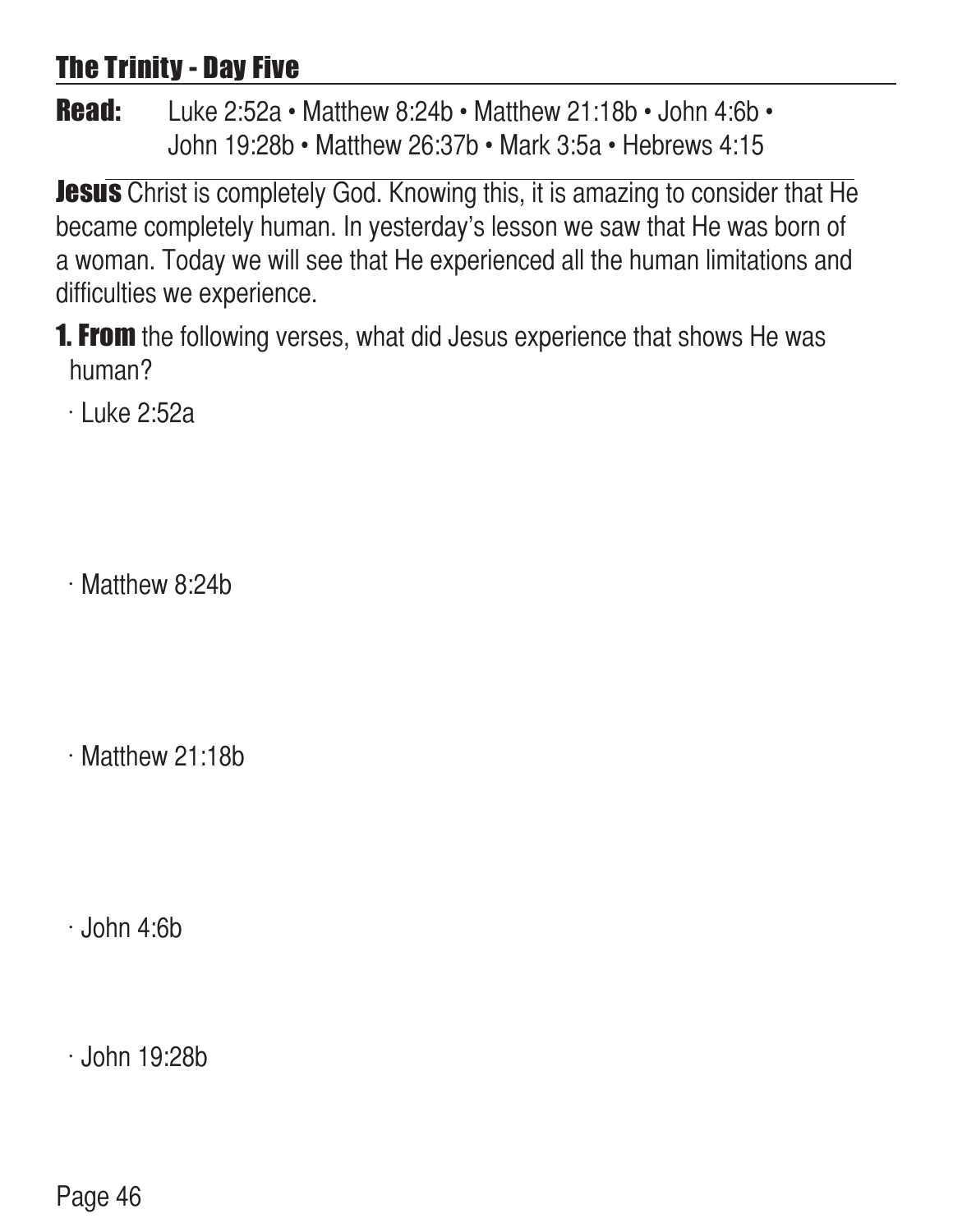# The Trinity - Day Five

**Read:** Luke 2:52a • Matthew 8:24b • Matthew 21:18b • John 4:6b • John 19:28b • Matthew 26:37b • Mark 3:5a • Hebrews 4:15

**Jesus** Christ is completely God. Knowing this, it is amazing to consider that He became completely human. In yesterday's lesson we saw that He was born of a woman. Today we will see that He experienced all the human limitations and difficulties we experience.

**1. From** the following verses, what did Jesus experience that shows He was human?

 $\cdot$  Luke 2:52a

 $\cdot$  Matthew 8:24b

 $\cdot$  Matthew 21:18b

 $\cdot$  John 4:6b

 $\cdot$  John 19:28b

Page 46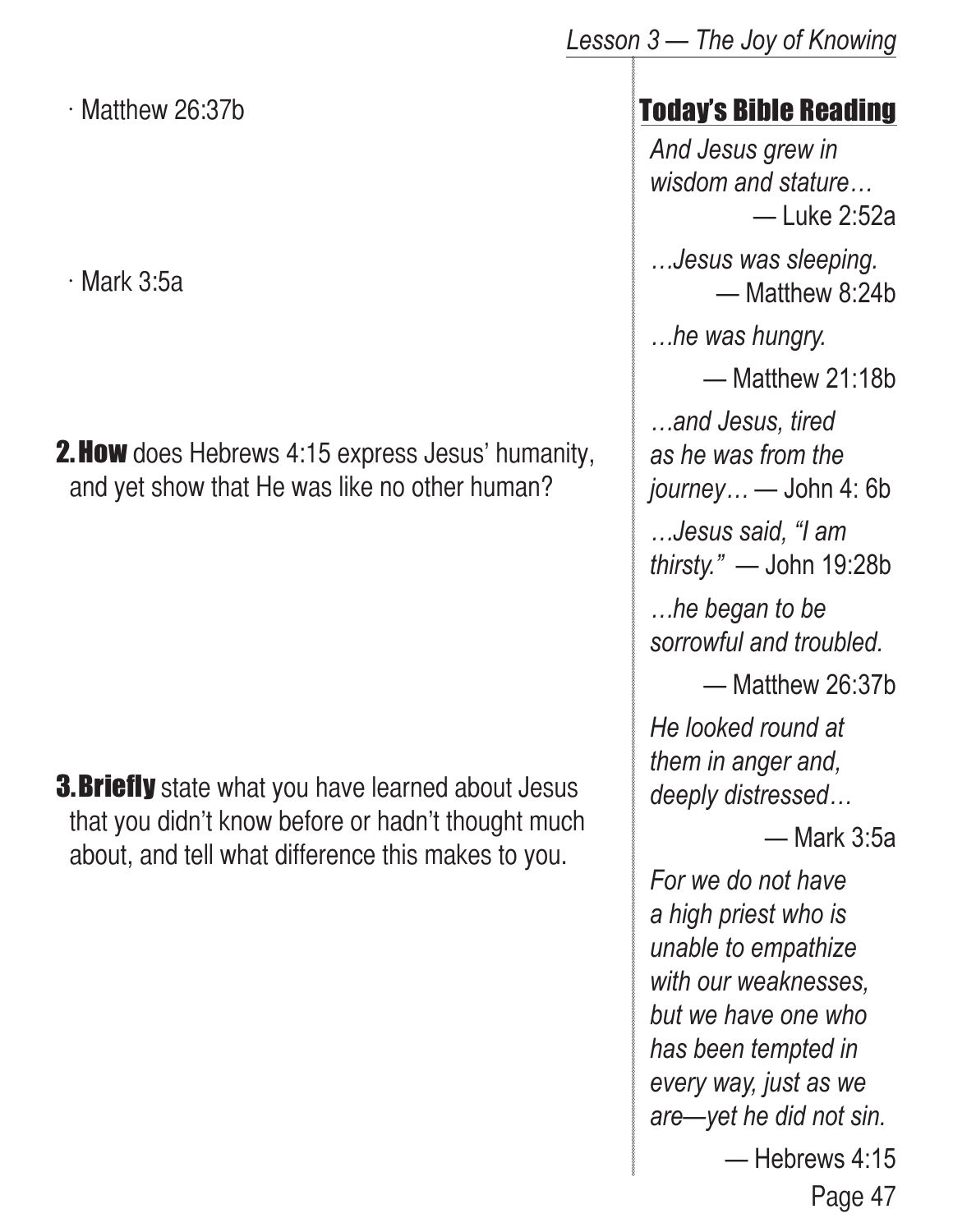$\cdot$  Matthew 26:37b

 $\cdot$  Mark 3:5a

**2. How** does Hebrews 4:15 express Jesus' humanity, and yet show that He was like no other human?

**3. Briefly** state what you have learned about Jesus that you didn't know before or hadn't thought much about, and tell what difference this makes to you.

## Today's Bible Reading

*And Jesus grew in wisdom and stature…* — Luke 2:52a

*…Jesus was sleeping.* — Matthew 8:24b

*…he was hungry.*

— Matthew 21:18b

*…and Jesus, tired as he was from the journey…* — John 4: 6b

*…Jesus said, "I am thirsty."* — John 19:28b

*…he began to be sorrowful and troubled.*

— Matthew 26:37b

*He looked round at them in anger and, deeply distressed…*

— Mark 3:5a

*For we do not have a high priest who is unable to empathize with our weaknesses, but we have one who has been tempted in every way, just as we are—yet he did not sin.*

— Hebrews 4:15

Page 47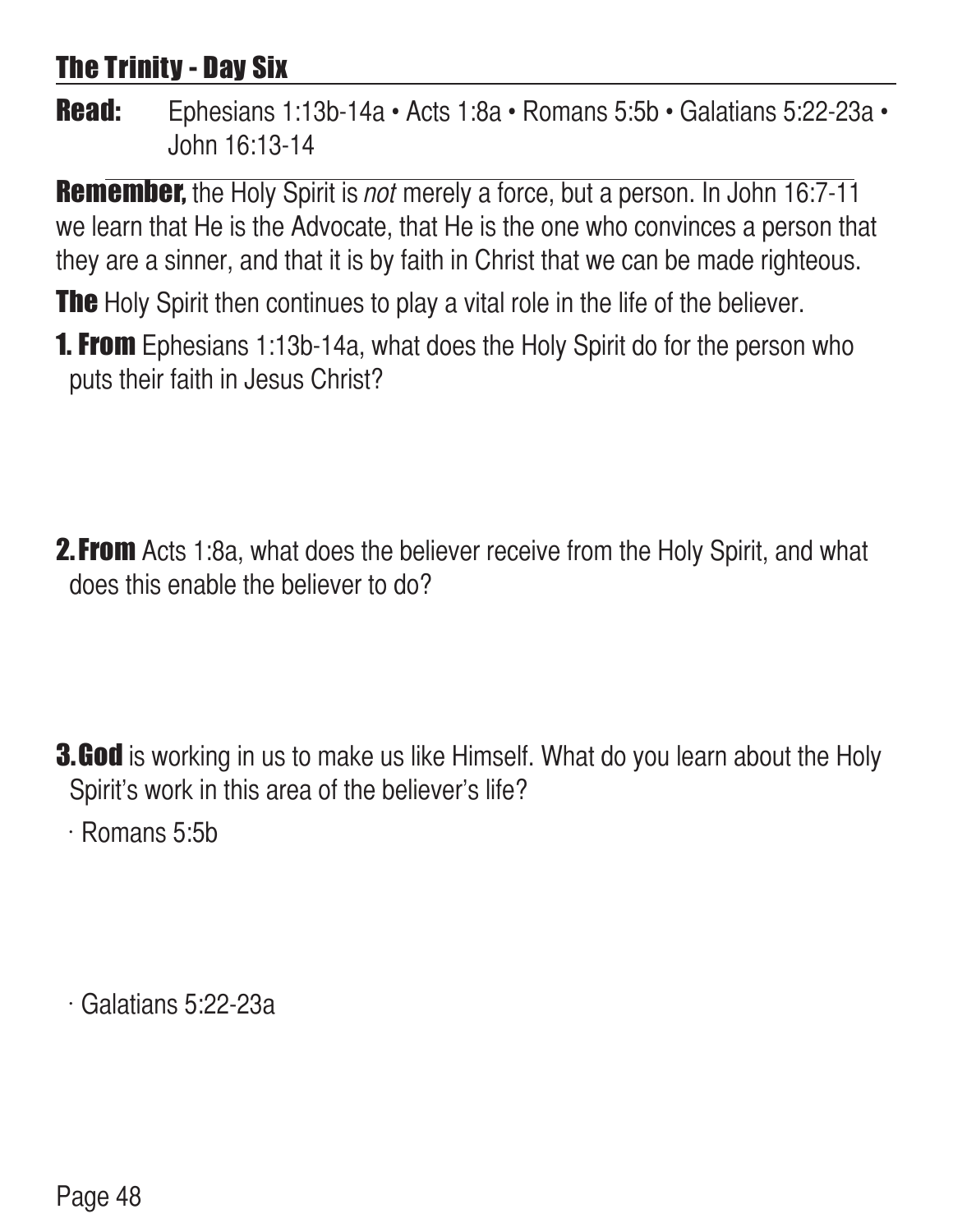# The Trinity - Day Six

Read: Ephesians 1:13b-14a • Acts 1:8a • Romans 5:5b • Galatians 5:22-23a • John 16:13-14

**Remember,** the Holy Spirit is *not* merely a force, but a person. In John 16:7-11 we learn that He is the Advocate, that He is the one who convinces a person that they are a sinner, and that it is by faith in Christ that we can be made righteous.

**The** Holy Spirit then continues to play a vital role in the life of the believer.

**1. From** Ephesians 1:13b-14a, what does the Holy Spirit do for the person who puts their faith in Jesus Christ?

**2. From** Acts 1:8a, what does the believer receive from the Holy Spirit, and what does this enable the believer to do?

**3.God** is working in us to make us like Himself. What do you learn about the Holy Spirit's work in this area of the believer's life?

 $\cdot$  Romans 5:5b

 $\cdot$  Galatians 5:22-23a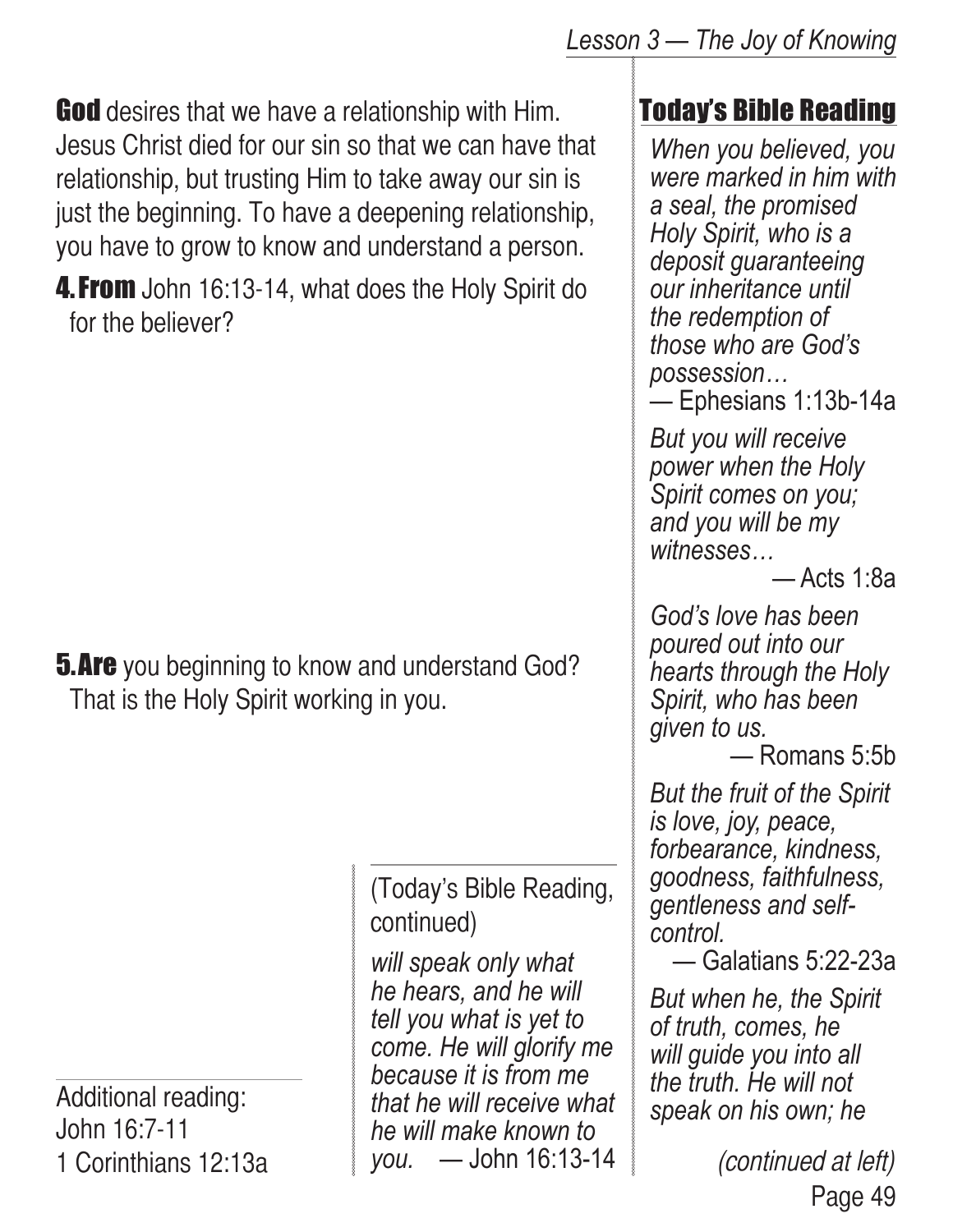**God** desires that we have a relationship with Him. Jesus Christ died for our sin so that we can have that relationship, but trusting Him to take away our sin is just the beginning. To have a deepening relationship, you have to grow to know and understand a person.

**4. From** John 16:13-14, what does the Holy Spirit do for the believer?

**5. Are** you beginning to know and understand God? That is the Holy Spirit working in you.

> (Today's Bible Reading, continued)

*will speak only what he hears, and he will tell you what is yet to come. He will glorify me because it is from me that he will receive what he will make known to you.* — John 16:13-14

#### *Lesson 3 — The Joy of Knowing*

# Today's Bible Reading

*When you believed, you were marked in him with a seal, the promised Holy Spirit, who is a deposit guaranteeing our inheritance until the redemption of those who are God's possession…*

— Ephesians 1:13b-14a

*But you will receive power when the Holy Spirit comes on you; and you will be my witnesses…*

— Acts 1:8a

*God's love has been poured out into our hearts through the Holy Spirit, who has been given to us.*

— Romans 5:5b

*But the fruit of the Spirit is love, joy, peace, forbearance, kindness, goodness, faithfulness, gentleness and selfcontrol.* 

— Galatians 5:22-23a

*But when he, the Spirit of truth, comes, he will guide you into all the truth. He will not speak on his own; he* 

> Page 49 (continued at left)

Additional reading: John 16:7-11 1 Corinthians 12:13a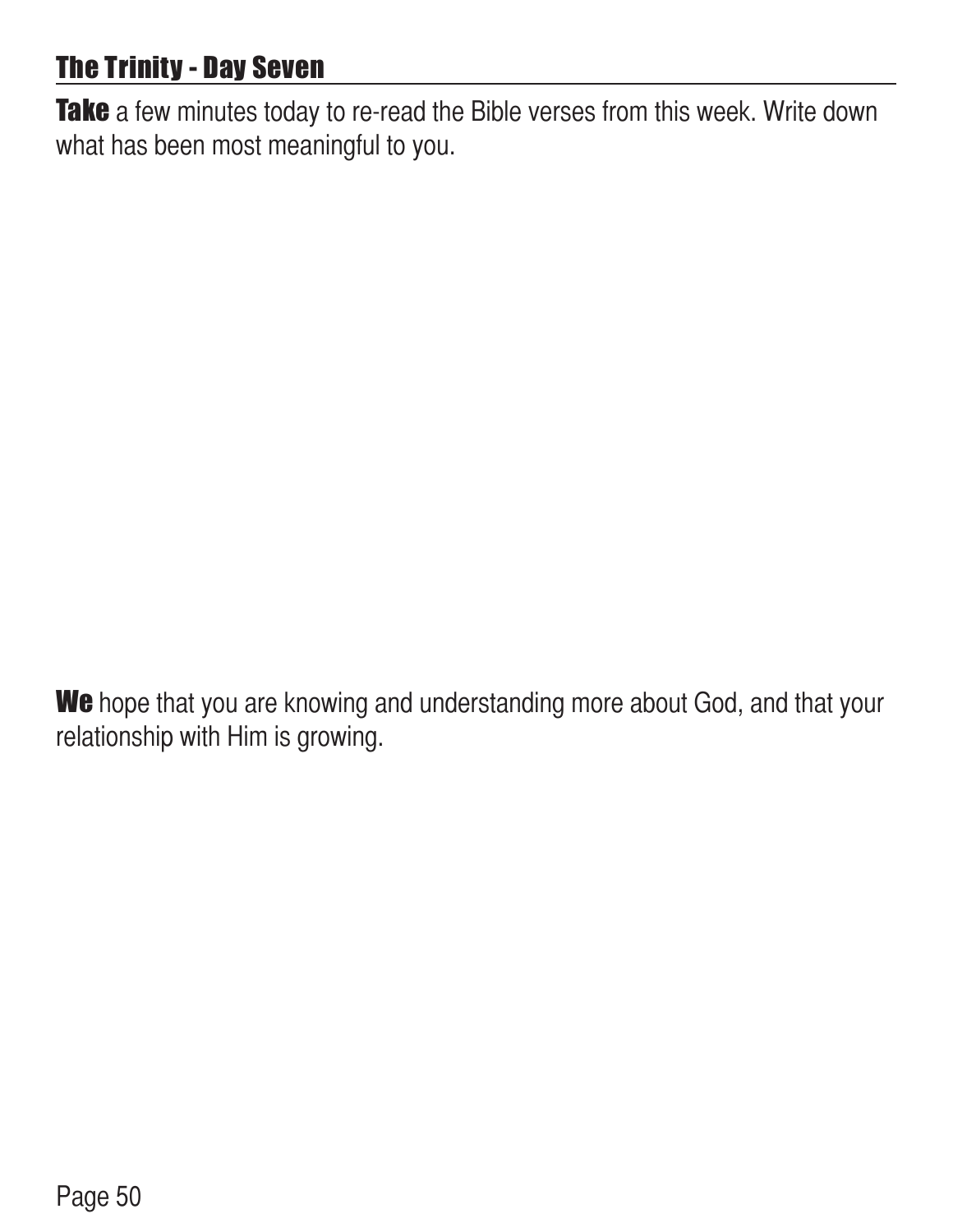# **The Trinity - Day Seven**

Take a few minutes today to re-read the Bible verses from this week. Write down what has been most meaningful to you.

We hope that you are knowing and understanding more about God, and that your relationship with Him is growing.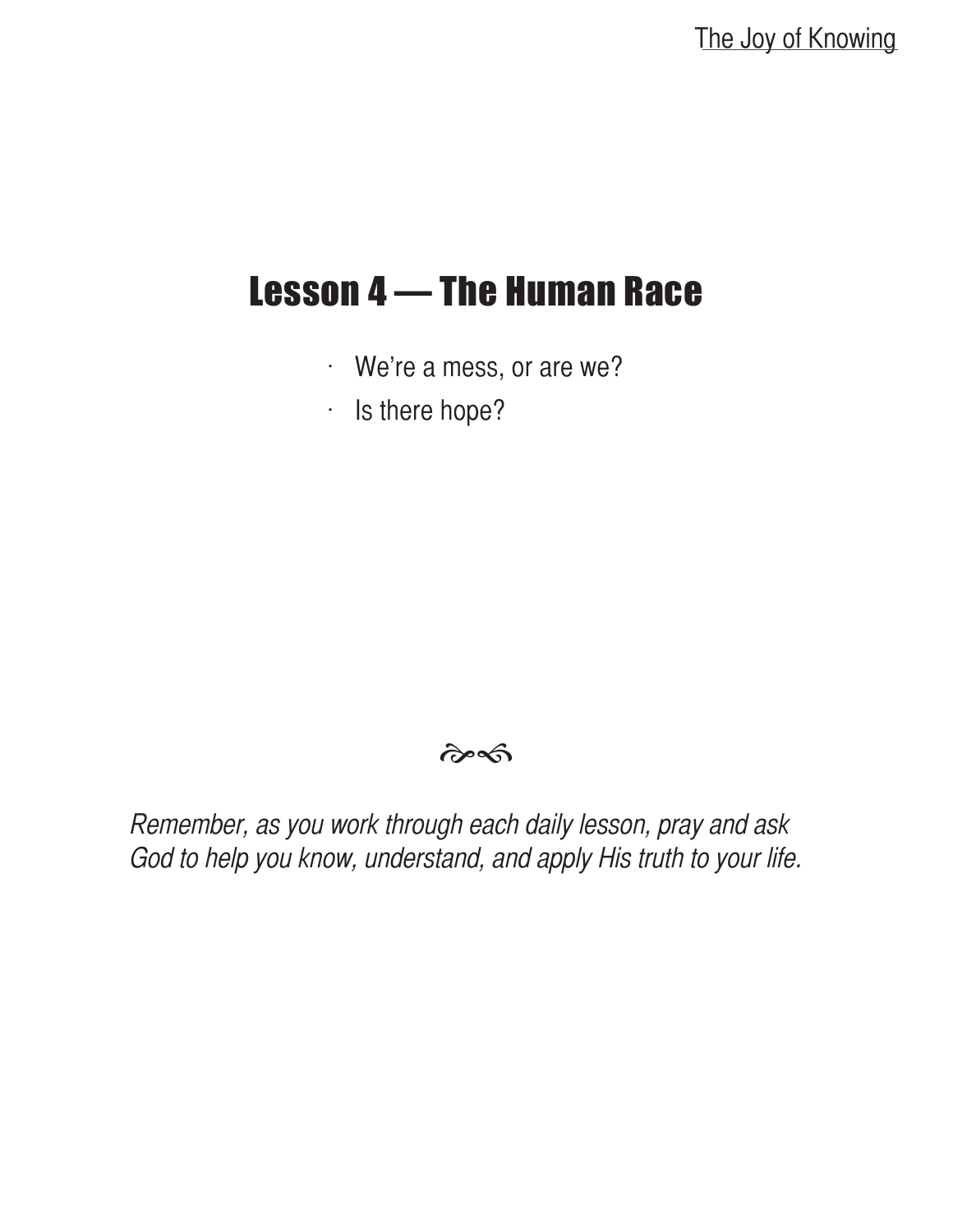# Lesson 4 — The Human Race

- $\cdot$  We're a mess, or are we?
- $\cdot$  Is there hope?

#### $\hat{\sigma}$

Remember, as you work through each daily lesson, pray and ask God to help you know, understand, and apply His truth to your life.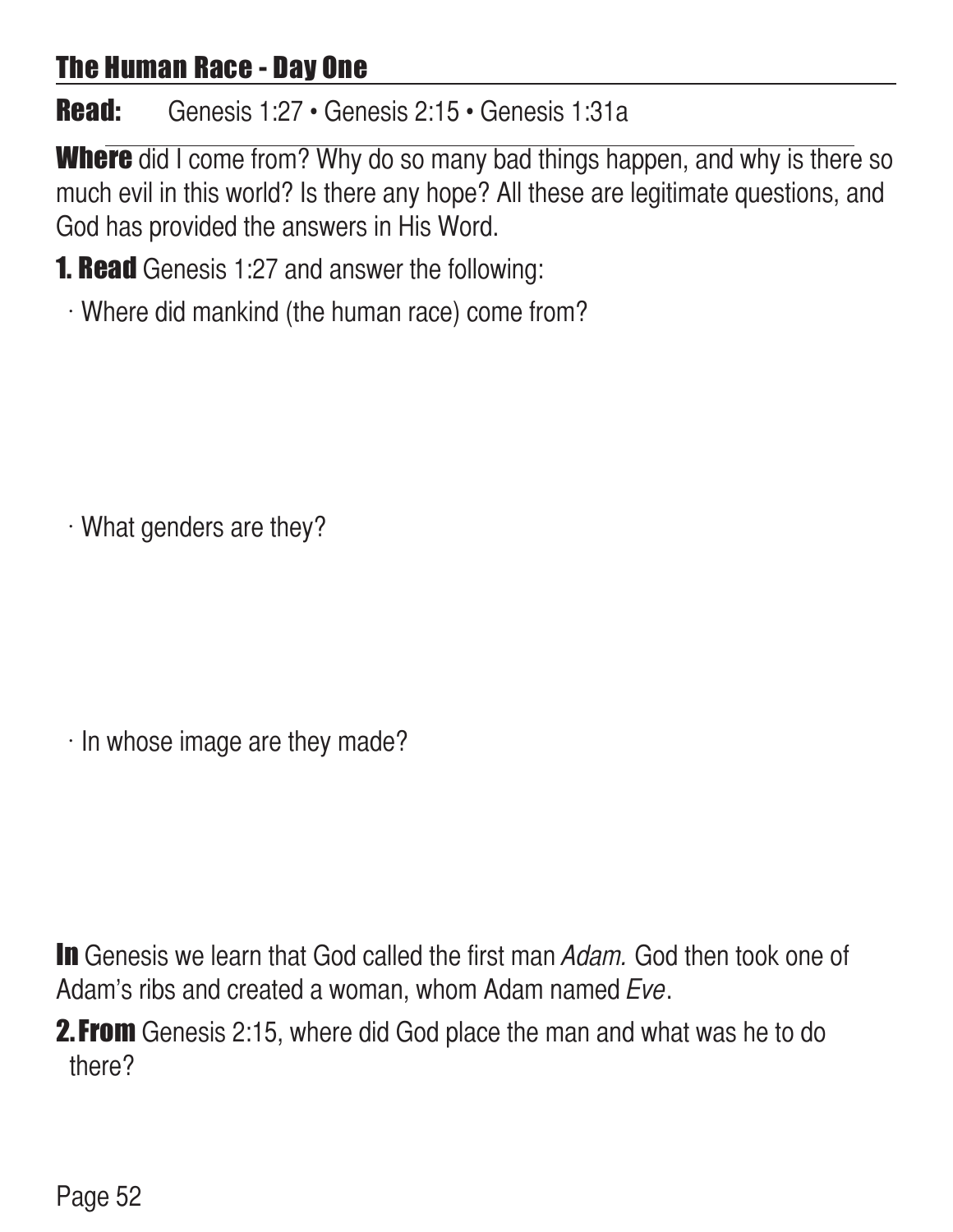## The Human Race - Day One

# Read: Genesis 1:27 • Genesis 2:15 • Genesis 1:31a

**Where** did I come from? Why do so many bad things happen, and why is there so much evil in this world? Is there any hope? All these are legitimate questions, and God has provided the answers in His Word.

**1. Read** Genesis 1:27 and answer the following:

 $\cdot$  Where did mankind (the human race) come from?

 $\cdot$  What genders are they?

 $\cdot$  In whose image are they made?

In Genesis we learn that God called the first man Adam. God then took one of Adam's ribs and created a woman, whom Adam named Eve.

**2. From** Genesis 2:15, where did God place the man and what was he to do there?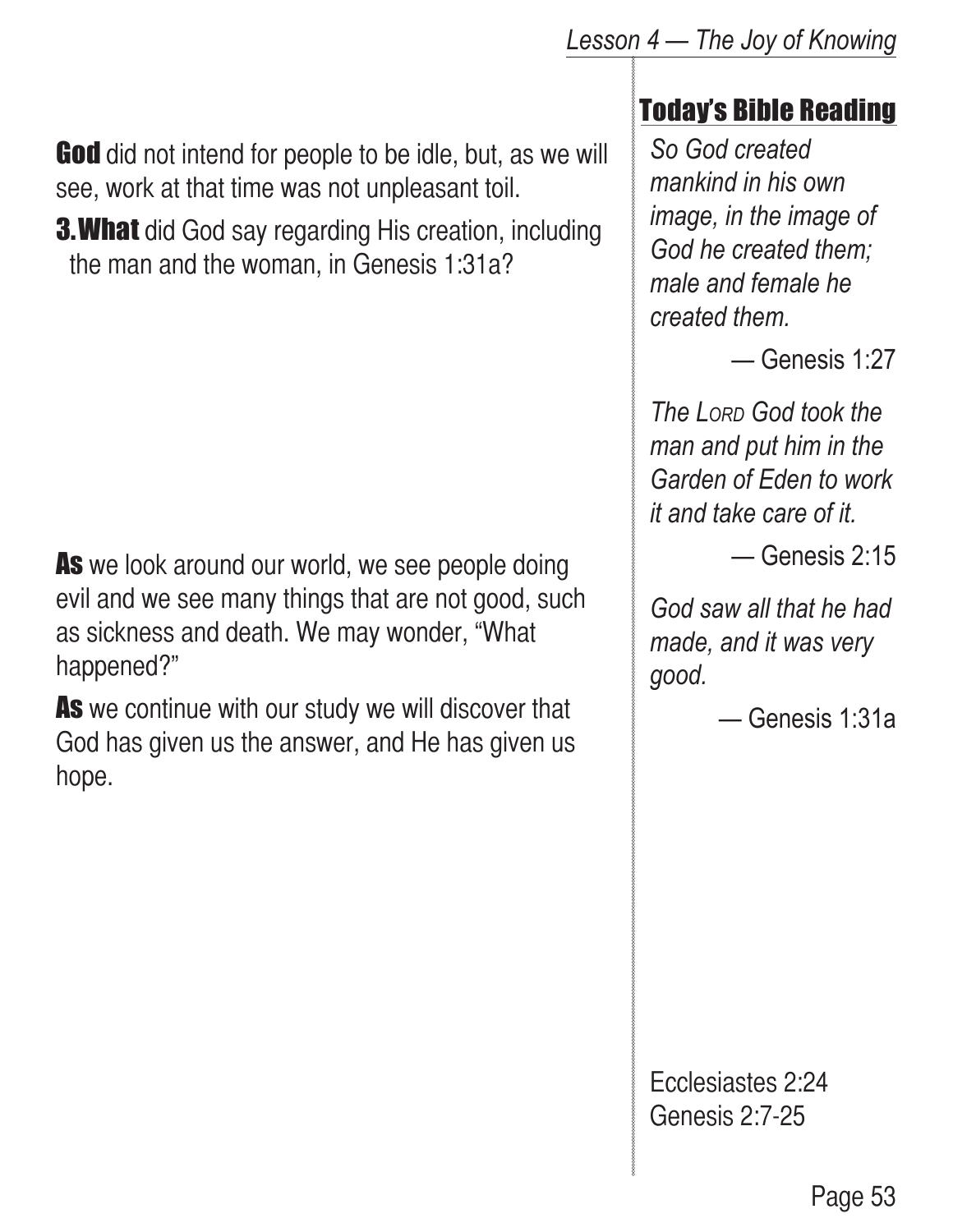*Lesson 4 — The Joy of Knowing*

**God** did not intend for people to be idle, but, as we will see, work at that time was not unpleasant toil.

**3. What** did God say regarding His creation, including the man and the woman, in Genesis 1:31a?

As we look around our world, we see people doing evil and we see many things that are not good, such as sickness and death. We may wonder, "What happened?"

As we continue with our study we will discover that God has given us the answer, and He has given us hope.

### Today's Bible Reading

*So God created mankind in his own image, in the image of God he created them; male and female he created them.* 

— Genesis 1:27

*The Lord God took the man and put him in the Garden of Eden to work it and take care of it.*

— Genesis 2:15

*God saw all that he had made, and it was very good.*

— Genesis 1:31a

Ecclesiastes 2:24 Genesis 2:7-25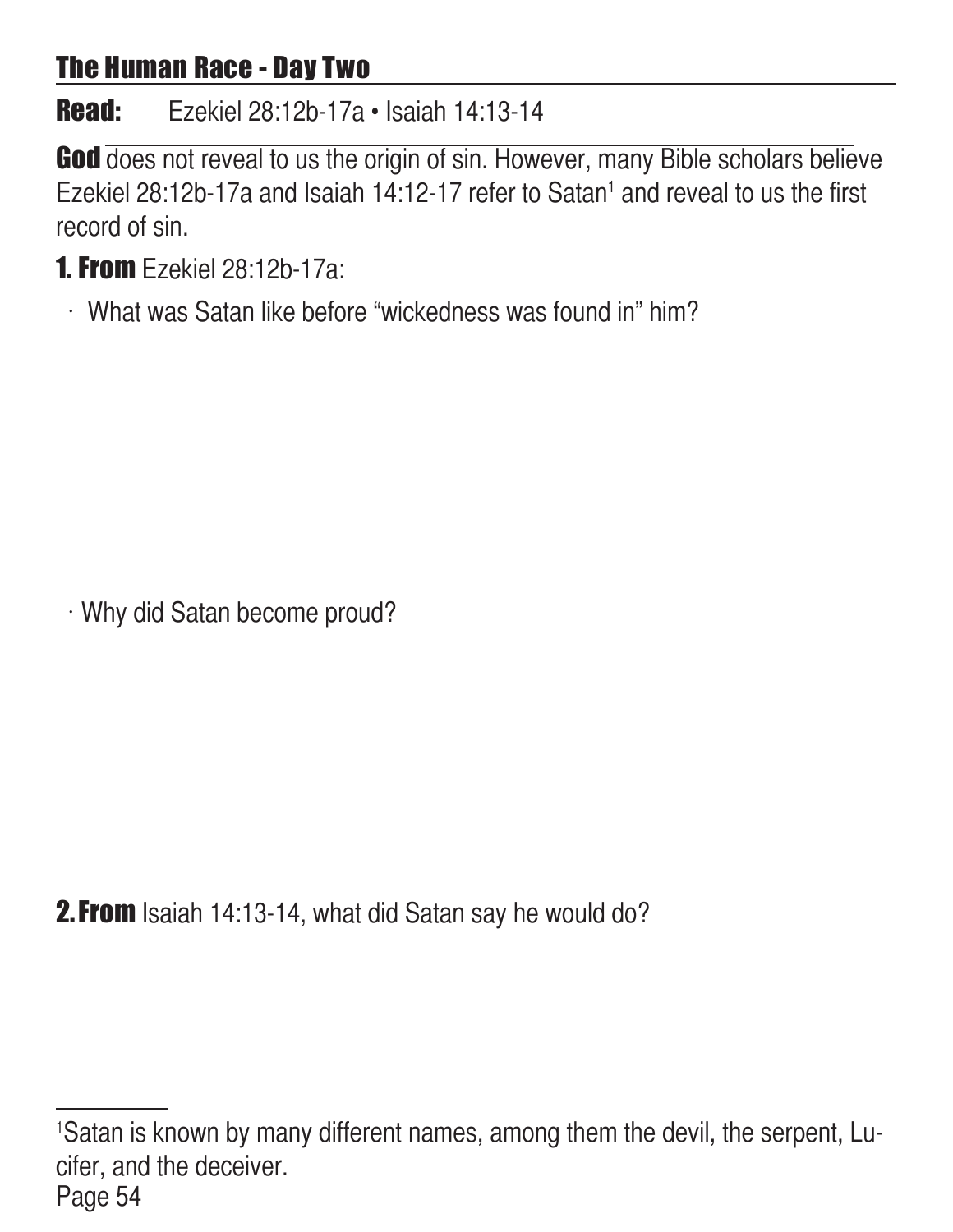### The Human Race - Day Two

Read: Ezekiel 28:12b-17a • Isaiah 14:13-14

God does not reveal to us the origin of sin. However, many Bible scholars believe Ezekiel 28:12b-17a and Isaiah 14:12-17 refer to Satan<sup>1</sup> and reveal to us the first record of sin.

- 1. From Ezekiel 28:12b-17a:
	- $\cdot$  What was Satan like before "wickedness was found in" him?

Why did Satan become proud?

**2. From** Isaiah 14:13-14, what did Satan say he would do?

Page 54 1 Satan is known by many different names, among them the devil, the serpent, Lucifer, and the deceiver.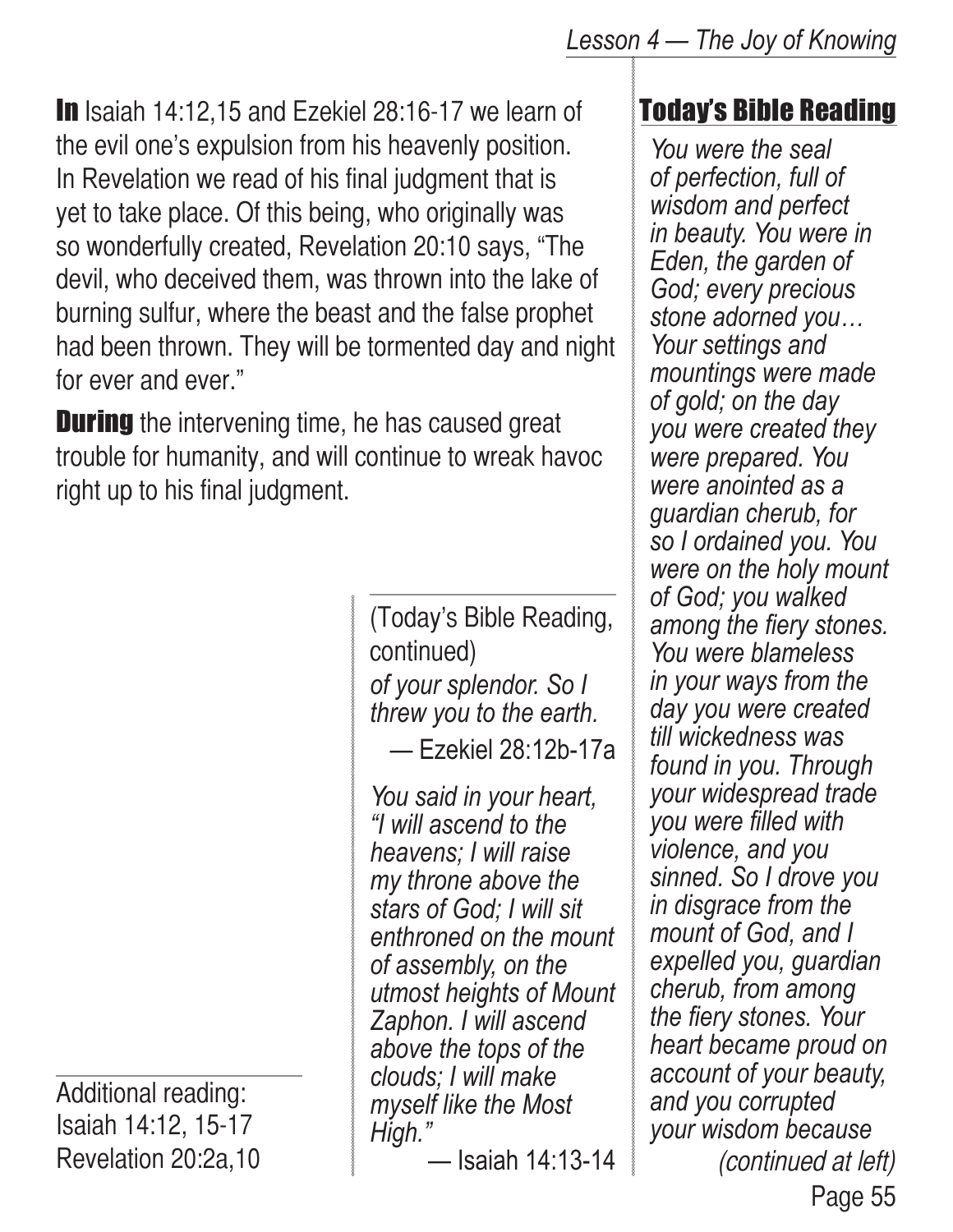In Isaiah 14:12,15 and Ezekiel 28:16-17 we learn of the evil one's expulsion from his heavenly position. In Revelation we read of his final judgment that is yet to take place. Of this being, who originally was so wonderfully created, Revelation 20:10 says, "The devil, who deceived them, was thrown into the lake of burning sulfur, where the beast and the false prophet had been thrown. They will be tormented day and night for ever and ever."

**During** the intervening time, he has caused great trouble for humanity, and will continue to wreak havoc right up to his final judgment.

> *of your splendor. So I threw you to the earth.* — Ezekiel 28:12b-17a (Today's Bible Reading, continued)

> *You said in your heart, "I will ascend to the heavens; I will raise my throne above the stars of God; I will sit enthroned on the mount of assembly, on the utmost heights of Mount Zaphon. I will ascend above the tops of the clouds; I will make myself like the Most High."*

— Isaiah 14:13-14

# Today's Bible Reading

*You were the seal of perfection, full of wisdom and perfect in beauty. You were in Eden, the garden of God; every precious stone adorned you… Your settings and mountings were made of gold; on the day you were created they were prepared. You were anointed as a guardian cherub, for so I ordained you. You were on the holy mount of God; you walked among the fiery stones. You were blameless in your ways from the day you were created till wickedness was found in you. Through your widespread trade you were filled with violence, and you sinned. So I drove you in disgrace from the mount of God, and I expelled you, guardian cherub, from among the fiery stones. Your heart became proud on account of your beauty, and you corrupted your wisdom because*  (continued at left)

Additional reading: Isaiah 14:12, 15-17 Revelation 20:2a,10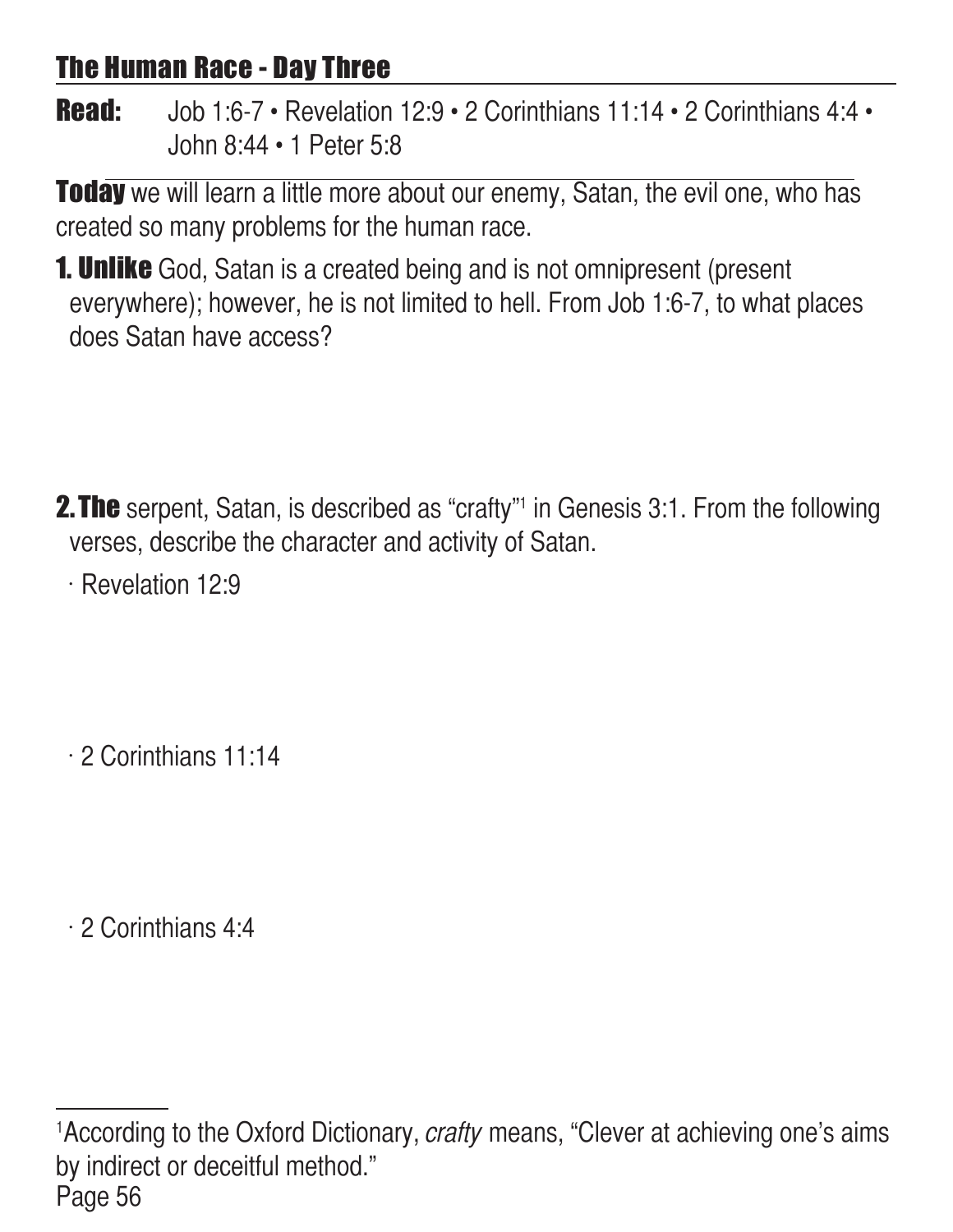## The Human Race - Day Three

Read: Job 1:6-7 • Revelation 12:9 • 2 Corinthians 11:14 • 2 Corinthians 4:4 • John 8:44 • 1 Peter 5:8

**Today** we will learn a little more about our enemy, Satan, the evil one, who has created so many problems for the human race.

**1. Unlike** God, Satan is a created being and is not omnipresent (present everywhere); however, he is not limited to hell. From Job 1:6-7, to what places does Satan have access?

**2. The** serpent, Satan, is described as "crafty"<sup>1</sup> in Genesis 3:1. From the following verses, describe the character and activity of Satan.

 $\cdot$  Revelation 12:9

 $\cdot$  2 Corinthians 11:14

 $\cdot$  2 Corinthians 4:4

Page 56 <sup>1</sup>According to the Oxford Dictionary, *crafty* means, "Clever at achieving one's aims by indirect or deceitful method."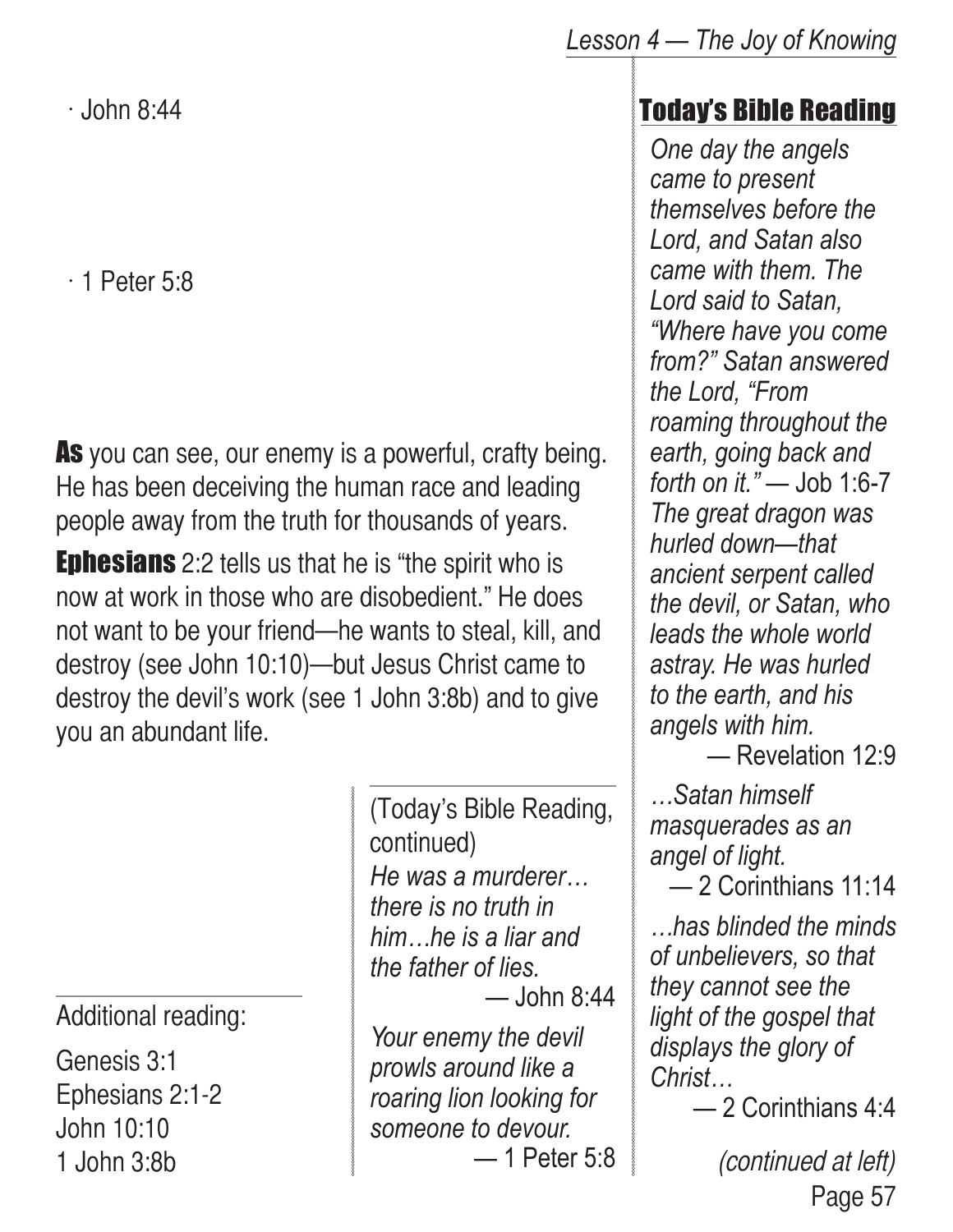$\cdot$  John 8:44

 $\cdot$  1 Peter 5:8

As you can see, our enemy is a powerful, crafty being. He has been deceiving the human race and leading people away from the truth for thousands of years.

**Ephesians** 2:2 tells us that he is "the spirit who is now at work in those who are disobedient." He does not want to be your friend—he wants to steal, kill, and destroy (see John 10:10)—but Jesus Christ came to destroy the devil's work (see 1 John 3:8b) and to give you an abundant life.

Additional reading:

Genesis 3:1 Ephesians 2:1-2 John 10:10 1 John 3:8b

*He was a murderer… there is no truth in him…he is a liar and the father of lies.*  $-$  John 8:44 (Today's Bible Reading, continued)

*Your enemy the devil prowls around like a roaring lion looking for someone to devour.* — 1 Peter 5:8

# Today's Bible Reading

*One day the angels came to present themselves before the Lord, and Satan also came with them. The Lord said to Satan, "Where have you come from?" Satan answered the Lord, "From roaming throughout the earth, going back and forth on it."* — Job 1:6-7 *The great dragon was hurled down—that ancient serpent called the devil, or Satan, who leads the whole world astray. He was hurled to the earth, and his angels with him.*

— Revelation 12:9

*…Satan himself masquerades as an angel of light.*

— 2 Corinthians 11:14

*…has blinded the minds of unbelievers, so that they cannot see the light of the gospel that displays the glory of Christ…*

— 2 Corinthians 4:4

Page 57 (continued at left)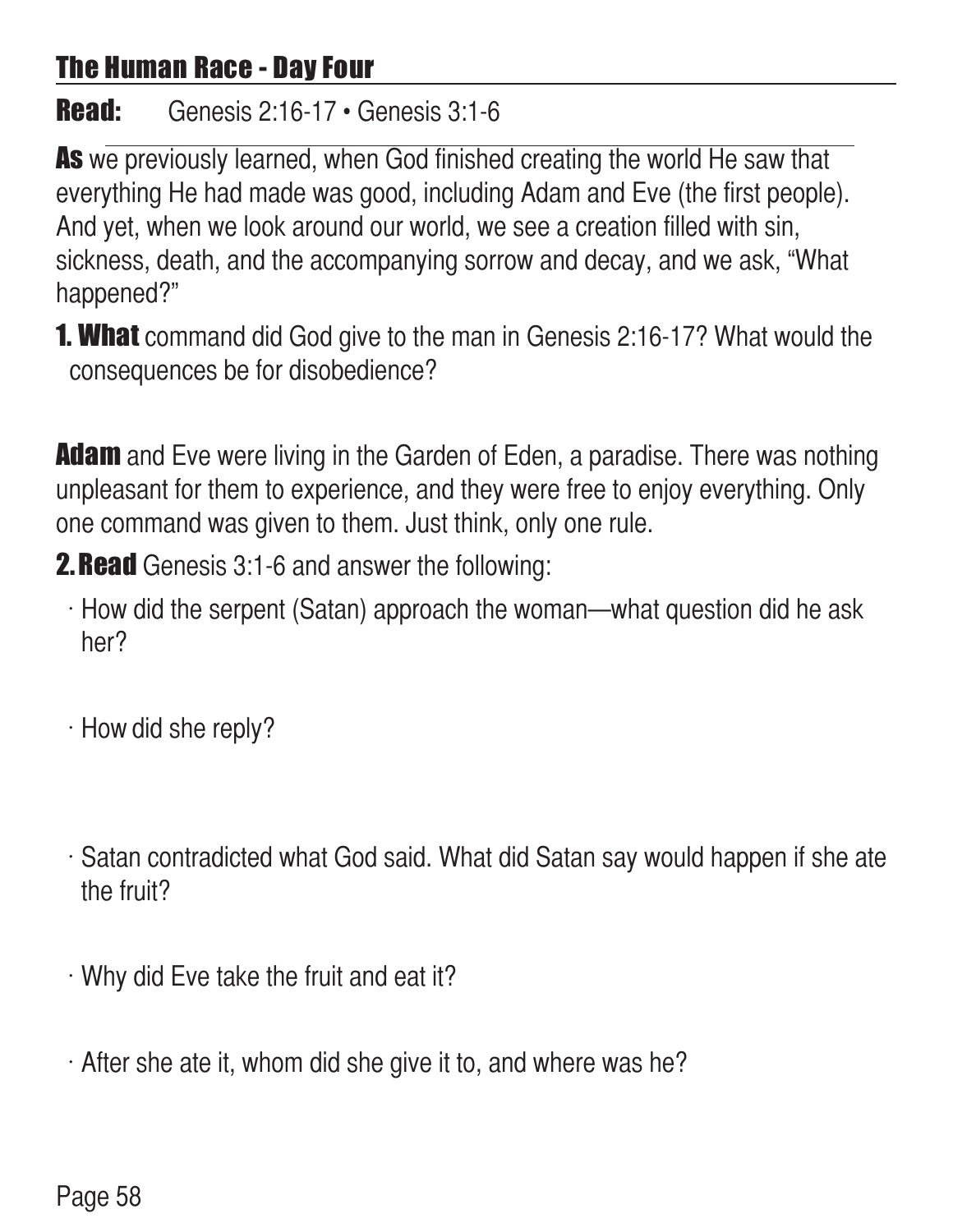# The Human Race - Day Four

#### Read: Genesis 2:16-17 • Genesis 3:1-6

As we previously learned, when God finished creating the world He saw that everything He had made was good, including Adam and Eve (the first people). And yet, when we look around our world, we see a creation filled with sin, sickness, death, and the accompanying sorrow and decay, and we ask, "What happened?"

**1. What** command did God give to the man in Genesis 2:16-17? What would the consequences be for disobedience?

**Adam** and Eve were living in the Garden of Eden, a paradise. There was nothing unpleasant for them to experience, and they were free to enjoy everything. Only one command was given to them. Just think, only one rule.

**2. Read** Genesis 3:1-6 and answer the following:

- $\cdot$  How did the serpent (Satan) approach the woman—what question did he ask her?
- $\cdot$  How did she reply?
- $\cdot$  Satan contradicted what God said. What did Satan say would happen if she ate the fruit?
- $\cdot$  Why did Eve take the fruit and eat it?
- $\cdot$  After she ate it, whom did she give it to, and where was he?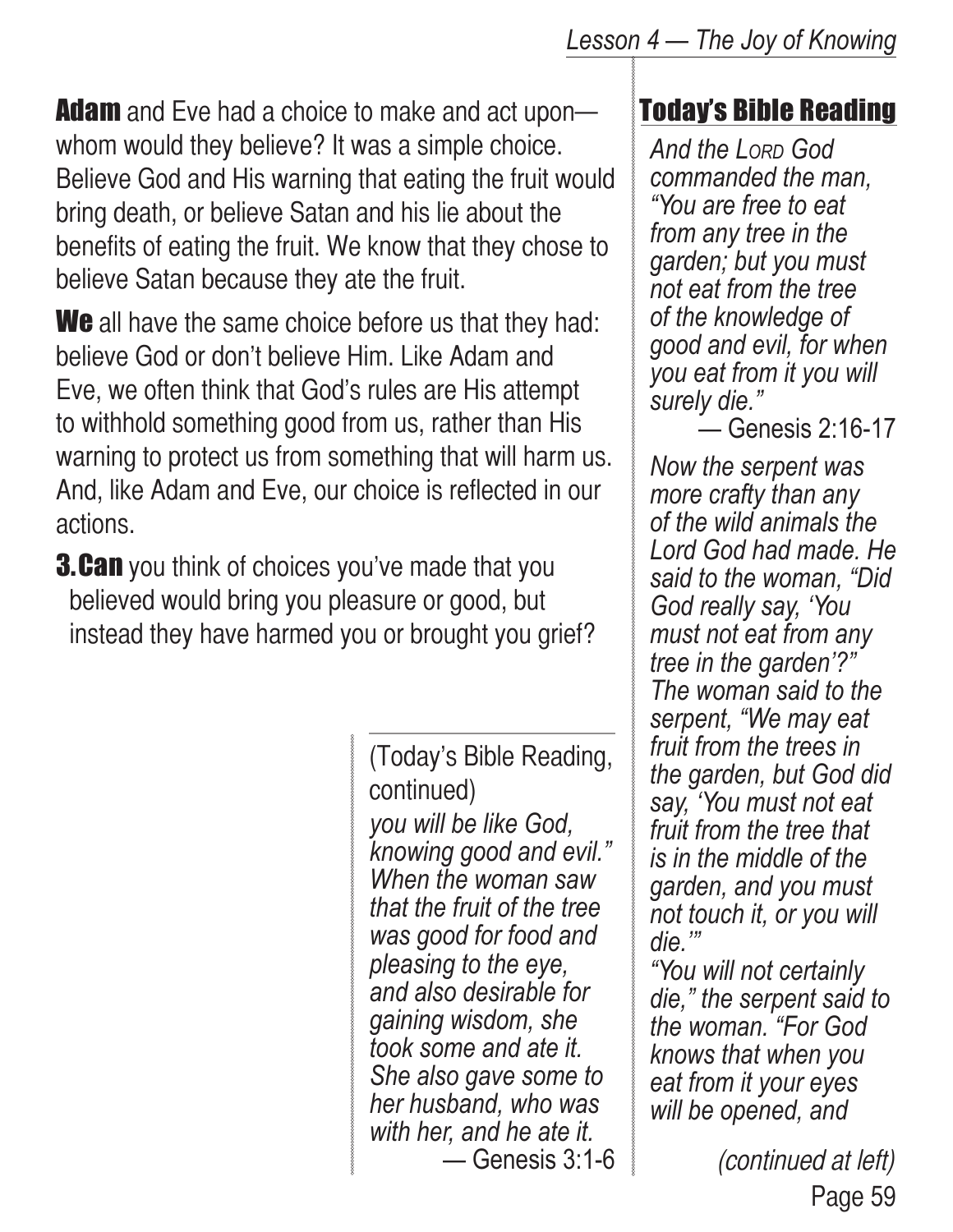**Adam** and Eve had a choice to make and act upon whom would they believe? It was a simple choice. Believe God and His warning that eating the fruit would bring death, or believe Satan and his lie about the benefits of eating the fruit. We know that they chose to believe Satan because they ate the fruit.

We all have the same choice before us that they had: believe God or don't believe Him. Like Adam and Eve, we often think that God's rules are His attempt to withhold something good from us, rather than His warning to protect us from something that will harm us. And, like Adam and Eve, our choice is reflected in our actions.

**3.Can** you think of choices you've made that you believed would bring you pleasure or good, but instead they have harmed you or brought you grief?

> *you will be like God, knowing good and evil." When the woman saw that the fruit of the tree was good for food and pleasing to the eye, and also desirable for gaining wisdom, she took some and ate it. She also gave some to her husband, who was with her, and he ate it.* — Genesis 3:1-6 (Today's Bible Reading, continued)

### Today's Bible Reading

*And the Lord God commanded the man, "You are free to eat from any tree in the garden; but you must not eat from the tree of the knowledge of good and evil, for when you eat from it you will surely die."*

— Genesis 2:16-17

*Now the serpent was more crafty than any of the wild animals the Lord God had made. He said to the woman, "Did God really say, 'You must not eat from any tree in the garden'?" The woman said to the serpent, "We may eat fruit from the trees in the garden, but God did say, 'You must not eat fruit from the tree that is in the middle of the garden, and you must not touch it, or you will die.'"*

*"You will not certainly die," the serpent said to the woman. "For God knows that when you eat from it your eyes will be opened, and* 

> Page 59 (continued at left)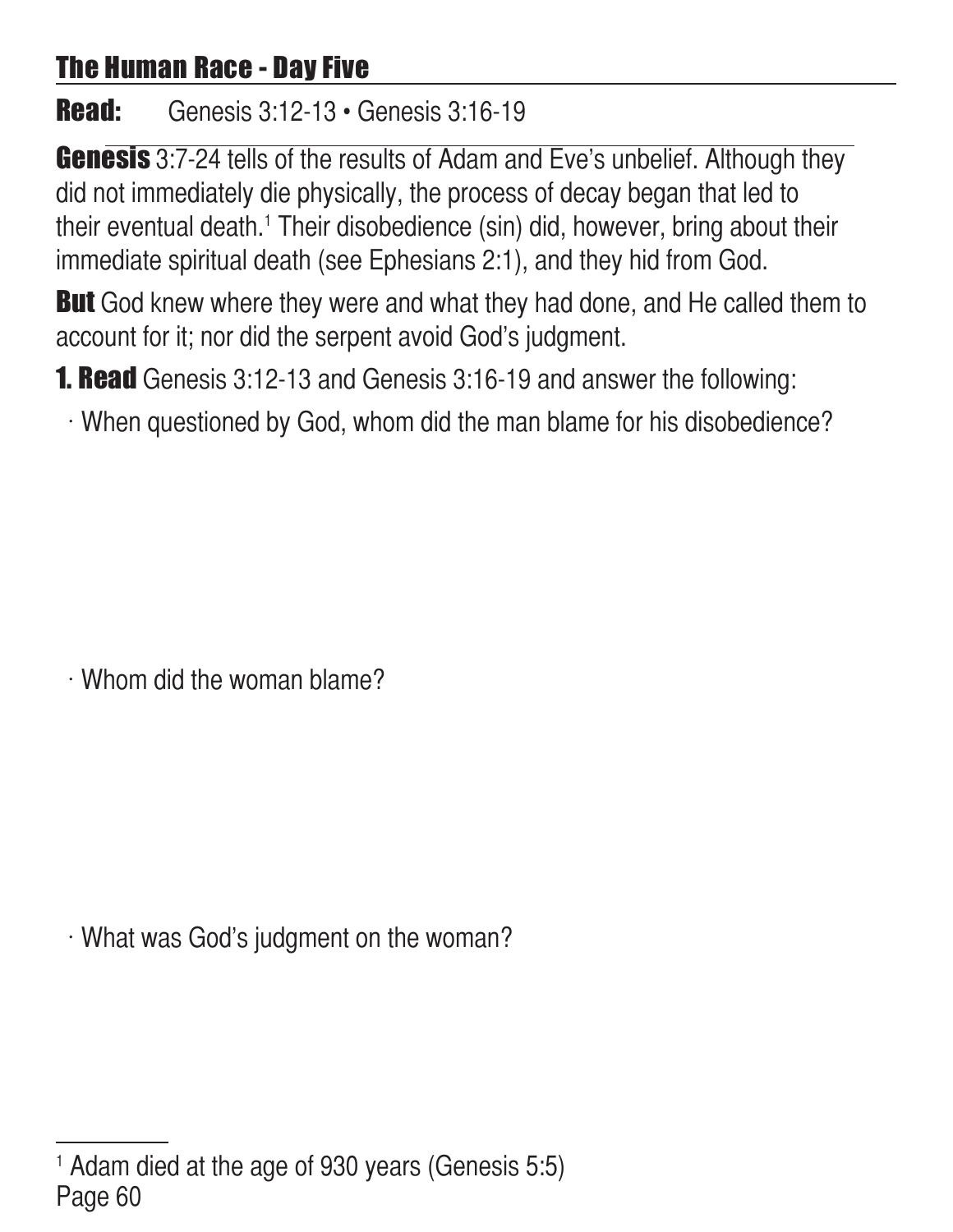# The Human Race - Day Five

**Read:** Genesis 3:12-13 • Genesis 3:16-19

**Genesis** 3:7-24 tells of the results of Adam and Eve's unbelief. Although they did not immediately die physically, the process of decay began that led to their eventual death.<sup>1</sup> Their disobedience (sin) did, however, bring about their immediate spiritual death (see Ephesians 2:1), and they hid from God.

**But** God knew where they were and what they had done, and He called them to account for it; nor did the serpent avoid God's judgment.

**1. Read** Genesis 3:12-13 and Genesis 3:16-19 and answer the following:

When questioned by God, whom did the man blame for his disobedience?

 $\cdot$  Whom did the woman blame?

What was God's judgment on the woman?

Page 60 1 Adam died at the age of 930 years (Genesis 5:5)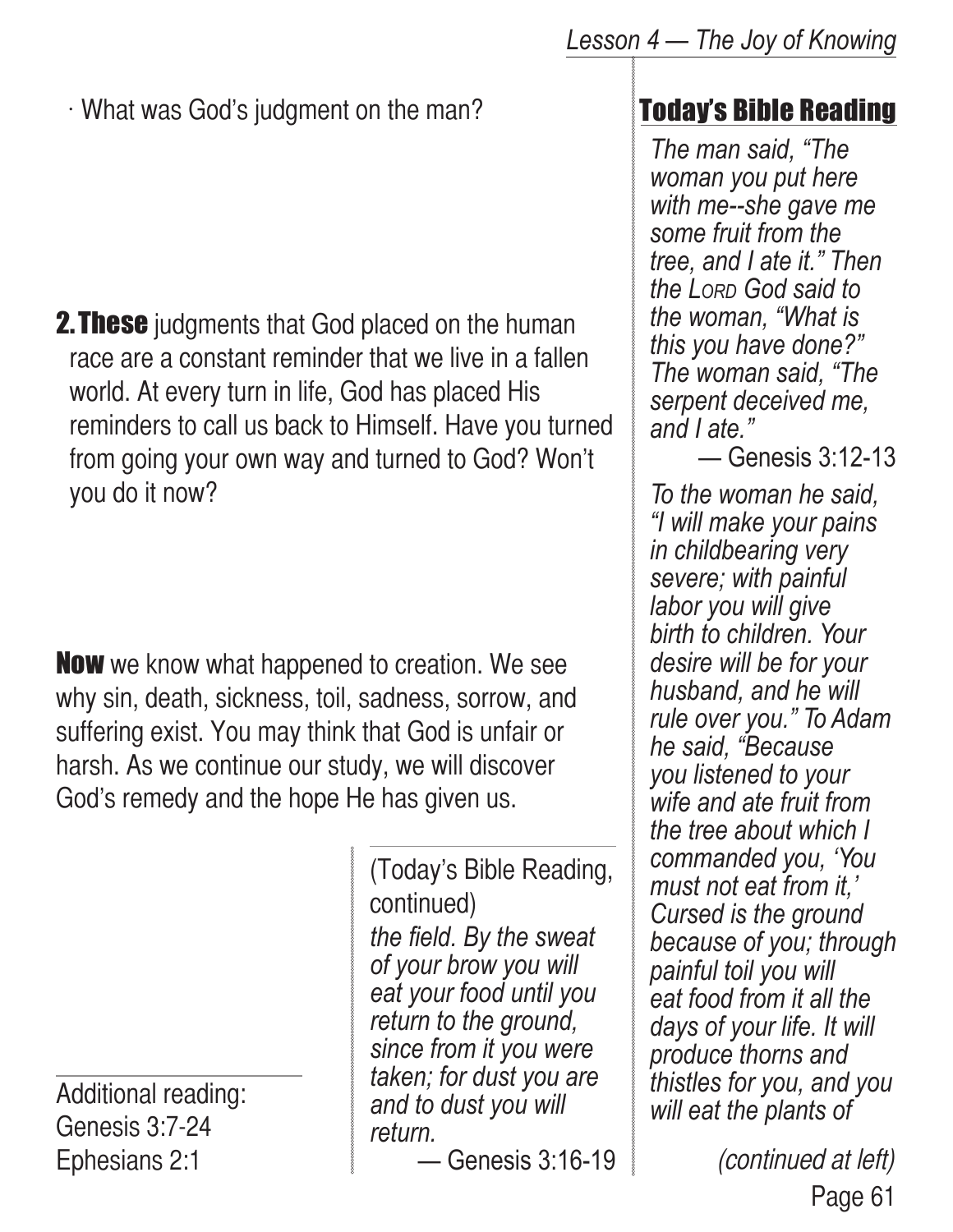$\cdot$  What was God's judgment on the man?

**2. These** judgments that God placed on the human race are a constant reminder that we live in a fallen world. At every turn in life, God has placed His reminders to call us back to Himself. Have you turned from going your own way and turned to God? Won't you do it now?

**Now** we know what happened to creation. We see why sin, death, sickness, toil, sadness, sorrow, and suffering exist. You may think that God is unfair or harsh. As we continue our study, we will discover God's remedy and the hope He has given us.

Additional reading: Genesis 3:7-24 Ephesians 2:1

*the field. By the sweat of your brow you will eat your food until you return to the ground, since from it you were taken; for dust you are and to dust you will return.* (Today's Bible Reading, continued)

— Genesis 3:16-19

# Today's Bible Reading

*The man said, "The woman you put here with me--she gave me some fruit from the tree, and I ate it." Then the Lord God said to the woman, "What is this you have done?" The woman said, "The serpent deceived me, and I ate."*

— Genesis 3:12-13

*To the woman he said, "I will make your pains in childbearing very severe; with painful labor you will give birth to children. Your desire will be for your husband, and he will rule over you." To Adam he said, "Because you listened to your wife and ate fruit from the tree about which I commanded you, 'You must not eat from it,' Cursed is the ground because of you; through painful toil you will eat food from it all the days of your life. It will produce thorns and thistles for you, and you will eat the plants of* 

> Page 61 (continued at left)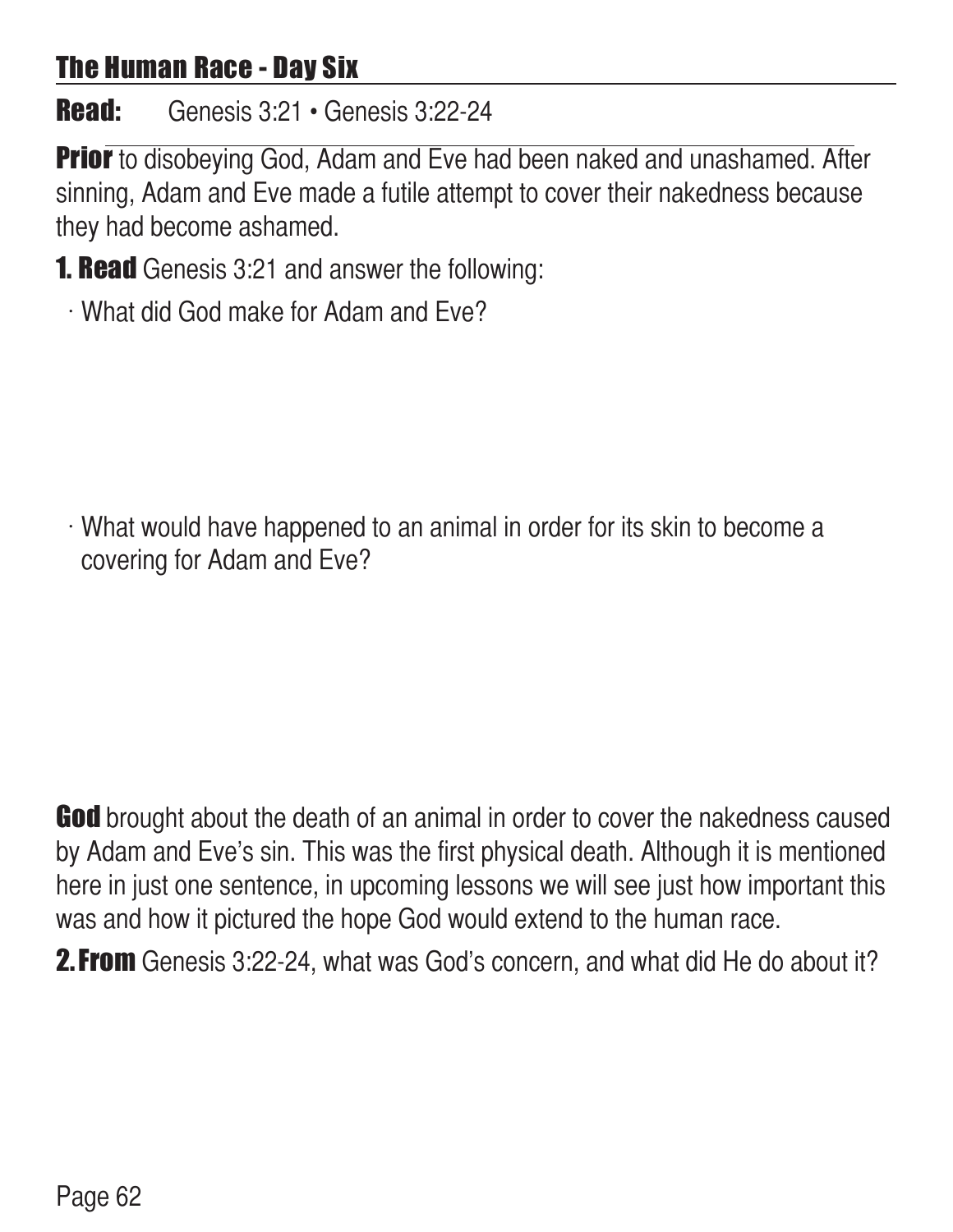### The Human Race - Day Six

# **Read:** Genesis 3:21 • Genesis 3:22-24

**Prior** to disobeying God, Adam and Eve had been naked and unashamed. After sinning, Adam and Eve made a futile attempt to cover their nakedness because they had become ashamed.

- **1. Read** Genesis 3:21 and answer the following:
	- w What did God make for Adam and Eve?

What would have happened to an animal in order for its skin to become a covering for Adam and Eve?

God brought about the death of an animal in order to cover the nakedness caused by Adam and Eve's sin. This was the first physical death. Although it is mentioned here in just one sentence, in upcoming lessons we will see just how important this was and how it pictured the hope God would extend to the human race.

**2. From** Genesis 3:22-24, what was God's concern, and what did He do about it?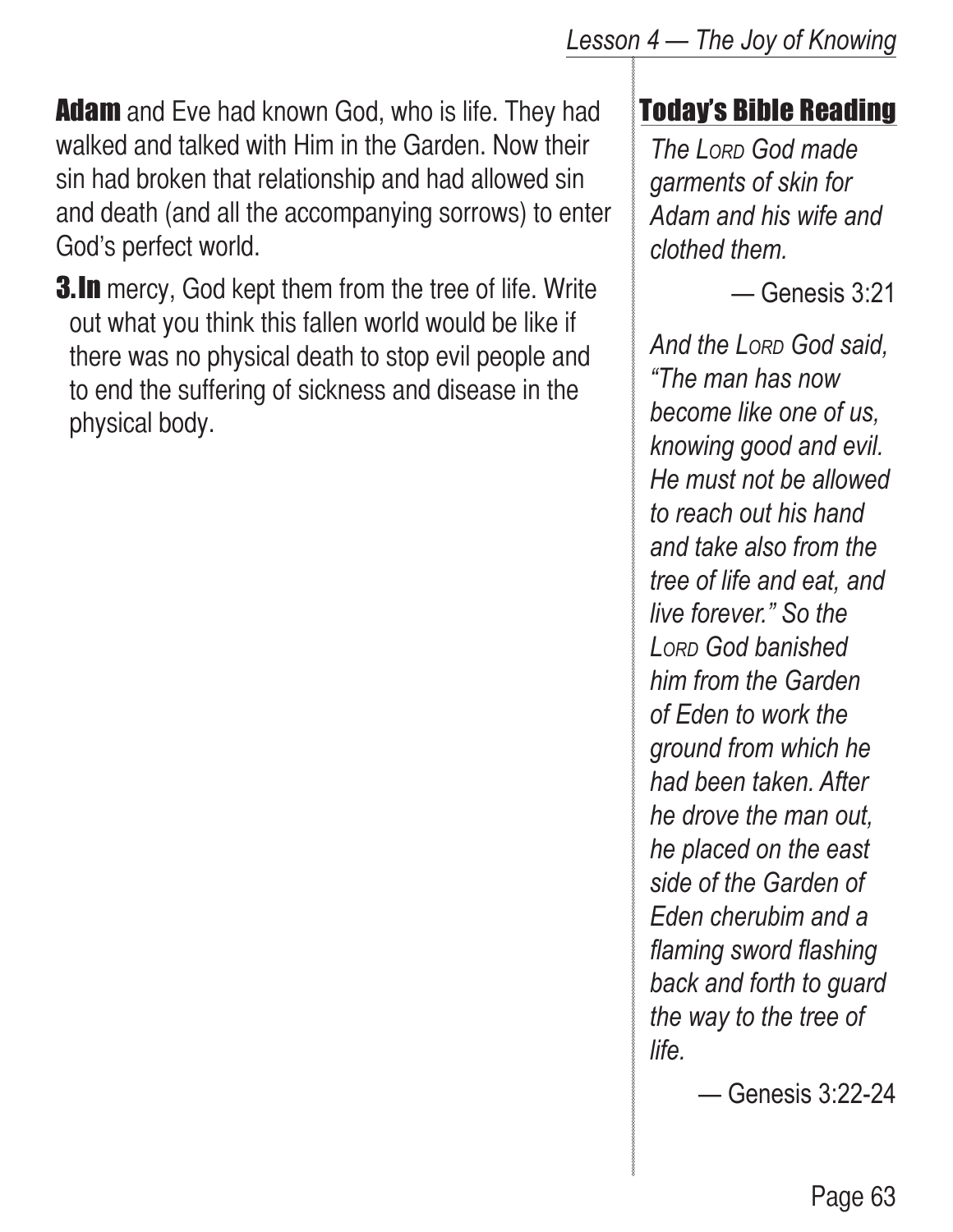**Adam** and Eve had known God, who is life. They had walked and talked with Him in the Garden. Now their sin had broken that relationship and had allowed sin and death (and all the accompanying sorrows) to enter God's perfect world.

**3.In** mercy, God kept them from the tree of life. Write out what you think this fallen world would be like if there was no physical death to stop evil people and to end the suffering of sickness and disease in the physical body.

#### *Lesson 4 — The Joy of Knowing*

# Today's Bible Reading

*The Lord God made garments of skin for Adam and his wife and clothed them.* 

— Genesis 3:21

*And the Lord God said, "The man has now become like one of us, knowing good and evil. He must not be allowed to reach out his hand and take also from the tree of life and eat, and live forever." So the Lord God banished him from the Garden of Eden to work the ground from which he had been taken. After he drove the man out, he placed on the east side of the Garden of Eden cherubim and a flaming sword flashing back and forth to guard the way to the tree of life.*

— Genesis 3:22-24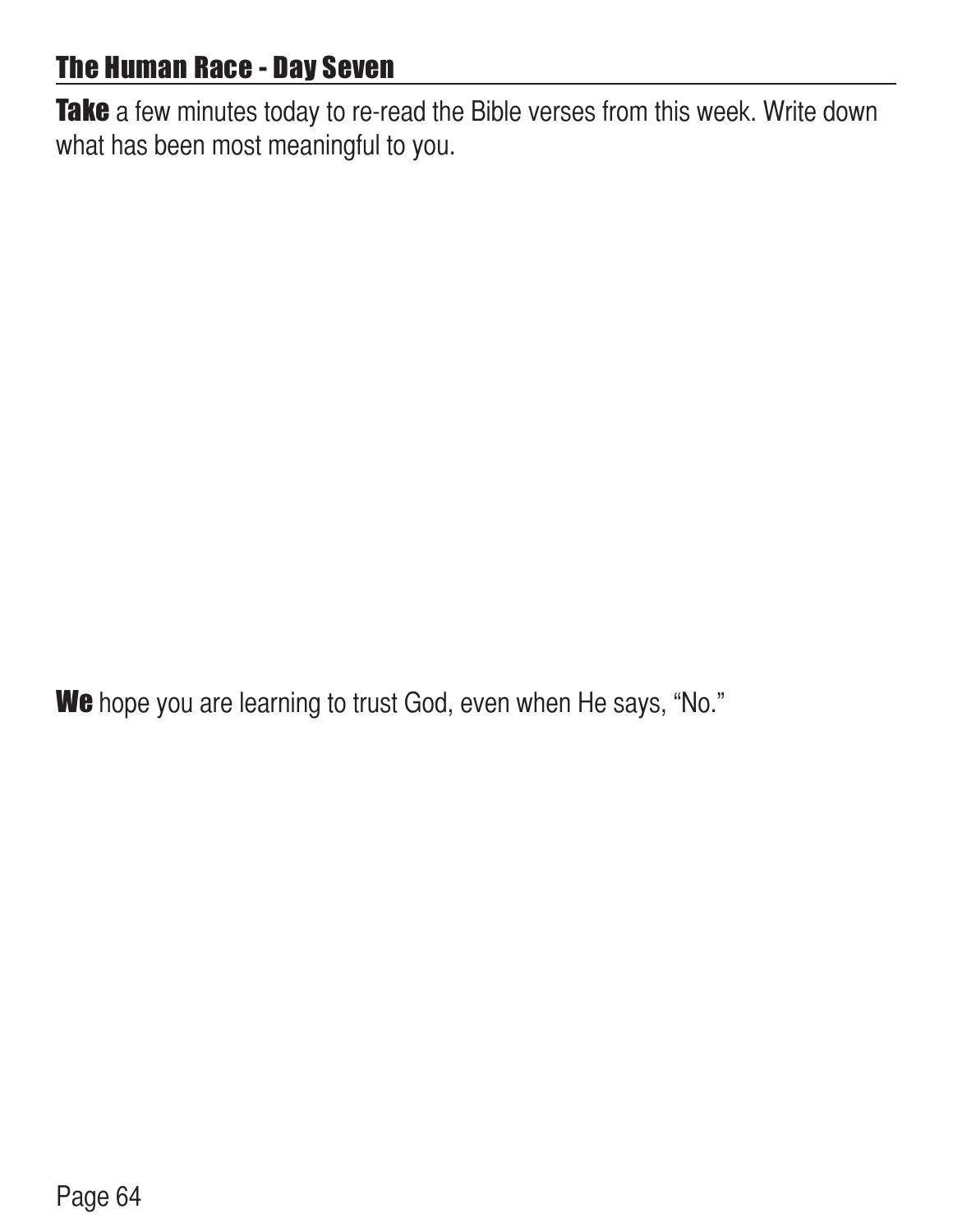# The Human Race - Day Seven

Take a few minutes today to re-read the Bible verses from this week. Write down what has been most meaningful to you.

We hope you are learning to trust God, even when He says, "No."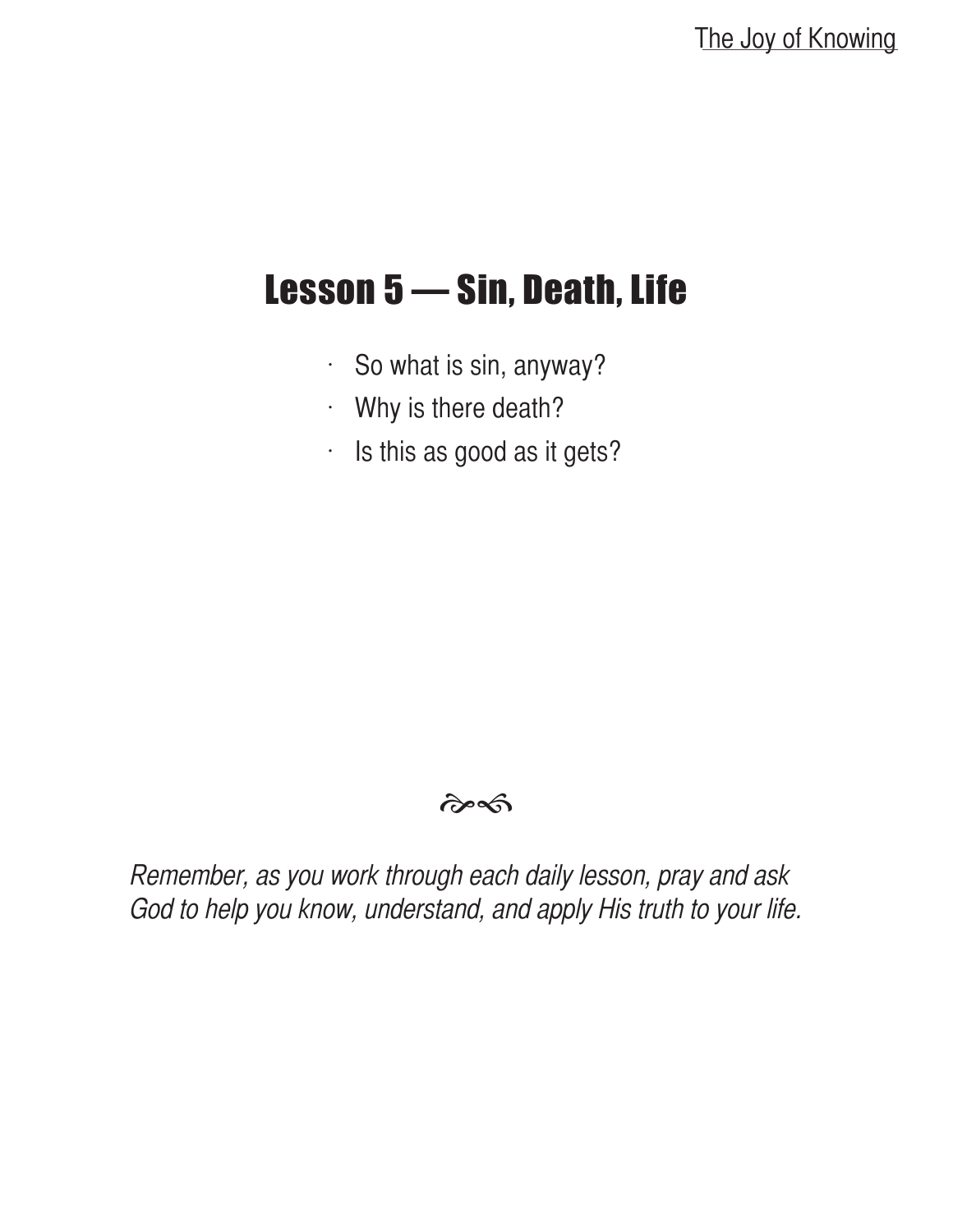# Lesson 5 — Sin, Death, Life

- $\cdot$  So what is sin, anyway?
- $\cdot$  Why is there death?
- $\cdot$  Is this as good as it gets?

#### $\hat{\sigma}$

Remember, as you work through each daily lesson, pray and ask God to help you know, understand, and apply His truth to your life.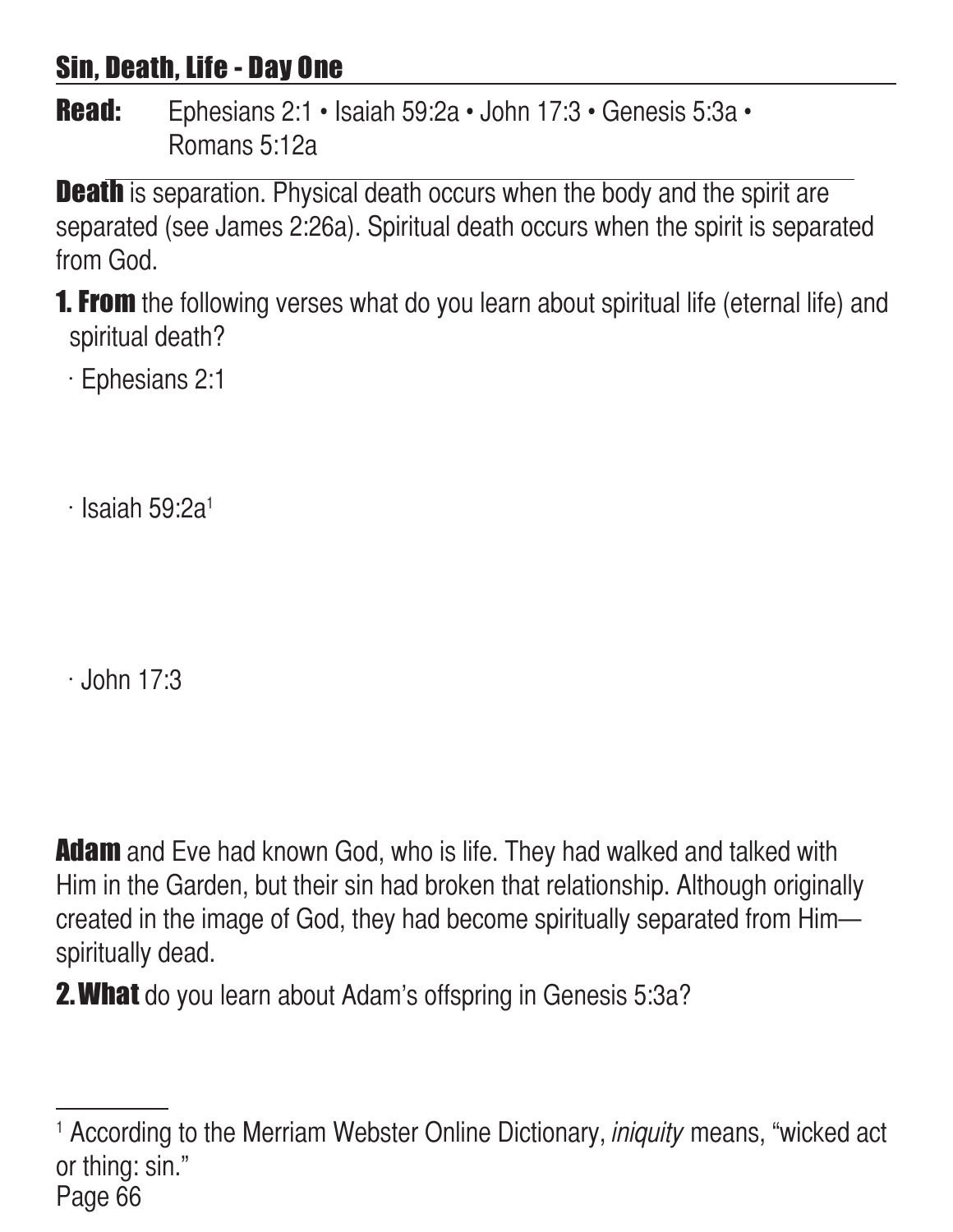# Sin, Death, Life - Day One

Read: Ephesians 2:1 • Isaiah 59:2a • John 17:3 • Genesis 5:3a • Romans 5:12a

**Death** is separation. Physical death occurs when the body and the spirit are separated (see James 2:26a). Spiritual death occurs when the spirit is separated from God.

**1. From** the following verses what do you learn about spiritual life (eternal life) and spiritual death?

 $\cdot$  Ephesians 2:1

 $\cdot$  Isaiah 59:2a<sup>1</sup>

 $\cdot$  John 17:3

**Adam** and Eve had known God, who is life. They had walked and talked with Him in the Garden, but their sin had broken that relationship. Although originally created in the image of God, they had become spiritually separated from Him spiritually dead.

**2. What** do you learn about Adam's offspring in Genesis 5:3a?

Page 66 <sup>1</sup> According to the Merriam Webster Online Dictionary, *iniquity* means, "wicked act or thing: sin."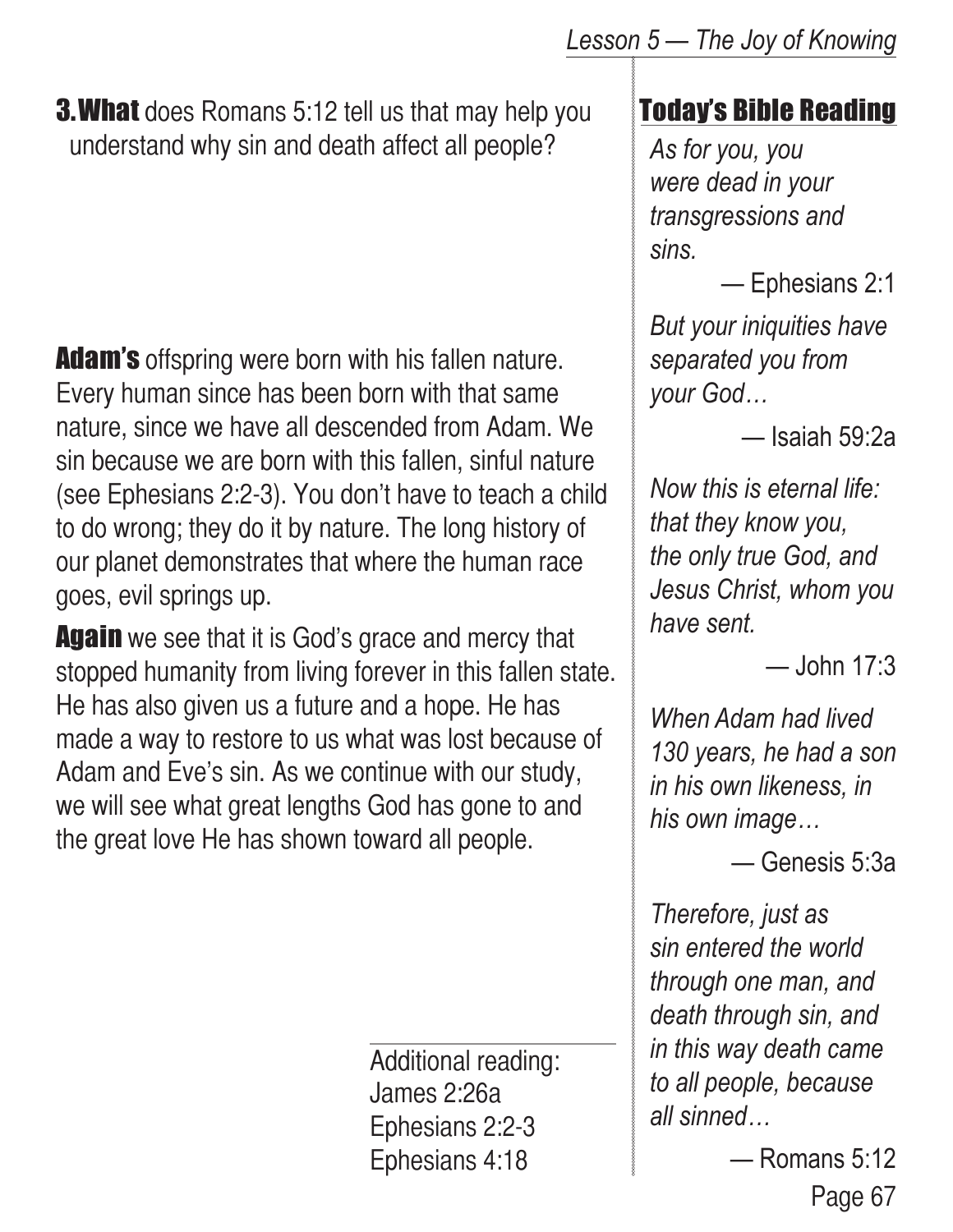**3. What** does Romans 5:12 tell us that may help you understand why sin and death affect all people?

**Adam's** offspring were born with his fallen nature. Every human since has been born with that same nature, since we have all descended from Adam. We sin because we are born with this fallen, sinful nature (see Ephesians 2:2-3). You don't have to teach a child to do wrong; they do it by nature. The long history of our planet demonstrates that where the human race goes, evil springs up.

**Again** we see that it is God's grace and mercy that stopped humanity from living forever in this fallen state. He has also given us a future and a hope. He has made a way to restore to us what was lost because of Adam and Eve's sin. As we continue with our study, we will see what great lengths God has gone to and the great love He has shown toward all people.

> Additional reading: James 2:26a Ephesians 2:2-3 Ephesians 4:18

### Today's Bible Reading

*As for you, you were dead in your transgressions and sins.*

— Ephesians 2:1

*But your iniquities have separated you from your God…*

— Isaiah 59:2a

*Now this is eternal life: that they know you, the only true God, and Jesus Christ, whom you have sent.*

— John 17:3

*When Adam had lived 130 years, he had a son in his own likeness, in his own image…*

— Genesis 5:3a

*Therefore, just as sin entered the world through one man, and death through sin, and in this way death came to all people, because all sinned…*

> Page 67 — Romans 5:12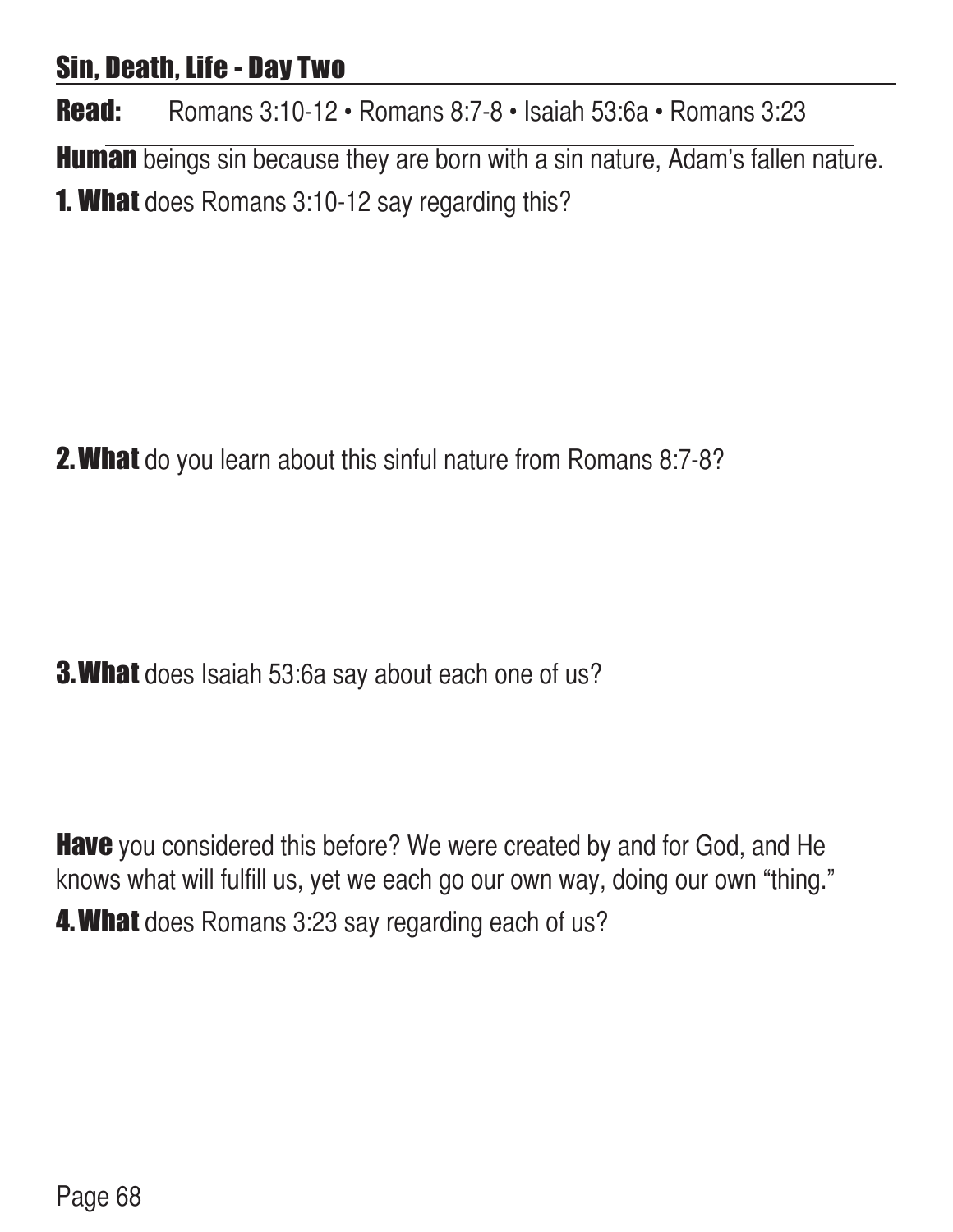### Sin, Death, Life - Day Two

Read: Romans 3:10-12 • Romans 8:7-8 • Isaiah 53:6a • Romans 3:23

**Human** beings sin because they are born with a sin nature, Adam's fallen nature. **1. What** does Romans 3:10-12 say regarding this?

**2. What** do you learn about this sinful nature from Romans 8:7-8?

**3. What** does Isaiah 53:6a say about each one of us?

**Have** you considered this before? We were created by and for God, and He knows what will fulfill us, yet we each go our own way, doing our own "thing." **4. What** does Romans 3:23 say regarding each of us?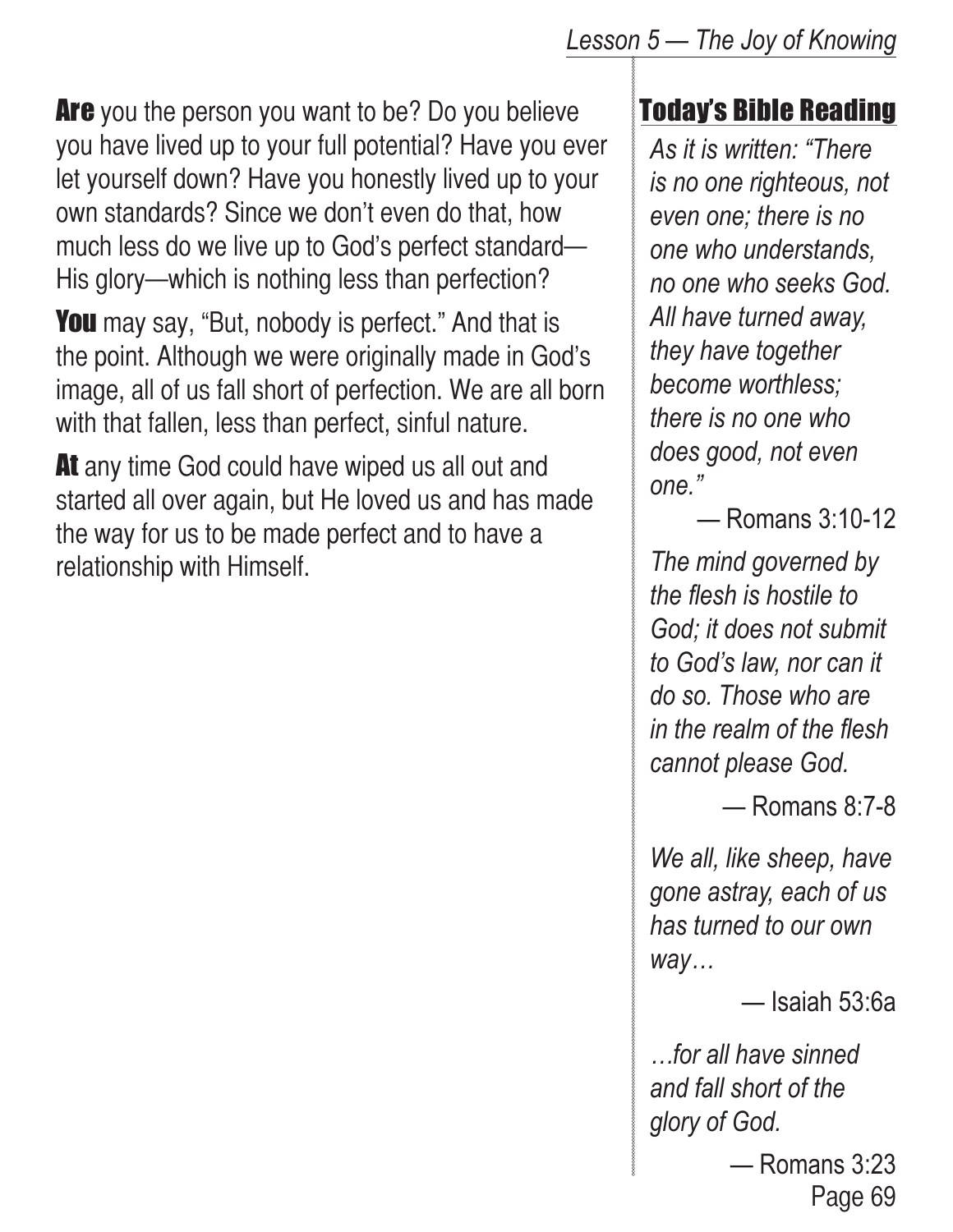#### *Lesson 5 — The Joy of Knowing*

**Are** you the person you want to be? Do you believe you have lived up to your full potential? Have you ever let yourself down? Have you honestly lived up to your own standards? Since we don't even do that, how much less do we live up to God's perfect standard— His glory—which is nothing less than perfection?

**You** may say, "But, nobody is perfect." And that is the point. Although we were originally made in God's image, all of us fall short of perfection. We are all born with that fallen, less than perfect, sinful nature.

At any time God could have wiped us all out and started all over again, but He loved us and has made the way for us to be made perfect and to have a relationship with Himself.

#### Today's Bible Reading

*As it is written: "There is no one righteous, not even one; there is no one who understands, no one who seeks God. All have turned away, they have together become worthless; there is no one who does good, not even one."* 

— Romans 3:10-12

*The mind governed by the flesh is hostile to God; it does not submit to God's law, nor can it do so. Those who are in the realm of the flesh cannot please God.*

— Romans 8:7-8

*We all, like sheep, have gone astray, each of us has turned to our own way…*

— Isaiah 53:6a

*…for all have sinned and fall short of the glory of God.*

Page 69 — Romans 3:23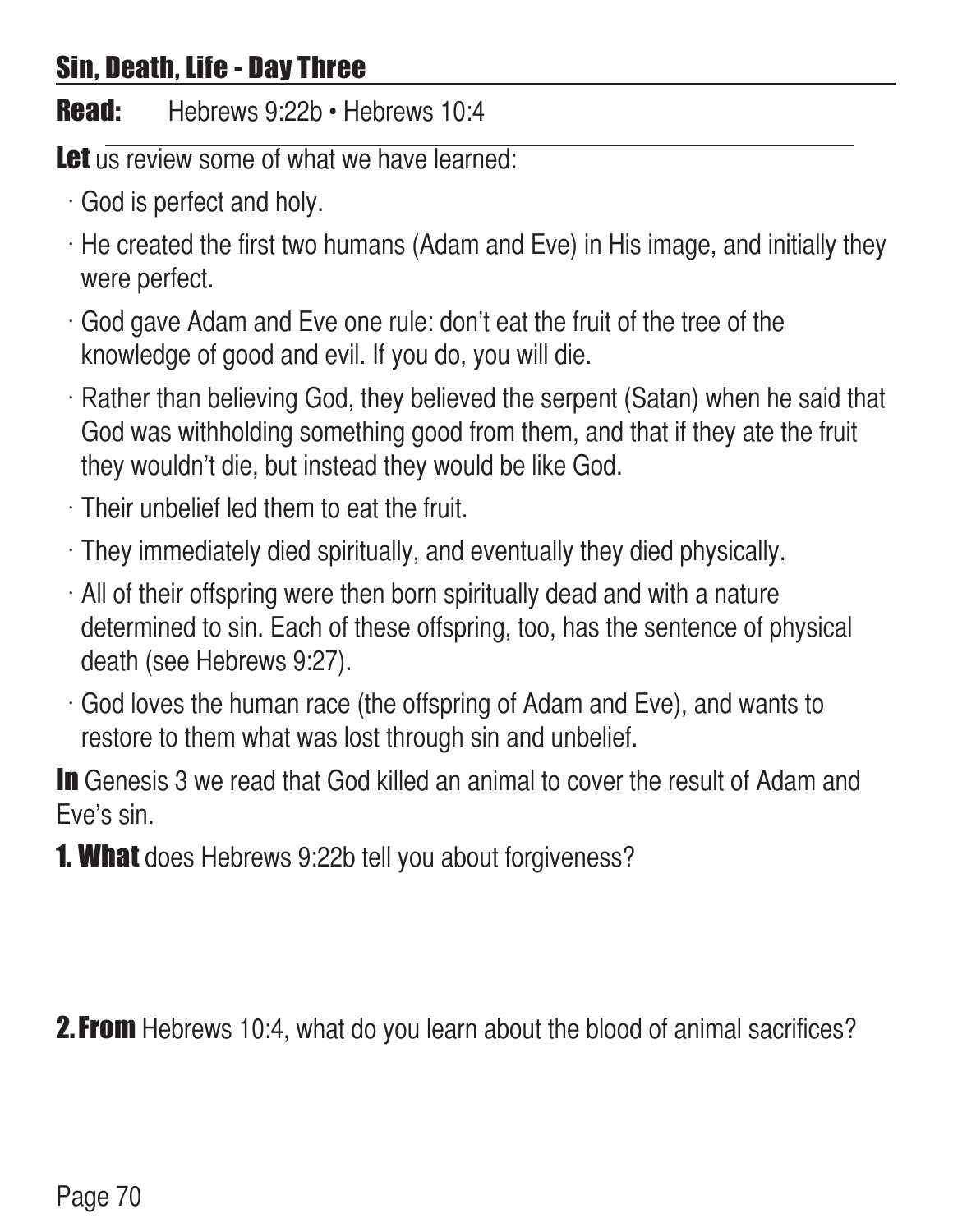# Sin, Death, Life - Day Three

Read: Hebrews 9:22b · Hebrews 10:4

Let us review some of what we have learned:

- $\cdot$  God is perfect and holy.
- $\cdot$  He created the first two humans (Adam and Eve) in His image, and initially they were perfect.
- $\cdot$  God gave Adam and Eve one rule: don't eat the fruit of the tree of the knowledge of good and evil. If you do, you will die.
- $\cdot$  Rather than believing God, they believed the serpent (Satan) when he said that God was withholding something good from them, and that if they ate the fruit they wouldn't die, but instead they would be like God.
- $\cdot$  Their unbelief led them to eat the fruit.
- $\cdot$  They immediately died spiritually, and eventually they died physically.
- $\cdot$  All of their offspring were then born spiritually dead and with a nature determined to sin. Each of these offspring, too, has the sentence of physical death (see Hebrews 9:27).
- $\cdot$  God loves the human race (the offspring of Adam and Eve), and wants to restore to them what was lost through sin and unbelief.

In Genesis 3 we read that God killed an animal to cover the result of Adam and Eve's sin.

**1. What** does Hebrews 9:22b tell you about forgiveness?

**2. From** Hebrews 10:4, what do you learn about the blood of animal sacrifices?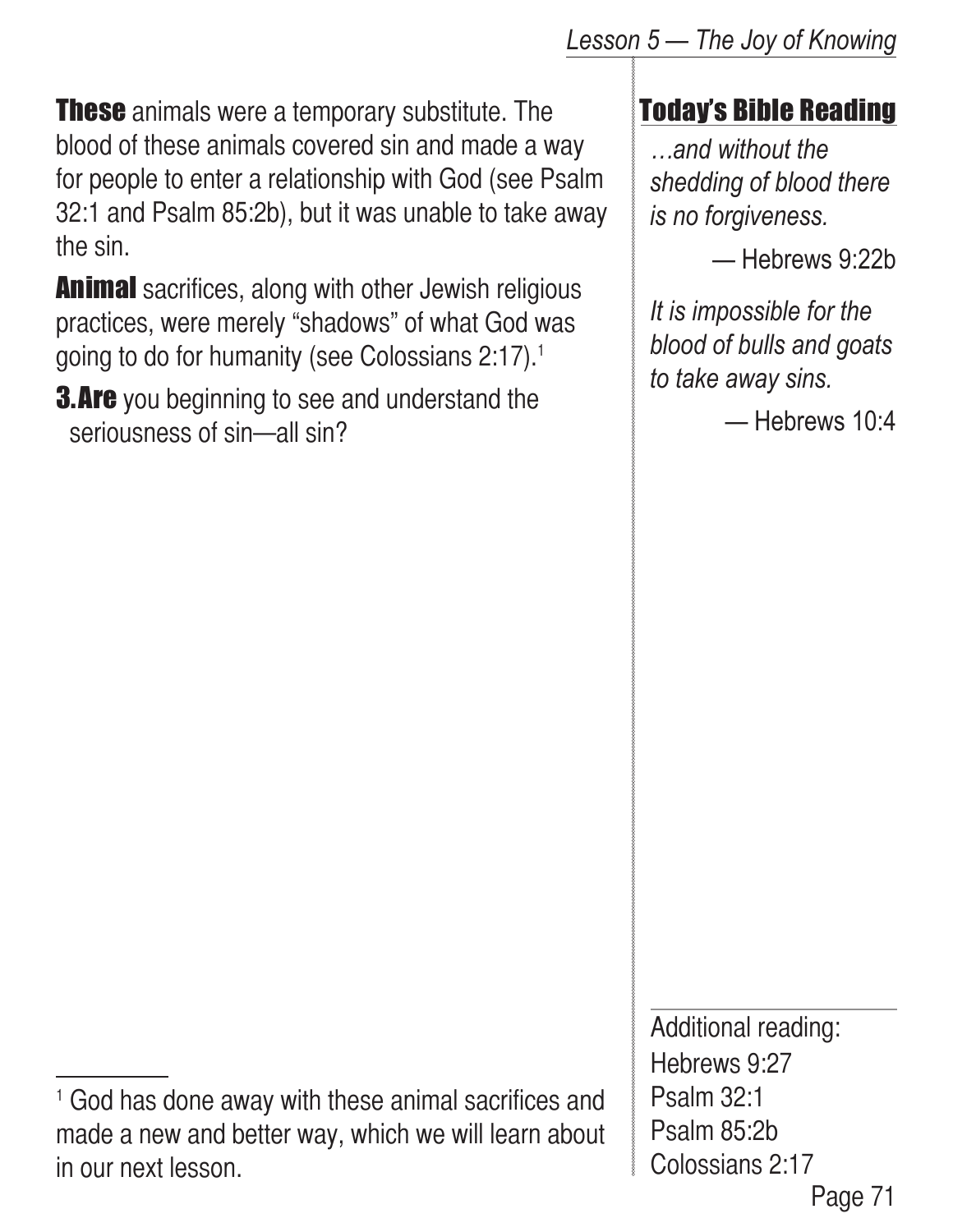**These** animals were a temporary substitute. The blood of these animals covered sin and made a way for people to enter a relationship with God (see Psalm 32:1 and Psalm 85:2b), but it was unable to take away the sin.

**Animal** sacrifices, along with other Jewish religious practices, were merely "shadows" of what God was going to do for humanity (see Colossians 2:17).1

**3. Are** you beginning to see and understand the seriousness of sin—all sin?

*Lesson 5 — The Joy of Knowing*

Today's Bible Reading

*…and without the shedding of blood there is no forgiveness.*

— Hebrews 9:22b

*It is impossible for the blood of bulls and goats to take away sins.*

— Hebrews 10:4

Page 71 Additional reading: Hebrews 9:27 Psalm 32:1 Psalm 85:2b Colossians 2:17

<sup>1</sup> God has done away with these animal sacrifices and made a new and better way, which we will learn about in our next lesson.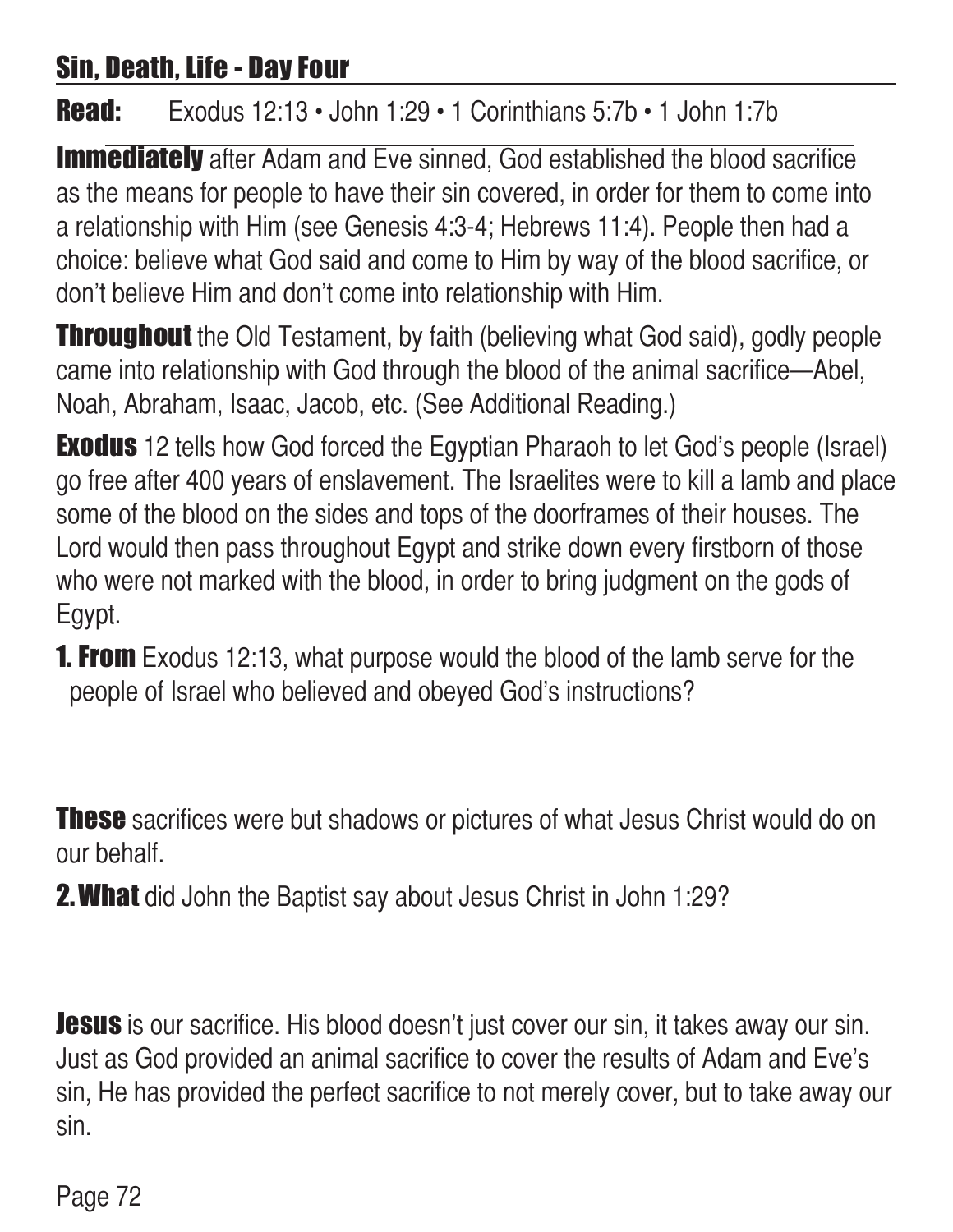## Sin, Death, Life - Day Four

Read: Exodus 12:13 • John 1:29 • 1 Corinthians 5:7b • 1 John 1:7b

**Immediately** after Adam and Eve sinned, God established the blood sacrifice as the means for people to have their sin covered, in order for them to come into a relationship with Him (see Genesis 4:3-4; Hebrews 11:4). People then had a choice: believe what God said and come to Him by way of the blood sacrifice, or don't believe Him and don't come into relationship with Him.

**Throughout** the Old Testament, by faith (believing what God said), godly people came into relationship with God through the blood of the animal sacrifice—Abel, Noah, Abraham, Isaac, Jacob, etc. (See Additional Reading.)

**Exodus** 12 tells how God forced the Egyptian Pharaoh to let God's people (Israel) go free after 400 years of enslavement. The Israelites were to kill a lamb and place some of the blood on the sides and tops of the doorframes of their houses. The Lord would then pass throughout Egypt and strike down every firstborn of those who were not marked with the blood, in order to bring judgment on the gods of Egypt.

**1. From** Exodus 12:13, what purpose would the blood of the lamb serve for the people of Israel who believed and obeyed God's instructions?

**These** sacrifices were but shadows or pictures of what Jesus Christ would do on our behalf.

**2. What** did John the Baptist say about Jesus Christ in John 1:29?

**Jesus** is our sacrifice. His blood doesn't just cover our sin, it takes away our sin. Just as God provided an animal sacrifice to cover the results of Adam and Eve's sin, He has provided the perfect sacrifice to not merely cover, but to take away our sin.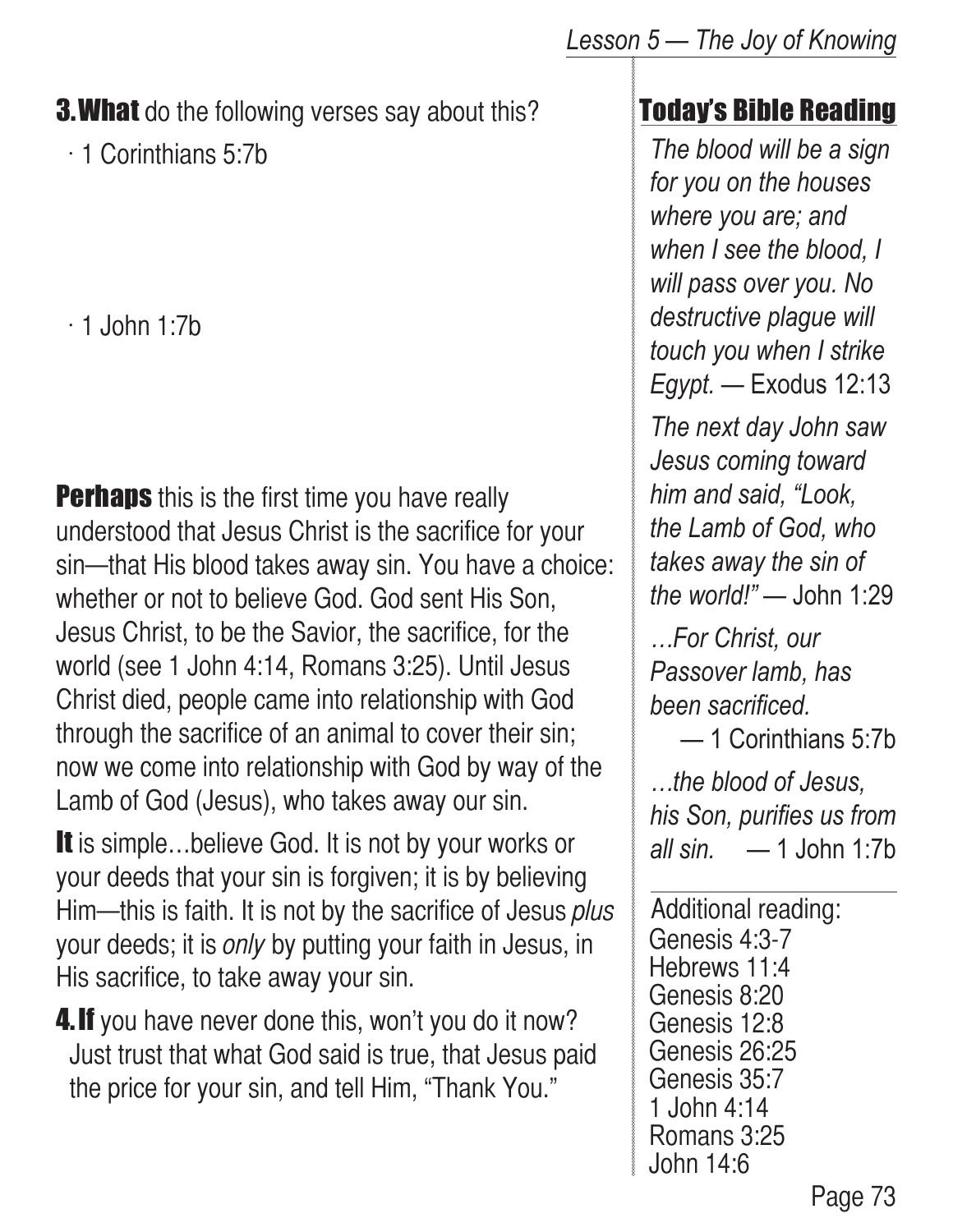#### **3. What** do the following verses say about this?

 $\cdot$  1 Corinthians 5:7b

 $\cdot$  1 John 1:7b

**Perhaps** this is the first time you have really understood that Jesus Christ is the sacrifice for your sin—that His blood takes away sin. You have a choice: whether or not to believe God. God sent His Son, Jesus Christ, to be the Savior, the sacrifice, for the world (see 1 John 4:14, Romans 3:25). Until Jesus Christ died, people came into relationship with God through the sacrifice of an animal to cover their sin; now we come into relationship with God by way of the Lamb of God (Jesus), who takes away our sin.

It is simple...believe God. It is not by your works or your deeds that your sin is forgiven; it is by believing Him—this is faith. It is not by the sacrifice of Jesus plus your deeds; it is *only* by putting your faith in Jesus, in His sacrifice, to take away your sin.

**4. If** you have never done this, won't you do it now? Just trust that what God said is true, that Jesus paid the price for your sin, and tell Him, "Thank You."

### Today's Bible Reading

*The blood will be a sign for you on the houses where you are; and when I see the blood, I will pass over you. No destructive plague will touch you when I strike Egypt.* — Exodus 12:13

*The next day John saw Jesus coming toward him and said, "Look, the Lamb of God, who takes away the sin of the world!"* — John 1:29

*…For Christ, our Passover lamb, has been sacrificed.*

— 1 Corinthians 5:7b

*…the blood of Jesus, his Son, purifies us from all sin.* — 1 John 1:7b

Additional reading: Genesis 4:3-7 Hebrews 11:4 Genesis 8:20 Genesis 12:8 Genesis 26:25 Genesis 35:7 1 John 4:14 Romans 3:25 John 14:6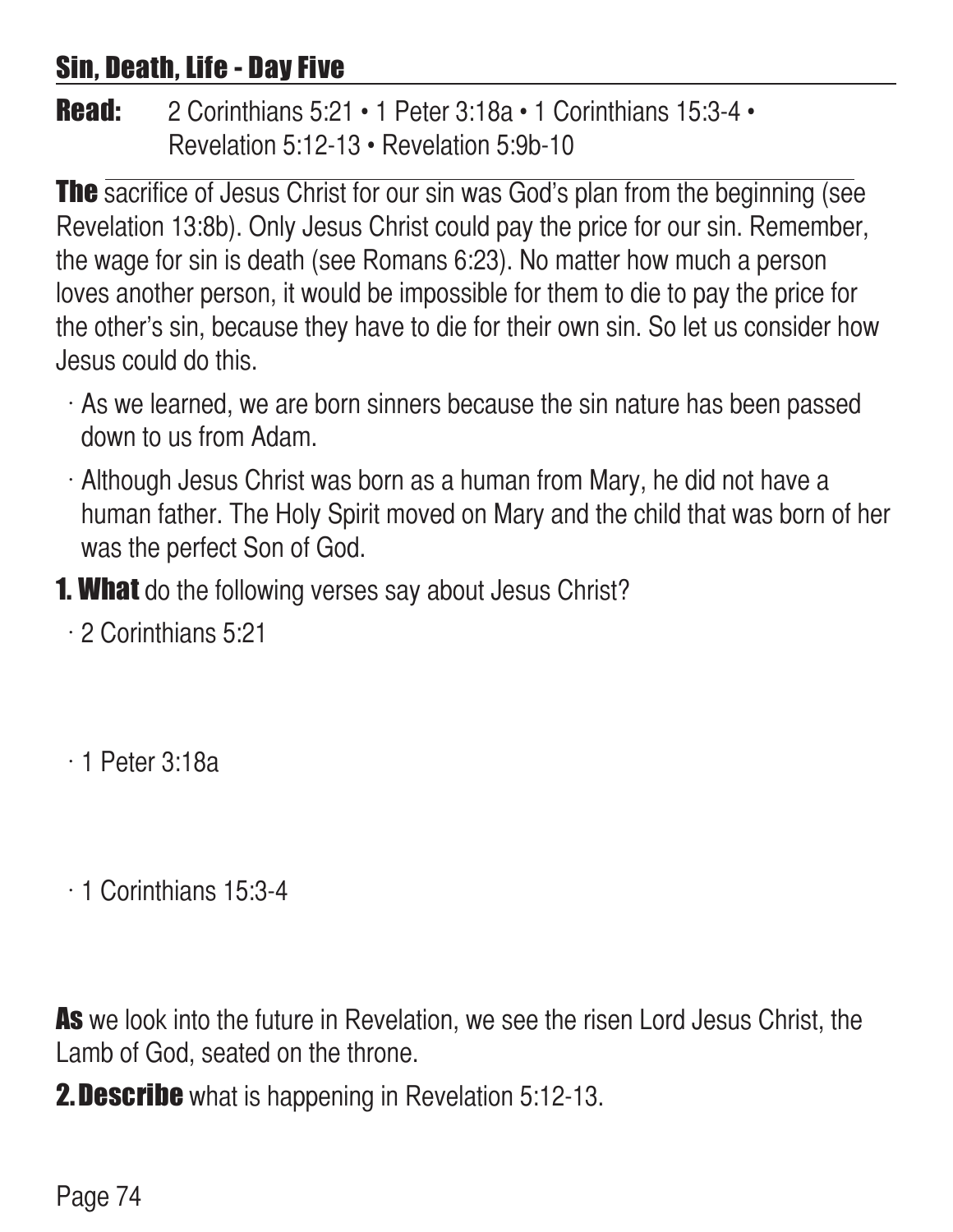### Sin, Death, Life - Day Five

**Read:** 2 Corinthians  $5:21 \cdot 1$  Peter  $3:18a \cdot 1$  Corinthians  $15:3-4 \cdot$ Revelation 5:12-13 • Revelation 5:9b-10

**The** sacrifice of Jesus Christ for our sin was God's plan from the beginning (see Revelation 13:8b). Only Jesus Christ could pay the price for our sin. Remember, the wage for sin is death (see Romans 6:23). No matter how much a person loves another person, it would be impossible for them to die to pay the price for the other's sin, because they have to die for their own sin. So let us consider how Jesus could do this.

- $\cdot$  As we learned, we are born sinners because the sin nature has been passed down to us from Adam.
- $\cdot$  Although Jesus Christ was born as a human from Mary, he did not have a human father. The Holy Spirit moved on Mary and the child that was born of her was the perfect Son of God.
- **1. What** do the following verses say about Jesus Christ?
	- $\cdot$  2 Corinthians 5:21
	- $\cdot$  1 Peter 3:18a
	- $\cdot$  1 Corinthians 15:3-4

As we look into the future in Revelation, we see the risen Lord Jesus Christ, the Lamb of God, seated on the throne.

**2. Describe** what is happening in Revelation 5:12-13.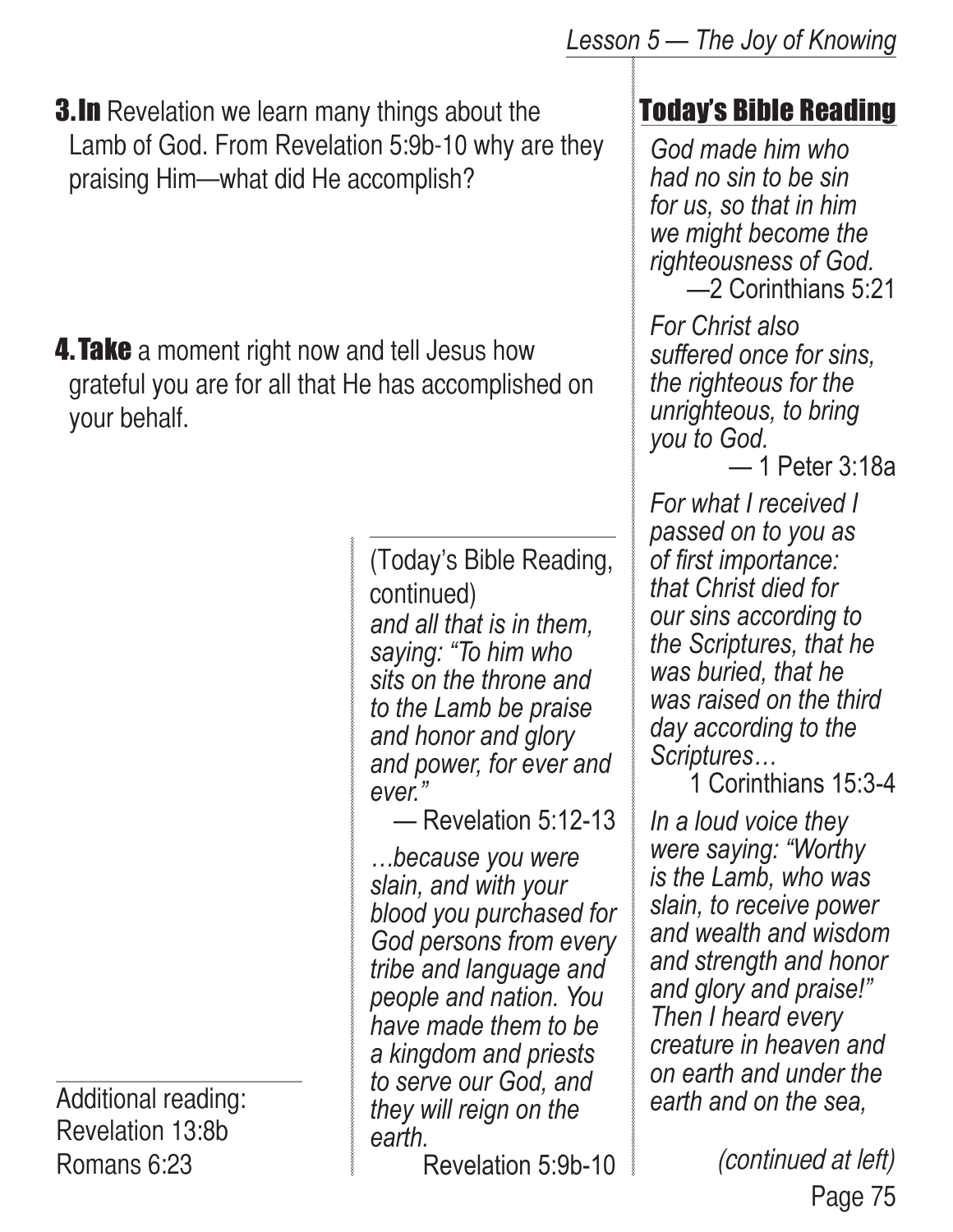**3.In** Revelation we learn many things about the Lamb of God. From Revelation 5:9b-10 why are they praising Him—what did He accomplish?

**4. Take** a moment right now and tell Jesus how grateful you are for all that He has accomplished on your behalf.

Additional reading: Revelation 13:8b Romans 6:23

*and all that is in them, saying: "To him who sits on the throne and to the Lamb be praise and honor and glory and power, for ever and ever."*  (Today's Bible Reading, continued)

— Revelation 5:12-13

*…because you were slain, and with your blood you purchased for God persons from every tribe and language and people and nation. You have made them to be a kingdom and priests to serve our God, and they will reign on the earth.*

Revelation 5:9b-10

## Today's Bible Reading

*God made him who had no sin to be sin for us, so that in him we might become the righteousness of God.* —2 Corinthians 5:21

*For Christ also suffered once for sins, the righteous for the unrighteous, to bring you to God.*

— 1 Peter 3:18a

*For what I received I passed on to you as of first importance: that Christ died for our sins according to the Scriptures, that he was buried, that he was raised on the third day according to the Scriptures…*

1 Corinthians 15:3-4

*In a loud voice they were saying: "Worthy is the Lamb, who was slain, to receive power and wealth and wisdom and strength and honor and glory and praise!" Then I heard every creature in heaven and on earth and under the earth and on the sea,* 

> Page 75 (continued at left)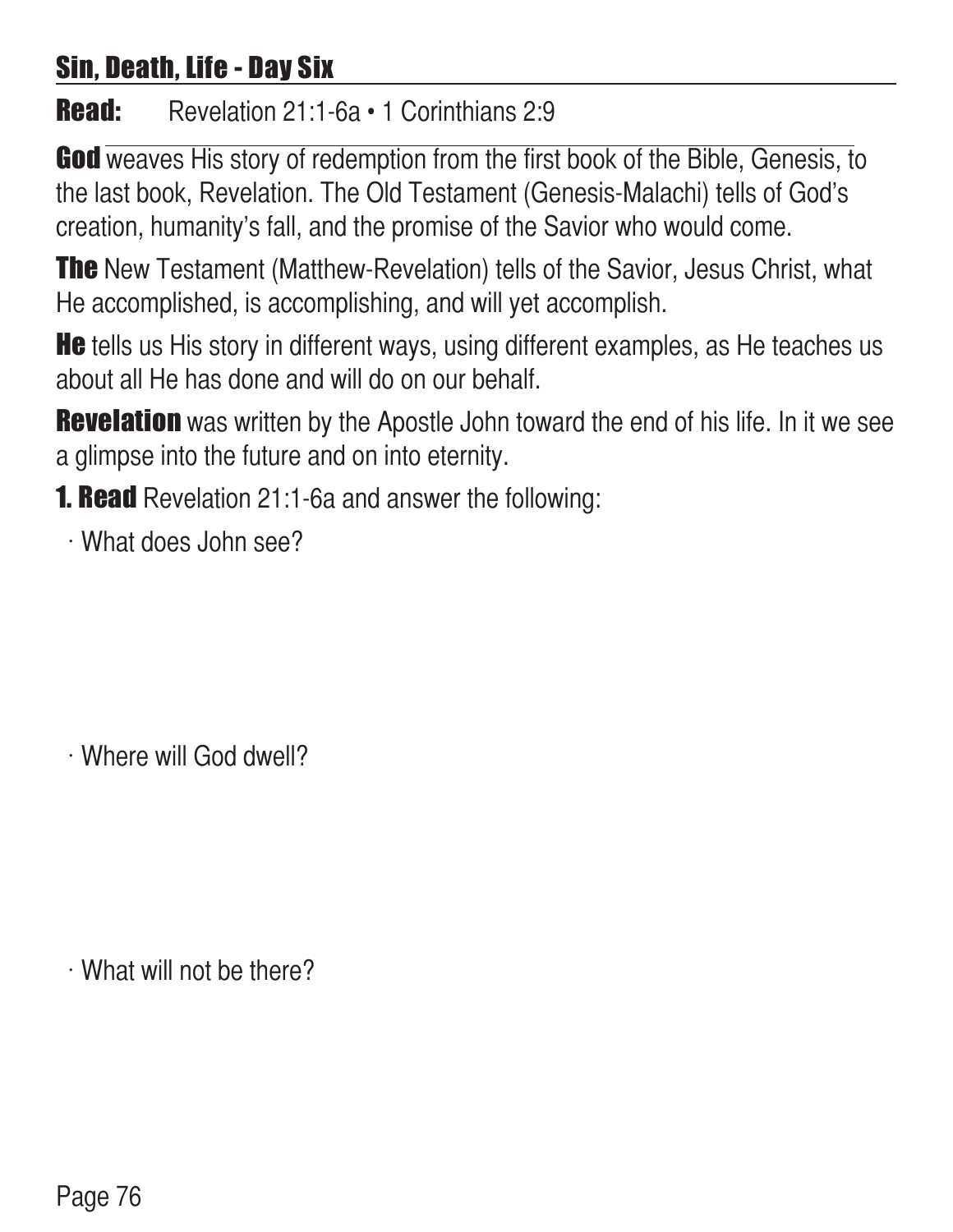## Sin, Death, Life - Day Six

Read: Revelation 21:1-6a · 1 Corinthians 2:9

God weaves His story of redemption from the first book of the Bible, Genesis, to the last book, Revelation. The Old Testament (Genesis-Malachi) tells of God's creation, humanity's fall, and the promise of the Savior who would come.

**The** New Testament (Matthew-Revelation) tells of the Savior, Jesus Christ, what He accomplished, is accomplishing, and will yet accomplish.

**He** tells us His story in different ways, using different examples, as He teaches us about all He has done and will do on our behalf.

**Revelation** was written by the Apostle John toward the end of his life. In it we see a glimpse into the future and on into eternity.

**1. Read** Revelation 21:1-6a and answer the following:

 $\cdot$  What does John see?

 $\cdot$  Where will God dwell?

 $\cdot$  What will not be there?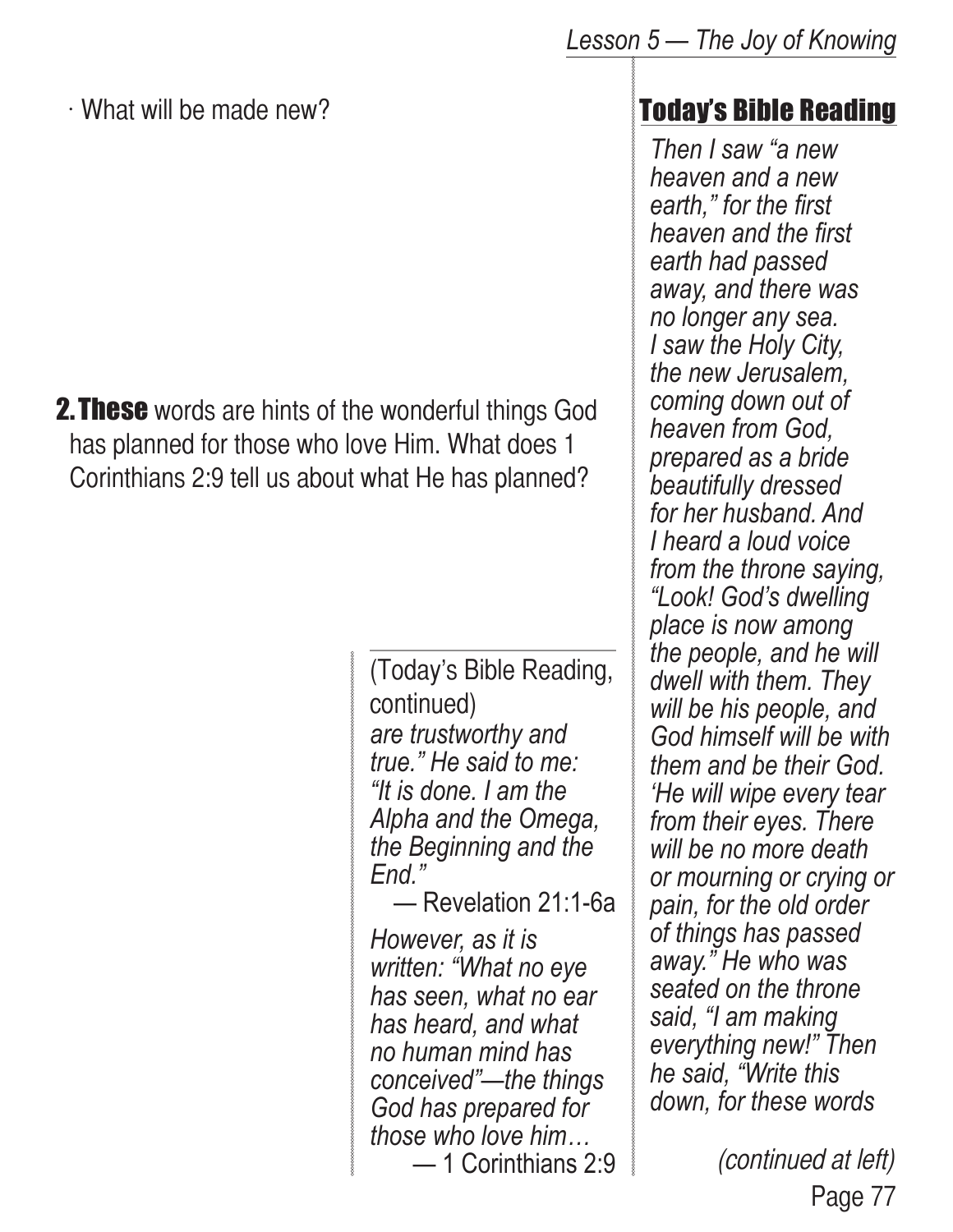$\cdot$  What will be made new?

**2. These** words are hints of the wonderful things God has planned for those who love Him. What does 1 Corinthians 2:9 tell us about what He has planned?

> *are trustworthy and true." He said to me: "It is done. I am the Alpha and the Omega, the Beginning and the End."*  (Today's Bible Reading, continued)

— Revelation 21:1-6a

*However, as it is written: "What no eye has seen, what no ear has heard, and what no human mind has conceived"—the things God has prepared for those who love him…* — 1 Corinthians 2:9

#### Today's Bible Reading

*Then I saw "a new heaven and a new earth," for the first heaven and the first earth had passed away, and there was no longer any sea. I saw the Holy City, the new Jerusalem, coming down out of heaven from God, prepared as a bride beautifully dressed for her husband. And I heard a loud voice from the throne saying, "Look! God's dwelling place is now among the people, and he will dwell with them. They will be his people, and God himself will be with them and be their God. 'He will wipe every tear from their eyes. There will be no more death or mourning or crying or pain, for the old order of things has passed away." He who was seated on the throne said, "I am making everything new!" Then he said, "Write this down, for these words* 

> Page 77 (continued at left)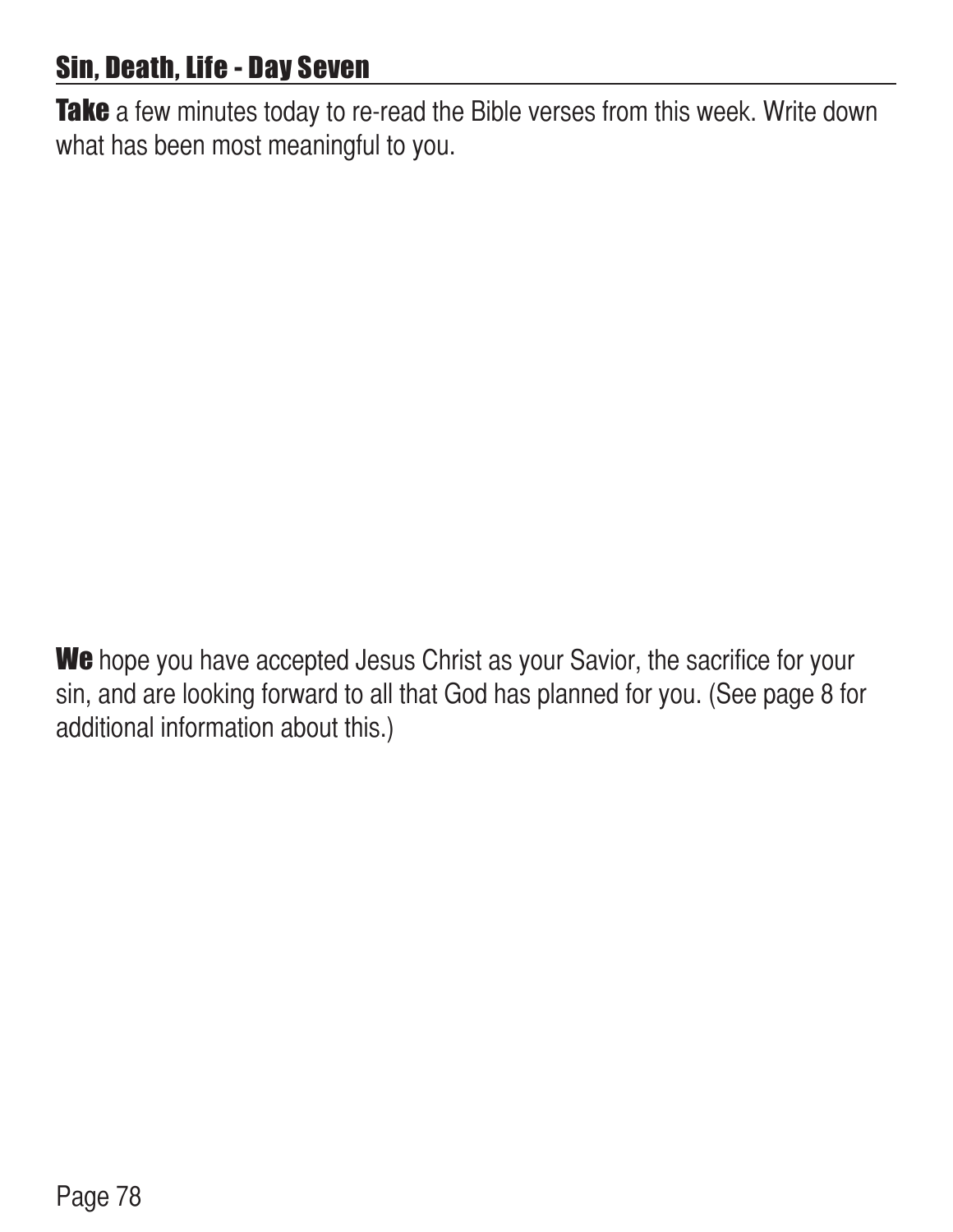## Sin, Death, Life - Day Seven

Take a few minutes today to re-read the Bible verses from this week. Write down what has been most meaningful to you.

We hope you have accepted Jesus Christ as your Savior, the sacrifice for your sin, and are looking forward to all that God has planned for you. (See page 8 for additional information about this.)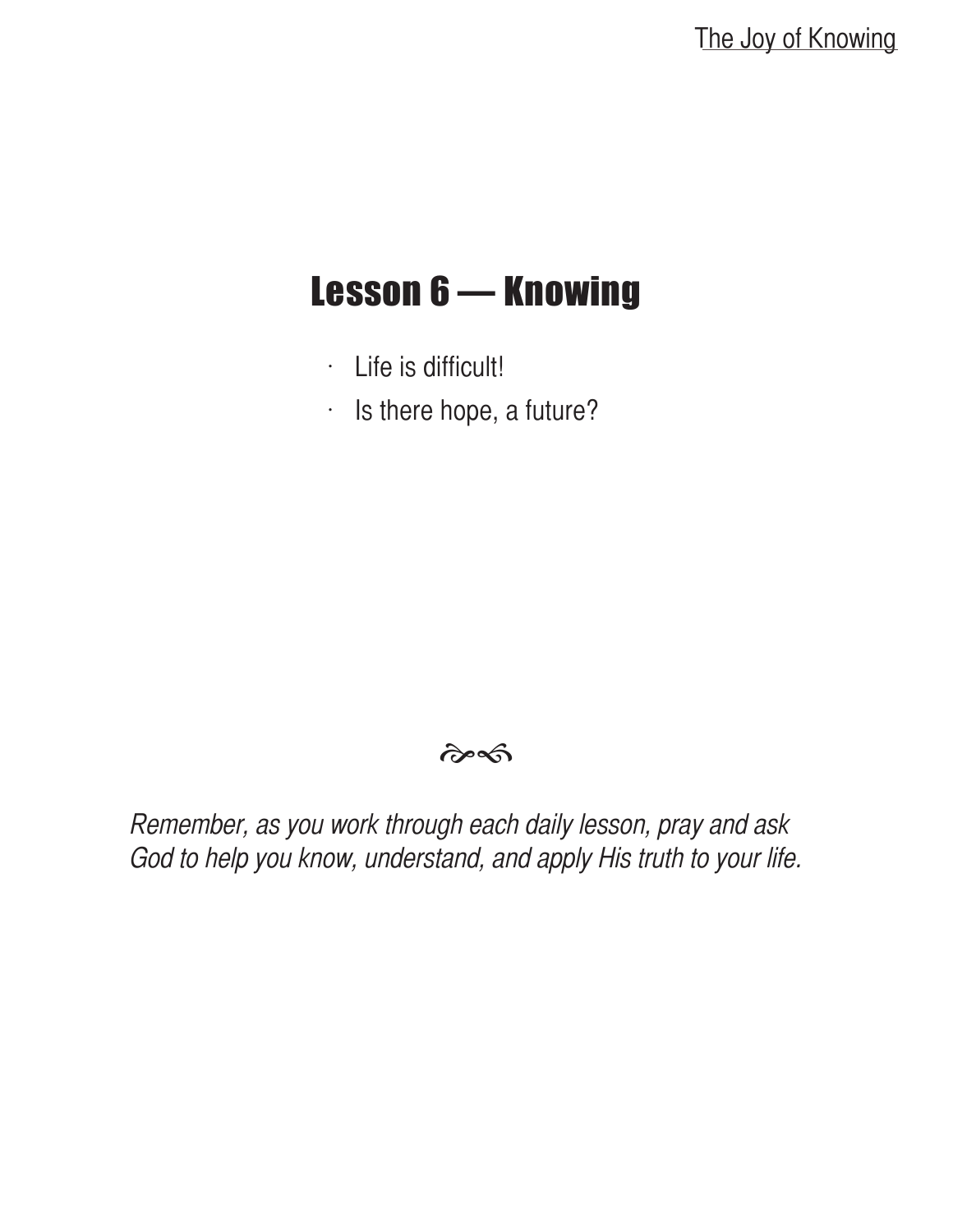# Lesson 6 — Knowing

- $\cdot$  Life is difficult!
- $\cdot$  Is there hope, a future?

#### $\hat{\sigma}$

Remember, as you work through each daily lesson, pray and ask God to help you know, understand, and apply His truth to your life.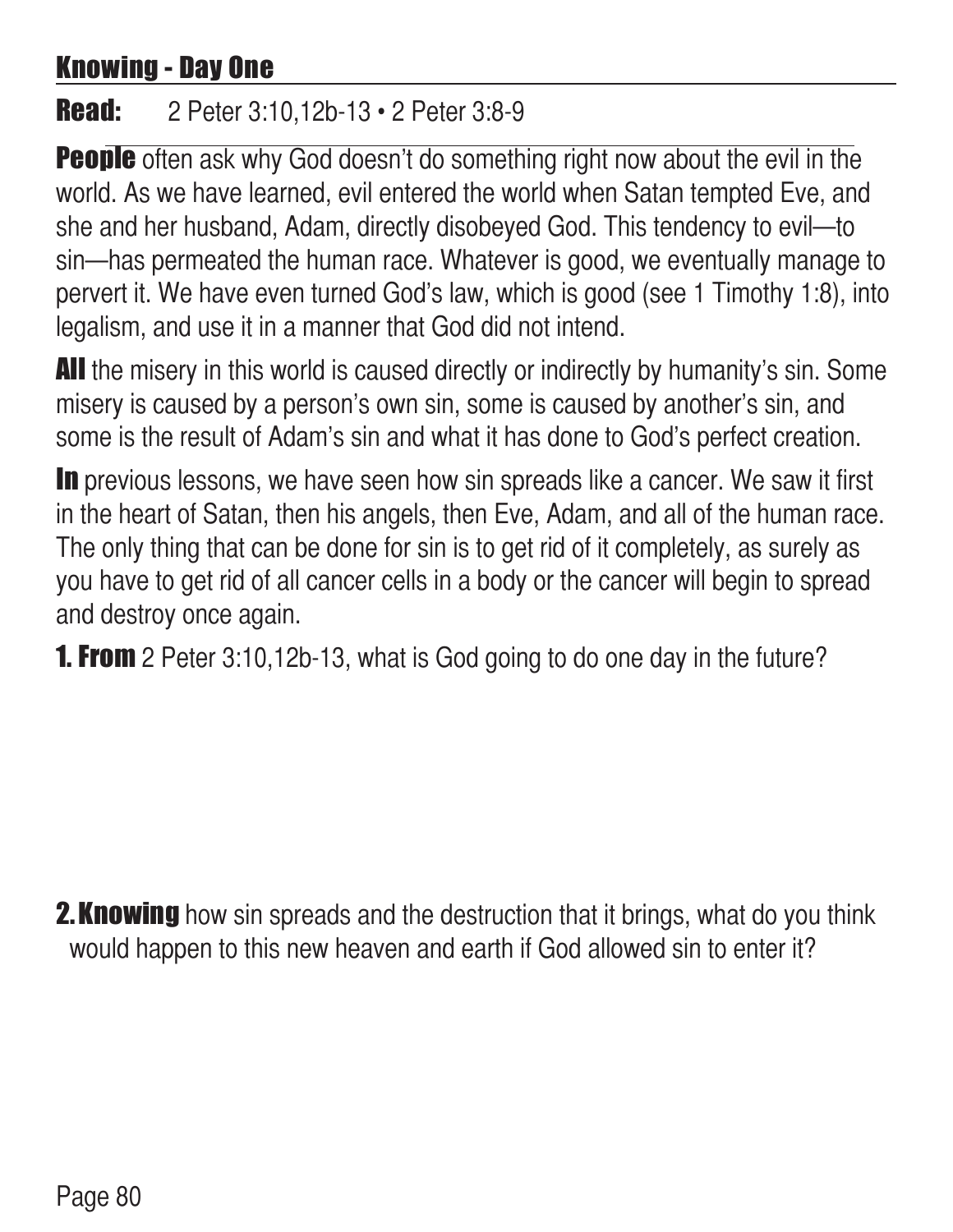## Knowing - Day One

#### **Read:** 2 Peter 3:10,12b-13 • 2 Peter 3:8-9

**People** often ask why God doesn't do something right now about the evil in the world. As we have learned, evil entered the world when Satan tempted Eve, and she and her husband, Adam, directly disobeyed God. This tendency to evil—to sin—has permeated the human race. Whatever is good, we eventually manage to pervert it. We have even turned God's law, which is good (see 1 Timothy 1:8), into legalism, and use it in a manner that God did not intend.

**All** the misery in this world is caused directly or indirectly by humanity's sin. Some misery is caused by a person's own sin, some is caused by another's sin, and some is the result of Adam's sin and what it has done to God's perfect creation.

In previous lessons, we have seen how sin spreads like a cancer. We saw it first in the heart of Satan, then his angels, then Eve, Adam, and all of the human race. The only thing that can be done for sin is to get rid of it completely, as surely as you have to get rid of all cancer cells in a body or the cancer will begin to spread and destroy once again.

**1. From** 2 Peter 3:10,12b-13, what is God going to do one day in the future?

**2. Knowing** how sin spreads and the destruction that it brings, what do you think would happen to this new heaven and earth if God allowed sin to enter it?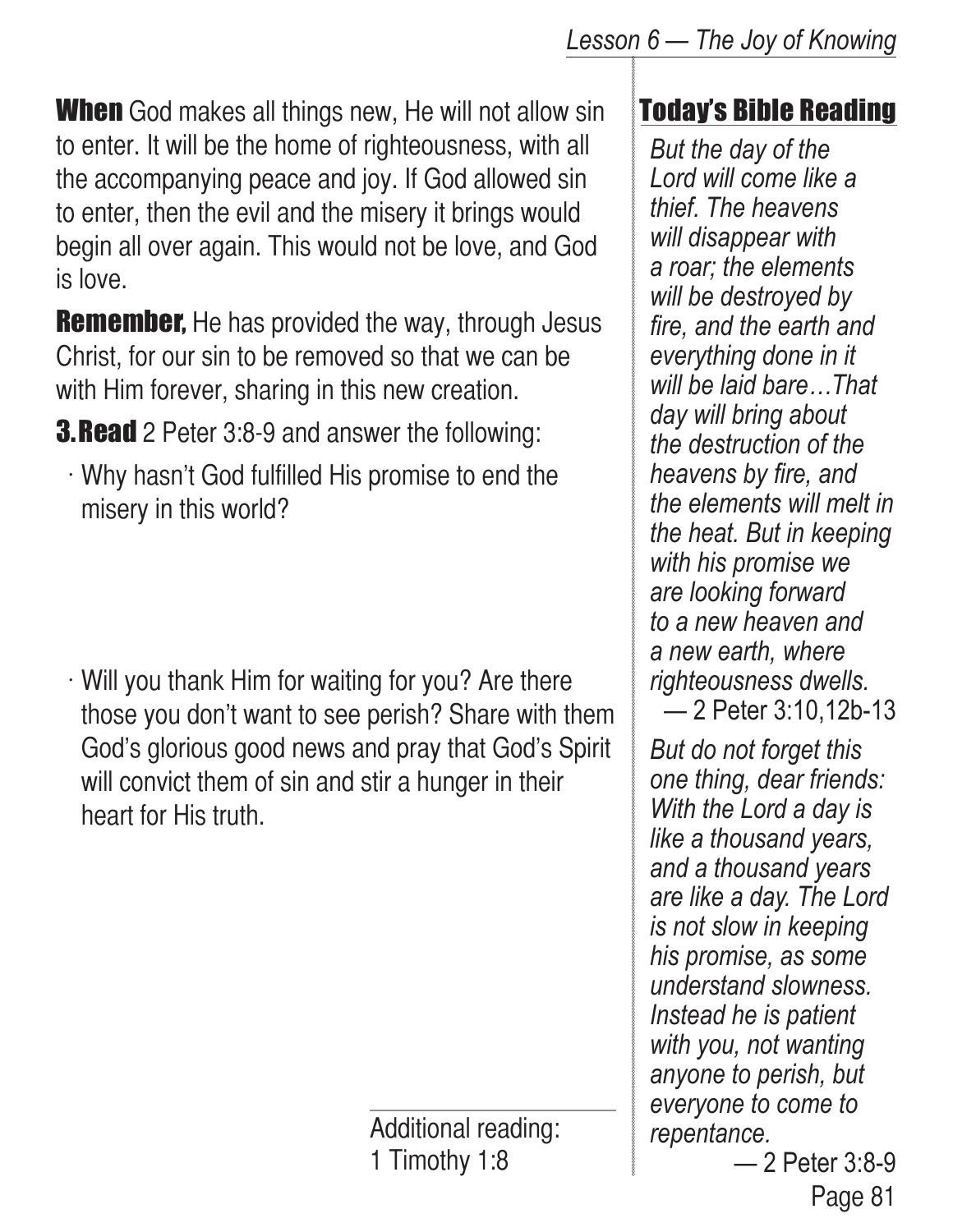**When** God makes all things new, He will not allow sin to enter. It will be the home of righteousness, with all the accompanying peace and joy. If God allowed sin to enter, then the evil and the misery it brings would begin all over again. This would not be love, and God is love.

**Remember,** He has provided the way, through Jesus Christ, for our sin to be removed so that we can be with Him forever, sharing in this new creation.

**3. Read** 2 Peter 3:8-9 and answer the following:

 $\cdot$  Why hasn't God fulfilled His promise to end the misery in this world?

 $\cdot$  Will you thank Him for waiting for you? Are there those you don't want to see perish? Share with them God's glorious good news and pray that God's Spirit will convict them of sin and stir a hunger in their heart for His truth.

> Additional reading: 1 Timothy 1:8

## Today's Bible Reading

*But the day of the Lord will come like a thief. The heavens will disappear with a roar; the elements will be destroyed by fire, and the earth and everything done in it will be laid bare…That day will bring about the destruction of the heavens by fire, and the elements will melt in the heat. But in keeping with his promise we are looking forward to a new heaven and a new earth, where righteousness dwells.* — 2 Peter 3:10,12b-13

*But do not forget this one thing, dear friends: With the Lord a day is like a thousand years, and a thousand years are like a day. The Lord is not slow in keeping his promise, as some understand slowness. Instead he is patient with you, not wanting anyone to perish, but everyone to come to repentance.*

Page 81 — 2 Peter 3:8-9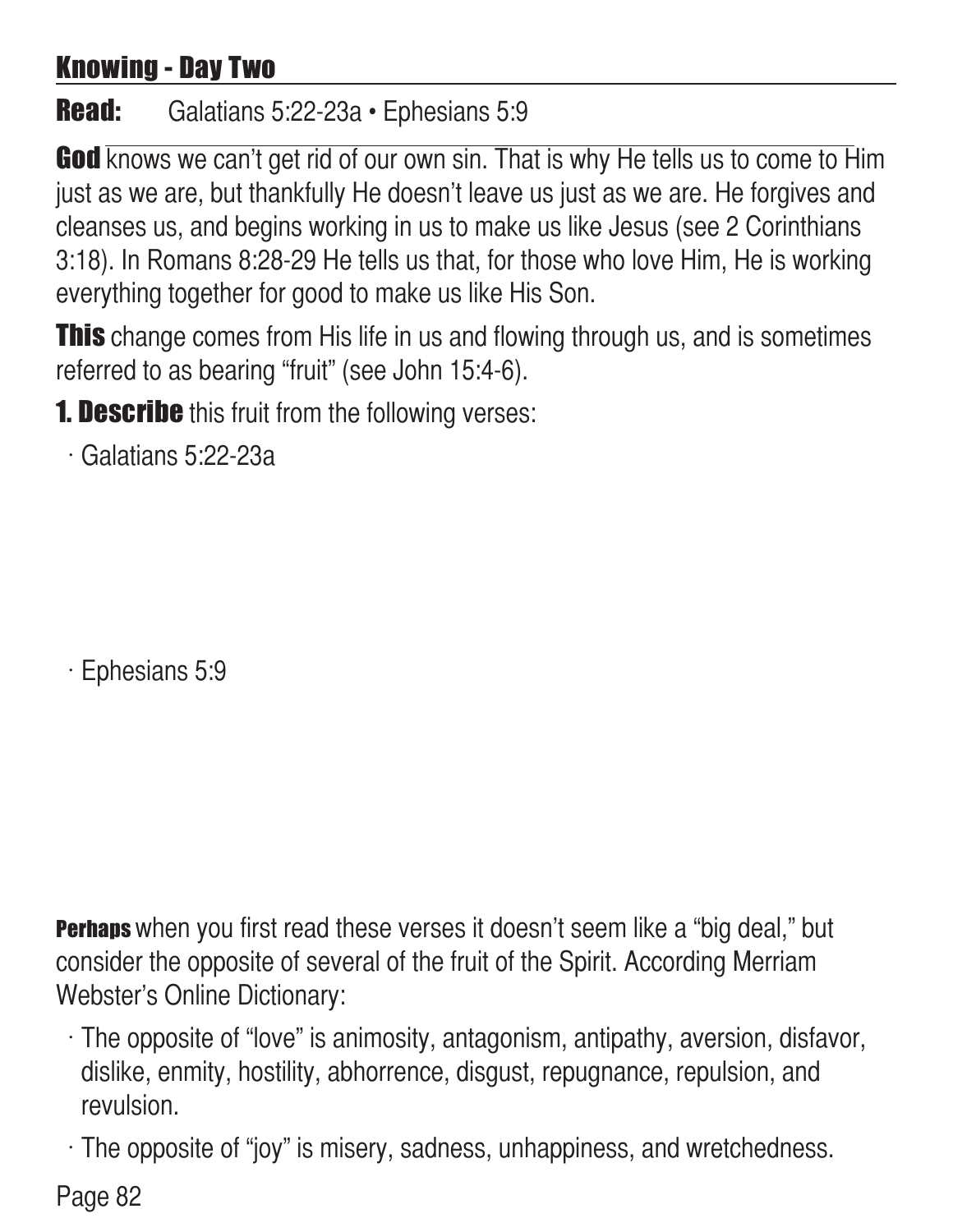## Knowing - Day Two

#### Read: Galatians 5:22-23a • Ephesians 5:9

**God** knows we can't get rid of our own sin. That is why He tells us to come to Him just as we are, but thankfully He doesn't leave us just as we are. He forgives and cleanses us, and begins working in us to make us like Jesus (see 2 Corinthians 3:18). In Romans 8:28-29 He tells us that, for those who love Him, He is working everything together for good to make us like His Son.

**This** change comes from His life in us and flowing through us, and is sometimes referred to as bearing "fruit" (see John 15:4-6).

**1. Describe** this fruit from the following verses:

 $\cdot$  Galatians 5:22-23a

 $\cdot$  Ephesians 5:9

**Perhaps** when you first read these verses it doesn't seem like a "big deal," but consider the opposite of several of the fruit of the Spirit. According Merriam Webster's Online Dictionary:

 $\cdot$  The opposite of "love" is animosity, antagonism, antipathy, aversion, disfavor, dislike, enmity, hostility, abhorrence, disgust, repugnance, repulsion, and revulsion.

 $\cdot$  The opposite of "joy" is misery, sadness, unhappiness, and wretchedness.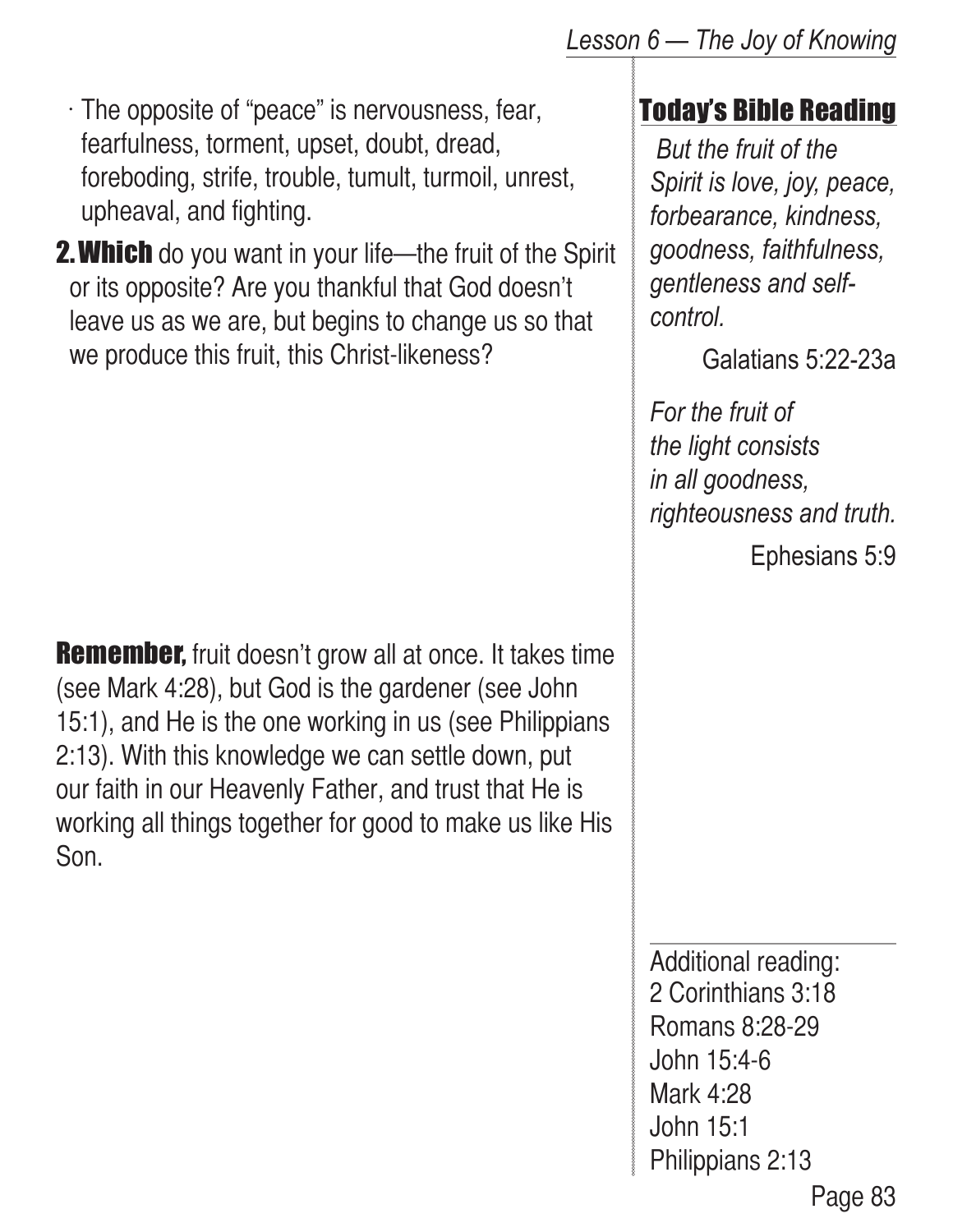$\cdot$  The opposite of "peace" is nervousness, fear, fearfulness, torment, upset, doubt, dread, foreboding, strife, trouble, tumult, turmoil, unrest, upheaval, and fighting.

**2. Which** do you want in your life—the fruit of the Spirit or its opposite? Are you thankful that God doesn't leave us as we are, but begins to change us so that we produce this fruit, this Christ-likeness?

**Remember,** fruit doesn't grow all at once. It takes time (see Mark 4:28), but God is the gardener (see John 15:1), and He is the one working in us (see Philippians 2:13). With this knowledge we can settle down, put our faith in our Heavenly Father, and trust that He is working all things together for good to make us like His Son.

## Today's Bible Reading

 *But the fruit of the Spirit is love, joy, peace, forbearance, kindness, goodness, faithfulness, gentleness and selfcontrol.* 

Galatians 5:22-23a

*For the fruit of the light consists in all goodness, righteousness and truth.*

Ephesians 5:9

Page 83 Additional reading: 2 Corinthians 3:18 Romans 8:28-29 John 15:4-6 Mark 4:28 John 15:1 Philippians 2:13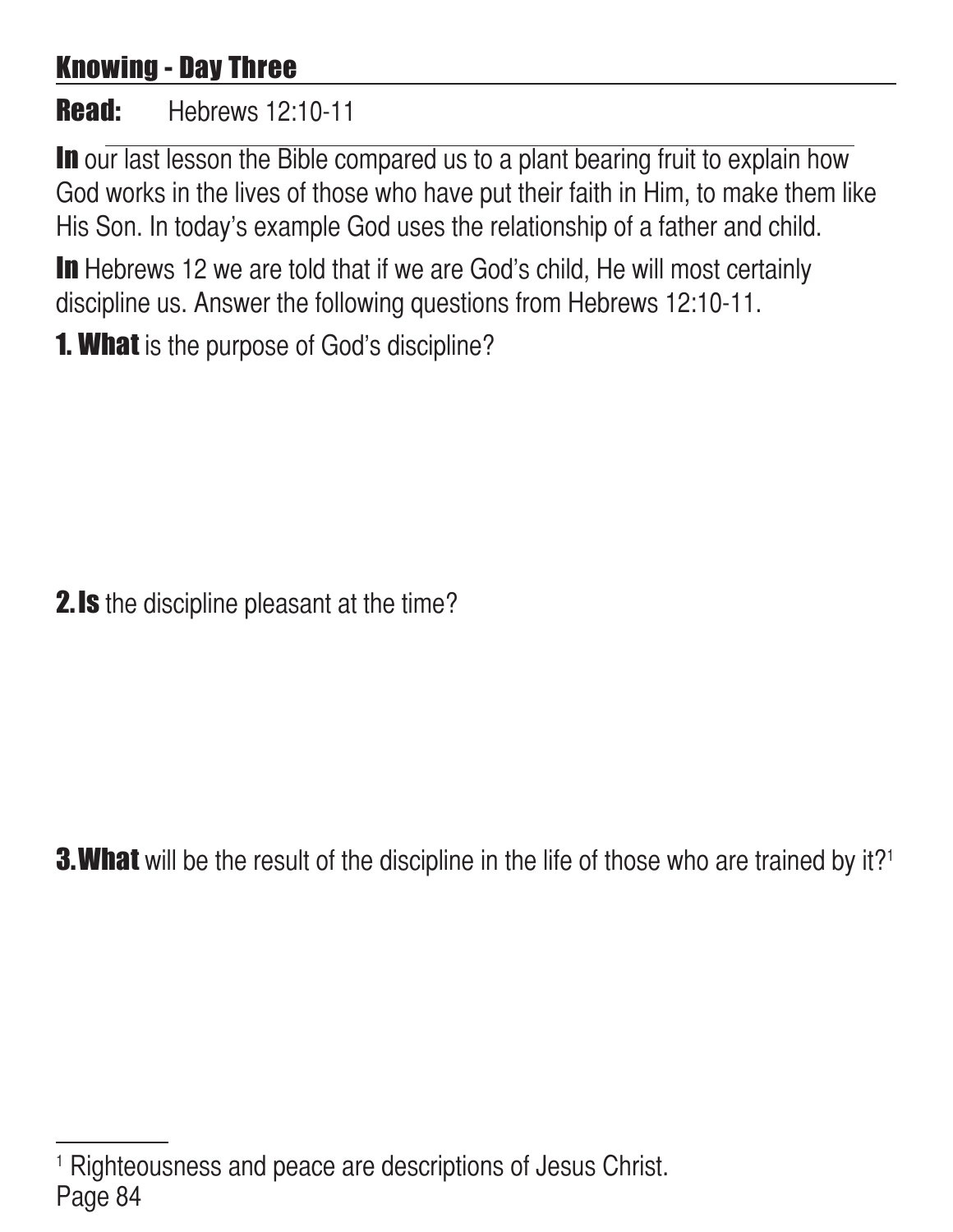## Knowing - Day Three

#### **Read:** Hebrews 12:10-11

In our last lesson the Bible compared us to a plant bearing fruit to explain how God works in the lives of those who have put their faith in Him, to make them like His Son. In today's example God uses the relationship of a father and child.

In Hebrews 12 we are told that if we are God's child, He will most certainly discipline us. Answer the following questions from Hebrews 12:10-11.

**1. What** is the purpose of God's discipline?

**2.Is** the discipline pleasant at the time?

**3. What** will be the result of the discipline in the life of those who are trained by it?<sup>1</sup>

Page 84 1 Righteousness and peace are descriptions of Jesus Christ.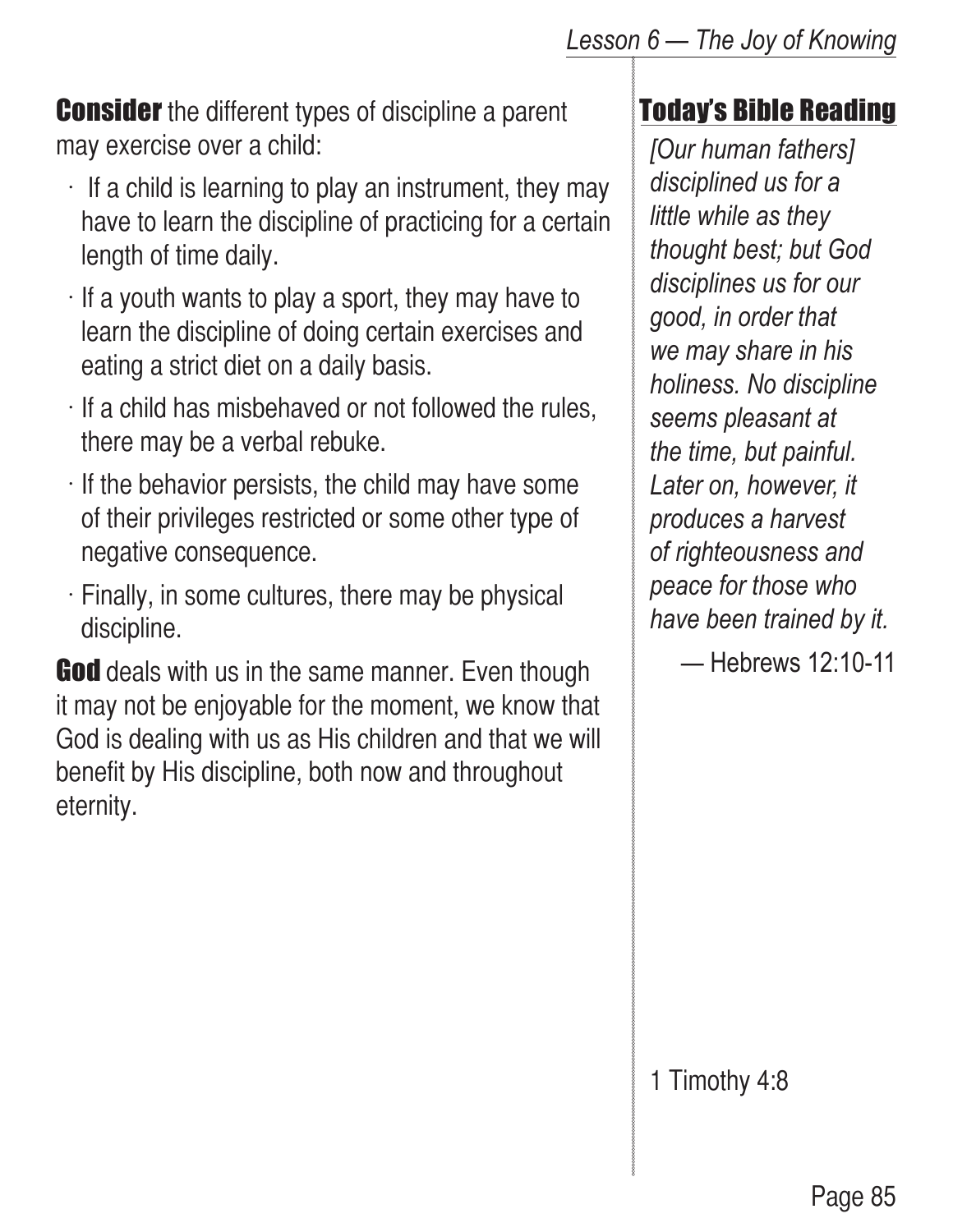**Consider** the different types of discipline a parent may exercise over a child:

- $\cdot$  If a child is learning to play an instrument, they may have to learn the discipline of practicing for a certain length of time daily.
- $\cdot$  If a youth wants to play a sport, they may have to learn the discipline of doing certain exercises and eating a strict diet on a daily basis.
- $\cdot$  If a child has misbehaved or not followed the rules, there may be a verbal rebuke.
- $\cdot$  If the behavior persists, the child may have some of their privileges restricted or some other type of negative consequence.
- $\cdot$  Finally, in some cultures, there may be physical discipline.

**God** deals with us in the same manner. Even though it may not be enjoyable for the moment, we know that God is dealing with us as His children and that we will benefit by His discipline, both now and throughout eternity.

#### Today's Bible Reading

*[Our human fathers] disciplined us for a little while as they thought best; but God disciplines us for our good, in order that we may share in his holiness. No discipline seems pleasant at the time, but painful. Later on, however, it produces a harvest of righteousness and peace for those who have been trained by it.*

— Hebrews 12:10-11

1 Timothy 4:8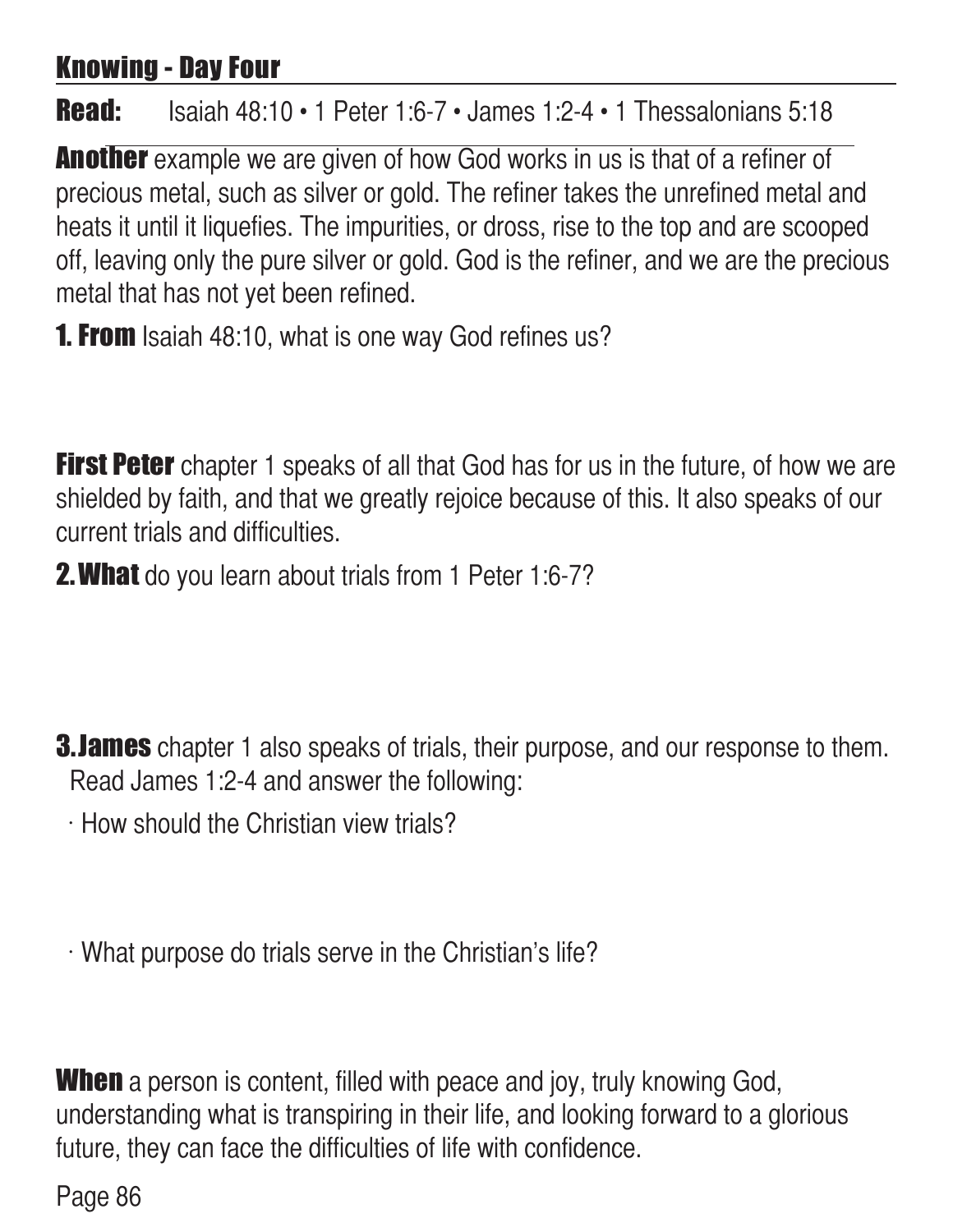## Knowing - Day Four

#### **Read:** Isaiah 48:10 • 1 Peter 1:6-7 • James 1:2-4 • 1 Thessalonians 5:18

Another example we are given of how God works in us is that of a refiner of precious metal, such as silver or gold. The refiner takes the unrefined metal and heats it until it liquefies. The impurities, or dross, rise to the top and are scooped off, leaving only the pure silver or gold. God is the refiner, and we are the precious metal that has not yet been refined.

**1. From** Isaiah 48:10, what is one way God refines us?

First Peter chapter 1 speaks of all that God has for us in the future, of how we are shielded by faith, and that we greatly rejoice because of this. It also speaks of our current trials and difficulties.

**2. What** do you learn about trials from 1 Peter 1:6-7?

**3. James** chapter 1 also speaks of trials, their purpose, and our response to them. Read James 1:2-4 and answer the following:

 $\cdot$  How should the Christian view trials?

 $\cdot$  What purpose do trials serve in the Christian's life?

**When** a person is content, filled with peace and joy, truly knowing God, understanding what is transpiring in their life, and looking forward to a glorious future, they can face the difficulties of life with confidence.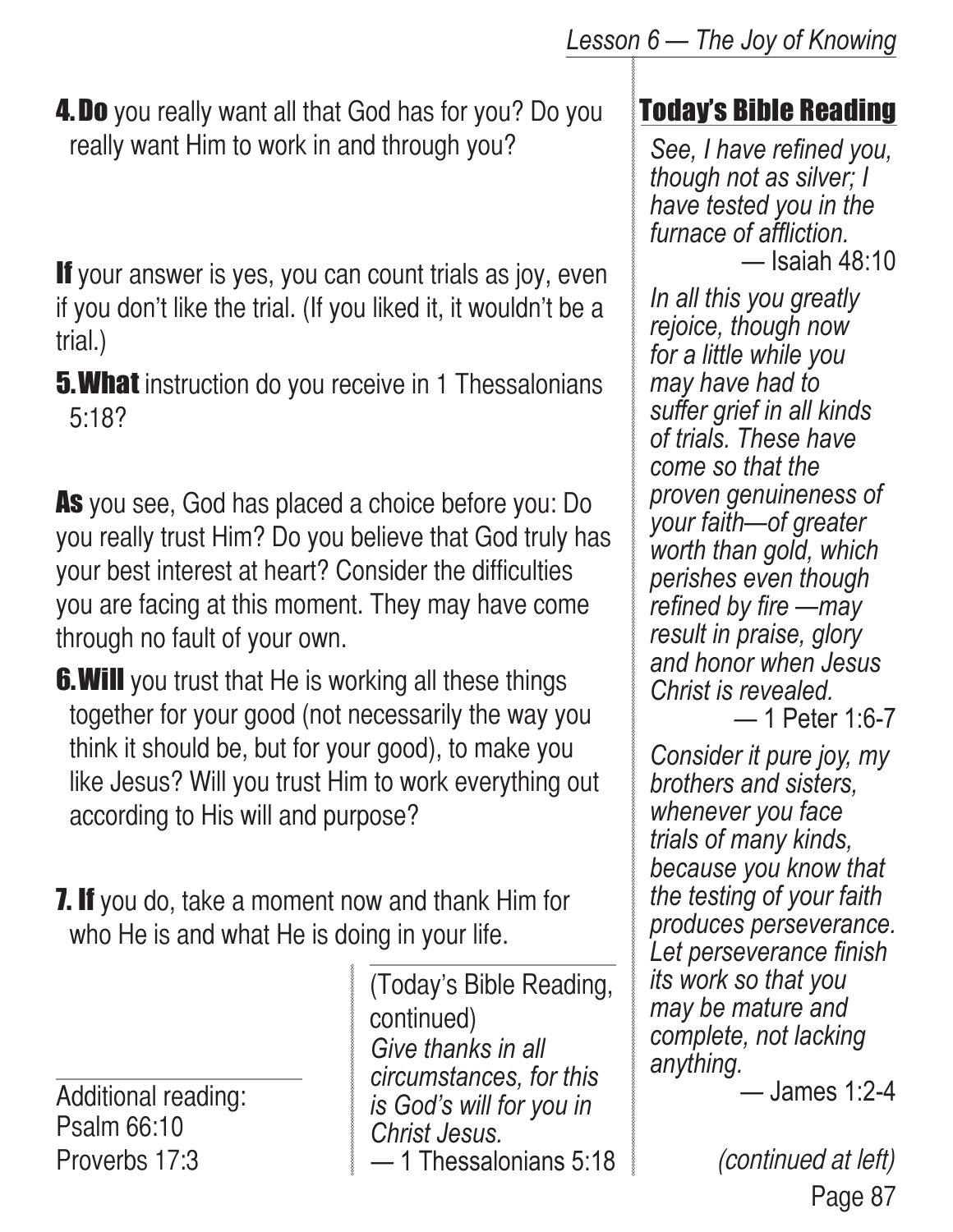**4. Do** you really want all that God has for you? Do you really want Him to work in and through you?

If your answer is yes, you can count trials as joy, even if you don't like the trial. (If you liked it, it wouldn't be a trial.)

**5. What** instruction do you receive in 1 Thessalonians 5:18?

As you see, God has placed a choice before you: Do you really trust Him? Do you believe that God truly has your best interest at heart? Consider the difficulties you are facing at this moment. They may have come through no fault of your own.

- **6. Will** you trust that He is working all these things together for your good (not necessarily the way you think it should be, but for your good), to make you like Jesus? Will you trust Him to work everything out according to His will and purpose?
- **7. If** you do, take a moment now and thank Him for who He is and what He is doing in your life.

Additional reading: Psalm 66:10 Proverbs 17:3

*Give thanks in all circumstances, for this is God's will for you in Christ Jesus.* — 1 Thessalonians 5:18 (Today's Bible Reading, continued)

#### Today's Bible Reading

*See, I have refined you, though not as silver; I have tested you in the furnace of affliction.* — Isaiah 48:10

*In all this you greatly rejoice, though now for a little while you may have had to suffer grief in all kinds of trials. These have come so that the proven genuineness of your faith—of greater worth than gold, which perishes even though refined by fire —may result in praise, glory and honor when Jesus Christ is revealed.*

— 1 Peter 1:6-7

*Consider it pure joy, my brothers and sisters, whenever you face trials of many kinds, because you know that the testing of your faith produces perseverance. Let perseverance finish its work so that you may be mature and complete, not lacking anything.*

— James 1:2-4

Page 87 (continued at left)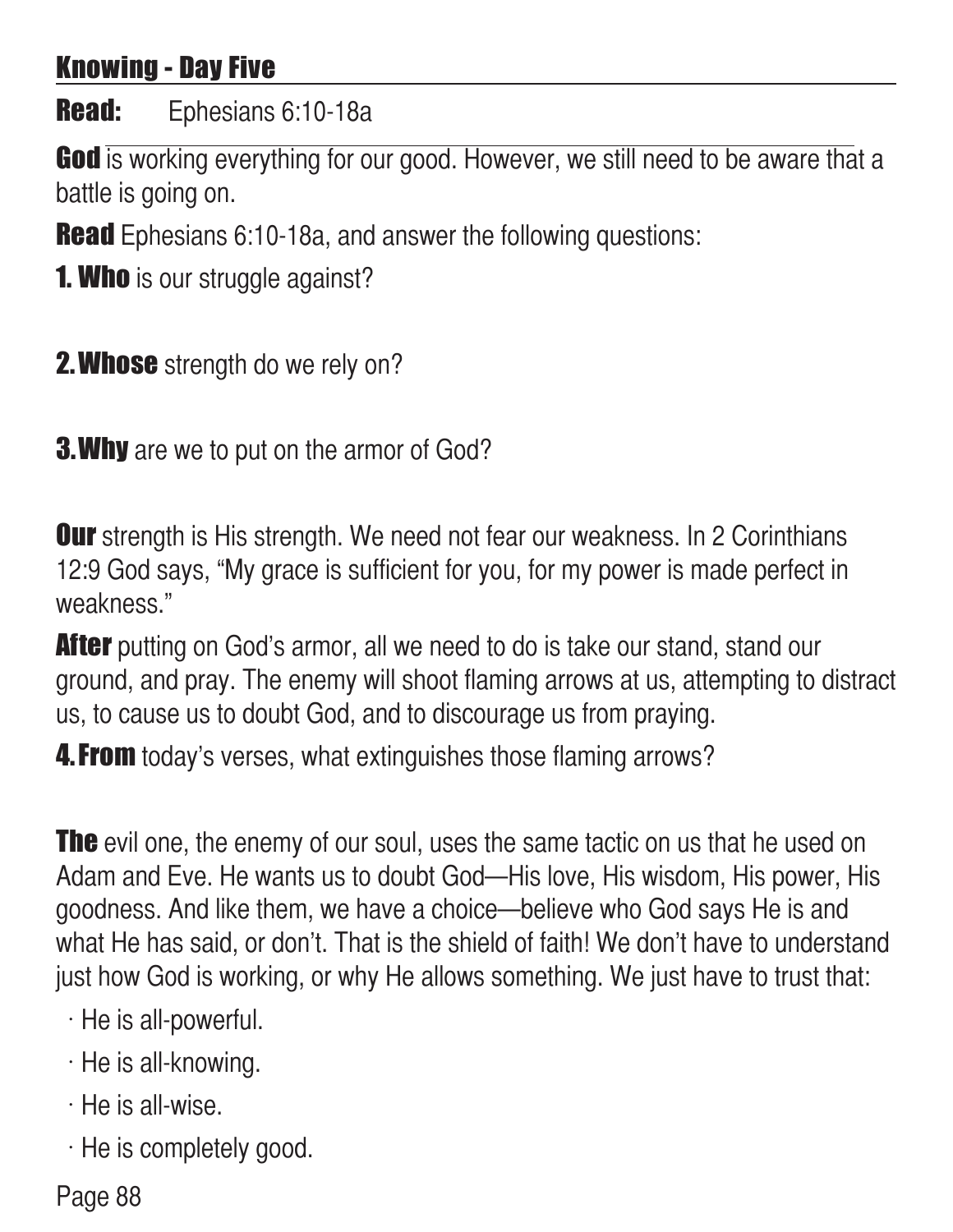## Knowing - Day Five

#### Read: Ephesians 6:10-18a

God is working everything for our good. However, we still need to be aware that a battle is going on.

**Read** Ephesians 6:10-18a, and answer the following questions:

**1. Who** is our struggle against?

**2. Whose** strength do we rely on?

**3. Why** are we to put on the armor of God?

**Our** strength is His strength. We need not fear our weakness. In 2 Corinthians 12:9 God says, "My grace is sufficient for you, for my power is made perfect in weakness."

**After** putting on God's armor, all we need to do is take our stand, stand our ground, and pray. The enemy will shoot flaming arrows at us, attempting to distract us, to cause us to doubt God, and to discourage us from praying.

**4. From** today's verses, what extinguishes those flaming arrows?

**The** evil one, the enemy of our soul, uses the same tactic on us that he used on Adam and Eve. He wants us to doubt God—His love, His wisdom, His power, His goodness. And like them, we have a choice—believe who God says He is and what He has said, or don't. That is the shield of faith! We don't have to understand just how God is working, or why He allows something. We just have to trust that:

 $\cdot$  He is all-powerful.

 $\cdot$  He is all-knowing.

- $\cdot$  He is all-wise.
- $\cdot$  He is completely good.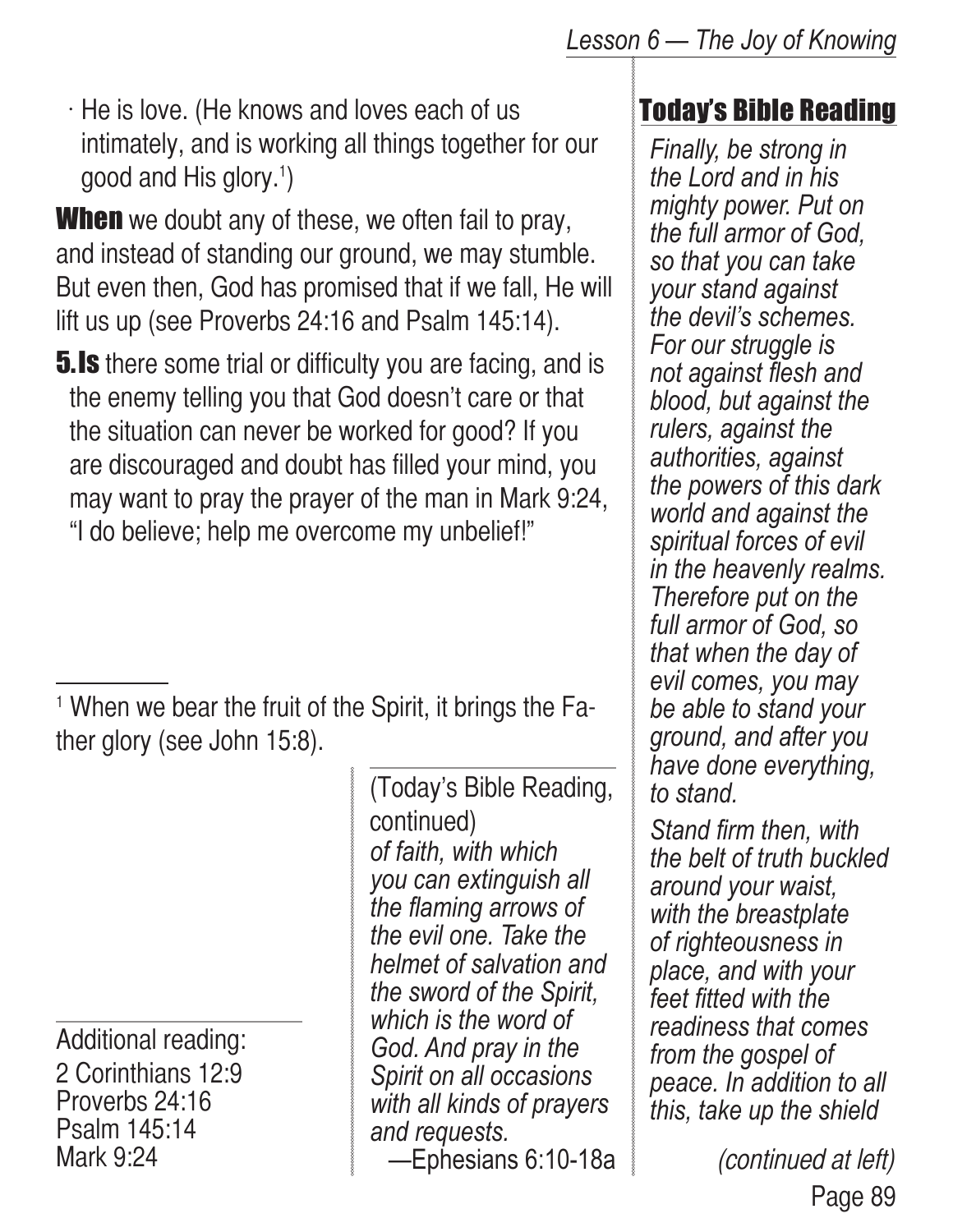$\cdot$  He is love. (He knows and loves each of us intimately, and is working all things together for our good and His glory.<sup>1</sup>)

**When** we doubt any of these, we often fail to pray, and instead of standing our ground, we may stumble. But even then, God has promised that if we fall, He will lift us up (see Proverbs 24:16 and Psalm 145:14).

**5.Is** there some trial or difficulty you are facing, and is the enemy telling you that God doesn't care or that the situation can never be worked for good? If you are discouraged and doubt has filled your mind, you may want to pray the prayer of the man in Mark 9:24, "I do believe; help me overcome my unbelief!"

1 When we bear the fruit of the Spirit, it brings the Father glory (see John 15:8).

Additional reading: 2 Corinthians 12:9 Proverbs 24:16 Psalm 145:14 Mark 9:24

*of faith, with which you can extinguish all the flaming arrows of the evil one. Take the helmet of salvation and the sword of the Spirit, which is the word of God. And pray in the Spirit on all occasions with all kinds of prayers and requests.* —Ephesians 6:10-18a (Today's Bible Reading, continued)

#### Today's Bible Reading

*Finally, be strong in the Lord and in his mighty power. Put on the full armor of God, so that you can take your stand against the devil's schemes. For our struggle is not against flesh and blood, but against the rulers, against the authorities, against the powers of this dark world and against the spiritual forces of evil in the heavenly realms. Therefore put on the full armor of God, so that when the day of evil comes, you may be able to stand your ground, and after you have done everything, to stand.* 

*Stand firm then, with the belt of truth buckled around your waist, with the breastplate of righteousness in place, and with your feet fitted with the readiness that comes from the gospel of peace. In addition to all this, take up the shield* 

> Page 89 (continued at left)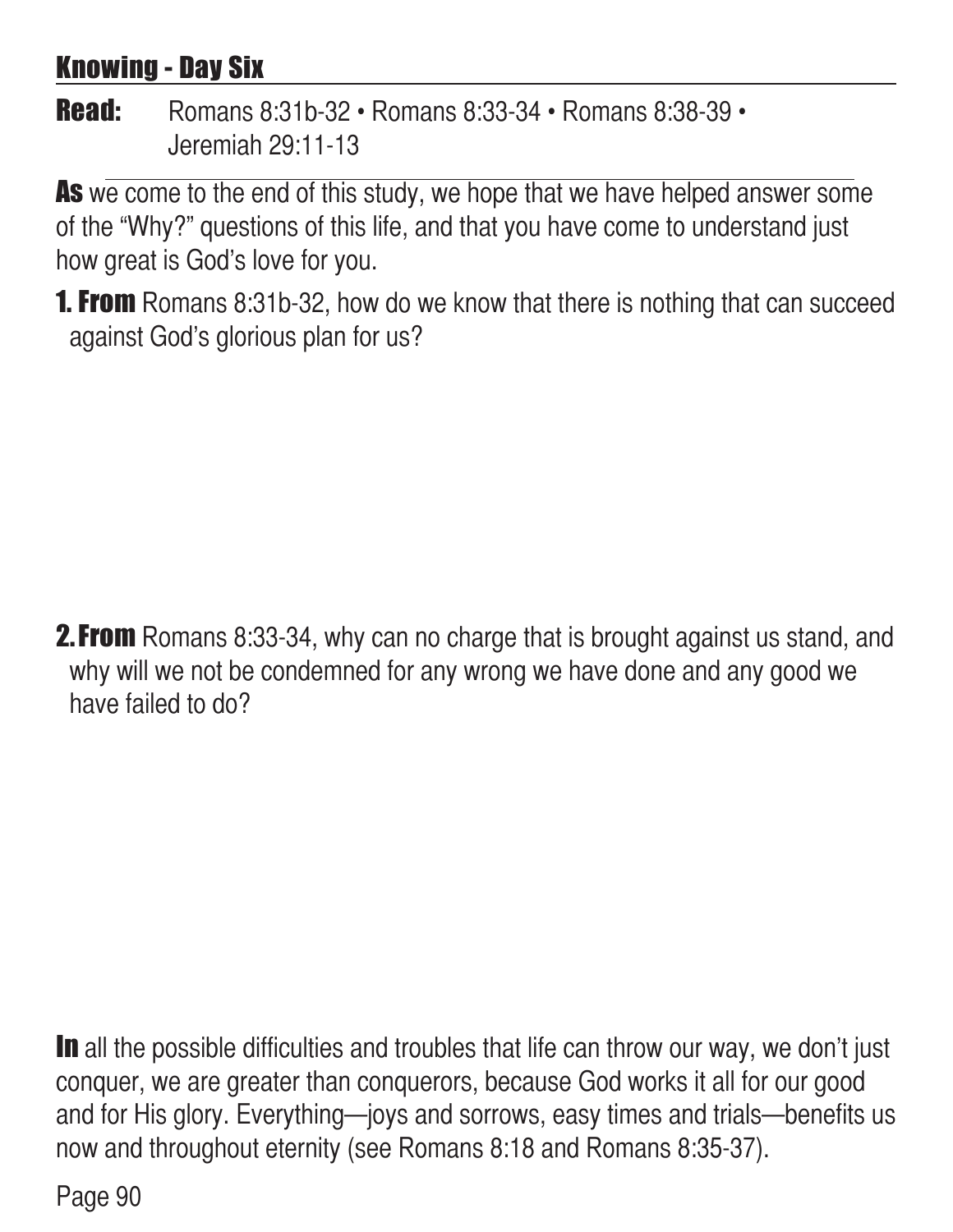## Knowing - Day Six

#### Read: Romans 8:31b-32 • Romans 8:33-34 • Romans 8:38-39 • Jeremiah 29:11-13

As we come to the end of this study, we hope that we have helped answer some of the "Why?" questions of this life, and that you have come to understand just how great is God's love for you.

**1. From** Romans 8:31b-32, how do we know that there is nothing that can succeed against God's glorious plan for us?

**2. From** Romans 8:33-34, why can no charge that is brought against us stand, and why will we not be condemned for any wrong we have done and any good we have failed to do?

In all the possible difficulties and troubles that life can throw our way, we don't just conquer, we are greater than conquerors, because God works it all for our good and for His glory. Everything—joys and sorrows, easy times and trials—benefits us now and throughout eternity (see Romans 8:18 and Romans 8:35-37).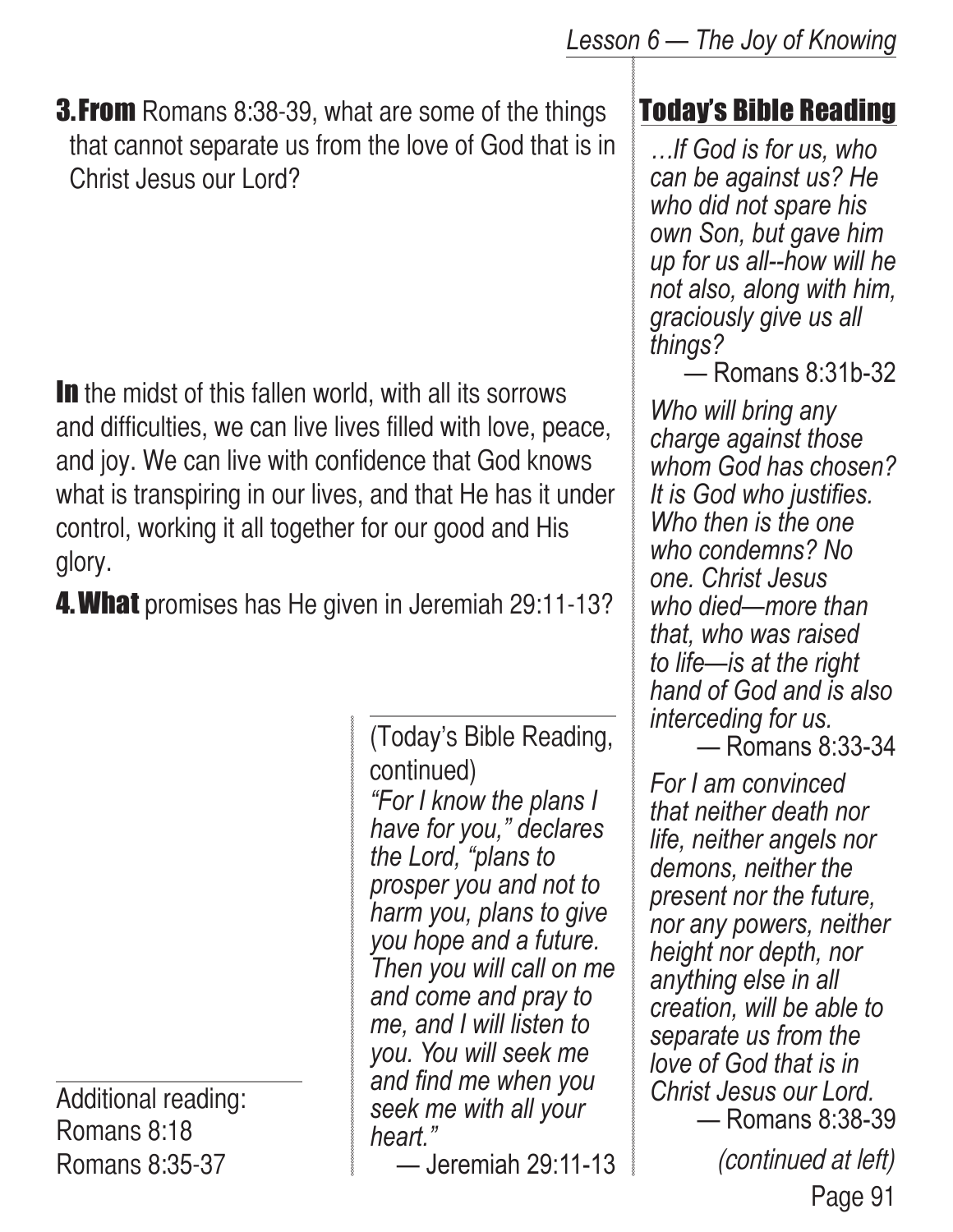**3. From** Romans 8:38-39, what are some of the things that cannot separate us from the love of God that is in Christ Jesus our Lord?

In the midst of this fallen world, with all its sorrows and difficulties, we can live lives filled with love, peace, and joy. We can live with confidence that God knows what is transpiring in our lives, and that He has it under control, working it all together for our good and His glory.

**4. What** promises has He given in Jeremiah 29:11-13?

Additional reading: Romans 8:18 Romans 8:35-37

*"For I know the plans I have for you," declares the Lord, "plans to prosper you and not to harm you, plans to give you hope and a future. Then you will call on me and come and pray to me, and I will listen to you. You will seek me and find me when you seek me with all your heart."* (Today's Bible Reading, continued)

— Jeremiah 29:11-13

#### Today's Bible Reading

*…If God is for us, who can be against us? He who did not spare his own Son, but gave him up for us all--how will he not also, along with him, graciously give us all things?*

— Romans 8:31b-32

*Who will bring any charge against those whom God has chosen? It is God who justifies. Who then is the one who condemns? No one. Christ Jesus who died—more than that, who was raised to life—is at the right hand of God and is also interceding for us.*  — Romans 8:33-34

Page 91 *For I am convinced that neither death nor life, neither angels nor demons, neither the present nor the future, nor any powers, neither height nor depth, nor anything else in all creation, will be able to separate us from the love of God that is in Christ Jesus our Lord.* — Romans 8:38-39 (continued at left)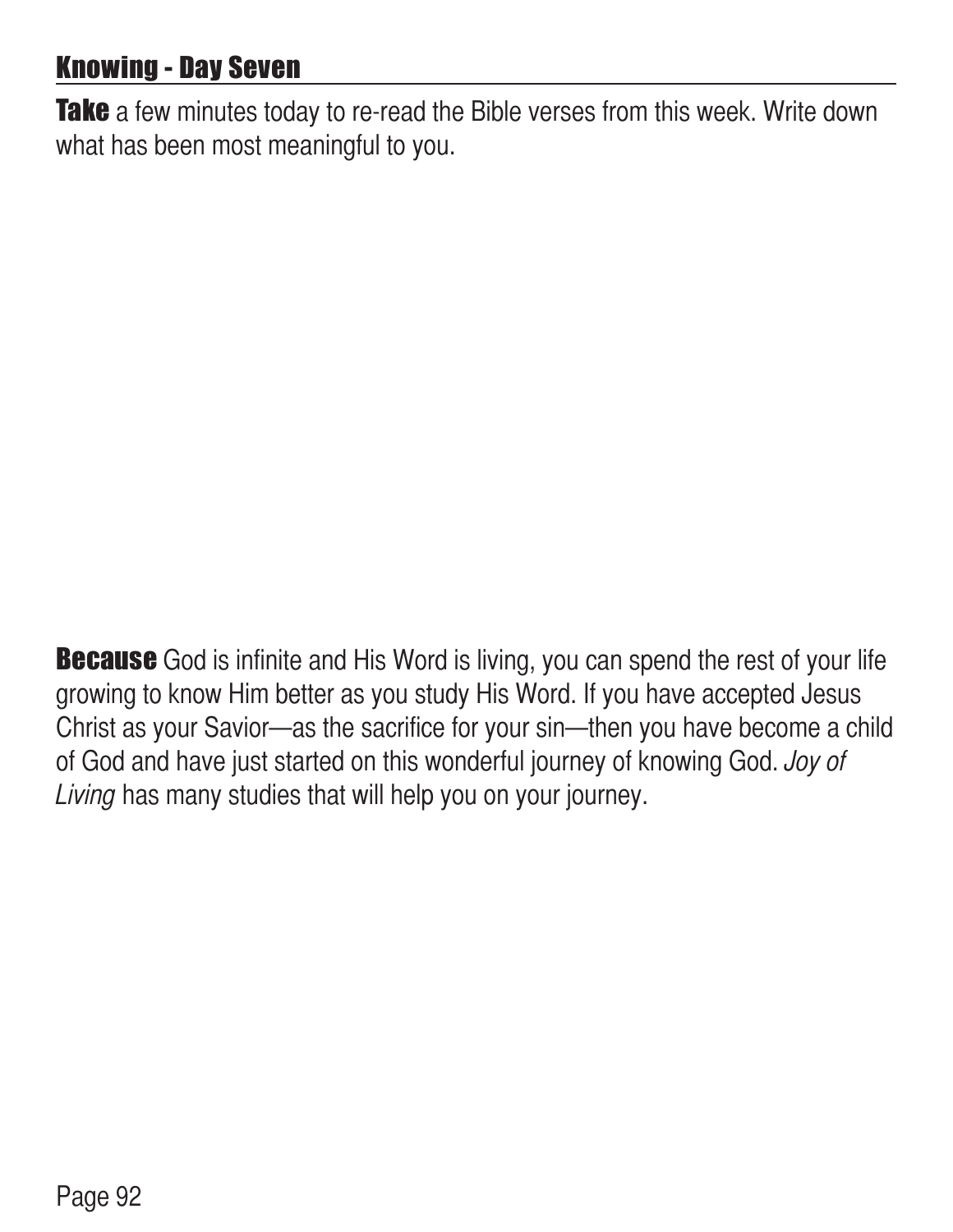## Knowing - Day Seven

Take a few minutes today to re-read the Bible verses from this week. Write down what has been most meaningful to you.

**Because** God is infinite and His Word is living, you can spend the rest of your life growing to know Him better as you study His Word. If you have accepted Jesus Christ as your Savior—as the sacrifice for your sin—then you have become a child of God and have just started on this wonderful journey of knowing God. Joy of Living has many studies that will help you on your journey.